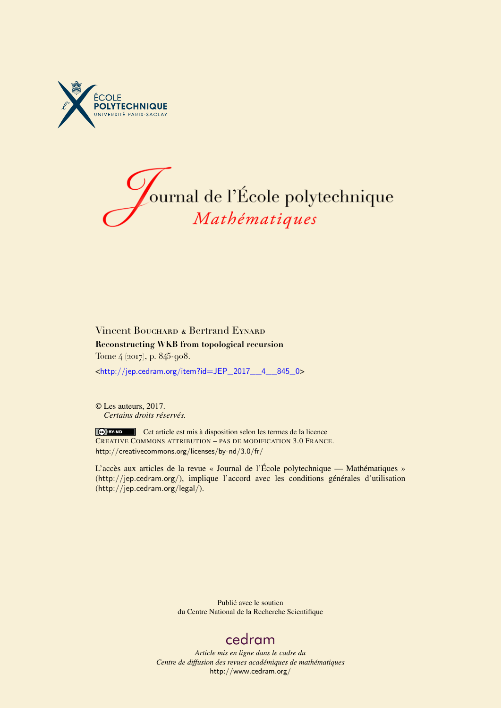



## Vincent Bouchard & Bertrand Eynard **Reconstructing WKB from topological recursion** Tome 4 (2017), p. 845-908.

<[http://jep.cedram.org/item?id=JEP\\_2017\\_\\_4\\_\\_845\\_0](http://jep.cedram.org/item?id=JEP_2017__4__845_0)>

© Les auteurs, 2017. *Certains droits réservés.*

Cet article est mis à disposition selon les termes de la licence CREATIVE COMMONS ATTRIBUTION – PAS DE MODIFICATION 3.0 FRANCE. <http://creativecommons.org/licenses/by-nd/3.0/fr/>

L'accès aux articles de la revue « Journal de l'École polytechnique — Mathématiques » (<http://jep.cedram.org/>), implique l'accord avec les conditions générales d'utilisation (<http://jep.cedram.org/legal/>).

> Publié avec le soutien du Centre National de la Recherche Scientifique

# [cedram](http://www.cedram.org/)

*Article mis en ligne dans le cadre du Centre de diffusion des revues académiques de mathématiques* <http://www.cedram.org/>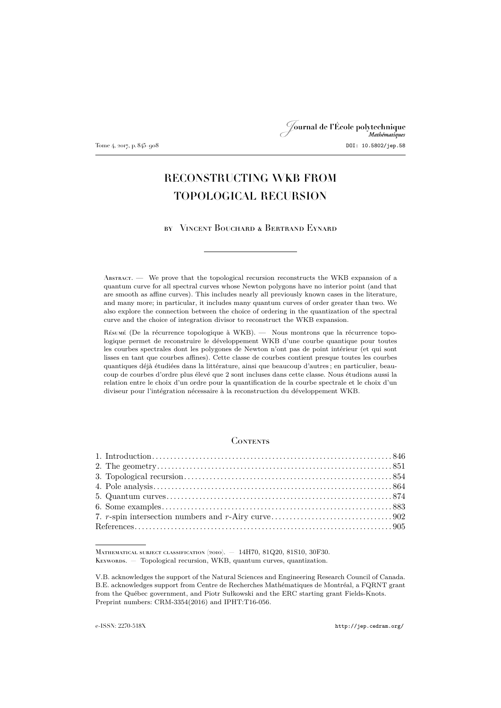## Journal de l'École polytechnique Mathématiques Tome 4, 2017, p. 845–908 DOI: 10.5802/jep.58

## RECONSTRUCTING WKB FROM TOPOLOGICAL RECURSION

by Vincent Bouchard & Bertrand Eynard

Abstract. — We prove that the topological recursion reconstructs the WKB expansion of a quantum curve for all spectral curves whose Newton polygons have no interior point (and that are smooth as affine curves). This includes nearly all previously known cases in the literature, and many more; in particular, it includes many quantum curves of order greater than two. We also explore the connection between the choice of ordering in the quantization of the spectral curve and the choice of integration divisor to reconstruct the WKB expansion.

Résumé (De la récurrence topologique à WKB). — Nous montrons que la récurrence topologique permet de reconstruire le développement WKB d'une courbe quantique pour toutes les courbes spectrales dont les polygones de Newton n'ont pas de point intérieur (et qui sont lisses en tant que courbes affines). Cette classe de courbes contient presque toutes les courbes quantiques déjà étudiées dans la littérature, ainsi que beaucoup d'autres ; en particulier, beaucoup de courbes d'ordre plus élevé que 2 sont incluses dans cette classe. Nous étudions aussi la relation entre le choix d'un ordre pour la quantification de la courbe spectrale et le choix d'un diviseur pour l'intégration nécessaire à la reconstruction du développement WKB.

## **CONTENTS**

Mathematical subject classification (2010). — 14H70, 81Q20, 81S10, 30F30. KEYWORDS. — Topological recursion, WKB, quantum curves, quantization.

V.B. acknowledges the support of the Natural Sciences and Engineering Research Council of Canada. B.E. acknowledges support from Centre de Recherches Mathématiques de Montréal, a FQRNT grant from the Québec government, and Piotr Sułkowski and the ERC starting grant Fields-Knots. Preprint numbers: CRM-3354(2016) and IPHT:T16-056.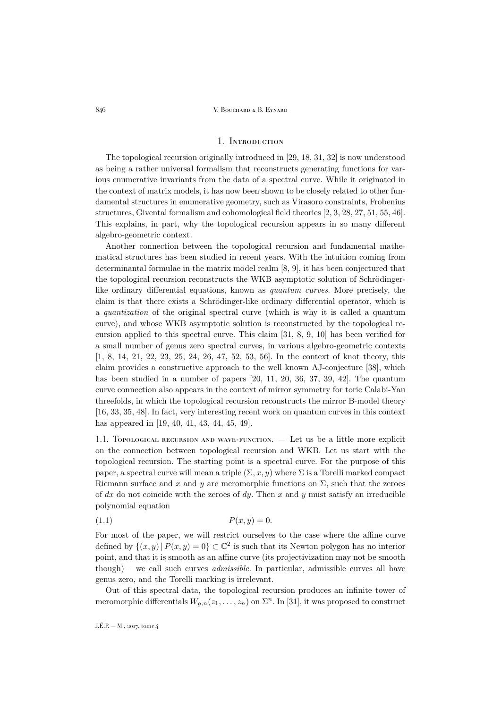## 1. Introduction

<span id="page-2-0"></span>The topological recursion originally introduced in [\[29,](#page-62-0) [18,](#page-62-1) [31,](#page-62-2) [32\]](#page-62-3) is now understood as being a rather universal formalism that reconstructs generating functions for various enumerative invariants from the data of a spectral curve. While it originated in the context of matrix models, it has now been shown to be closely related to other fundamental structures in enumerative geometry, such as Virasoro constraints, Frobenius structures, Givental formalism and cohomological field theories [\[2,](#page-61-1) [3,](#page-61-2) [28,](#page-62-4) [27,](#page-62-5) [51,](#page-63-0) [55,](#page-63-1) [46\]](#page-63-2). This explains, in part, why the topological recursion appears in so many different algebro-geometric context.

Another connection between the topological recursion and fundamental mathematical structures has been studied in recent years. With the intuition coming from determinantal formulae in the matrix model realm [\[8,](#page-62-6) [9\]](#page-62-7), it has been conjectured that the topological recursion reconstructs the WKB asymptotic solution of Schrödingerlike ordinary differential equations, known as *quantum curves*. More precisely, the claim is that there exists a Schrödinger-like ordinary differential operator, which is a *quantization* of the original spectral curve (which is why it is called a quantum curve), and whose WKB asymptotic solution is reconstructed by the topological recursion applied to this spectral curve. This claim [\[31,](#page-62-2) [8,](#page-62-6) [9,](#page-62-7) [10\]](#page-62-8) has been verified for a small number of genus zero spectral curves, in various algebro-geometric contexts [\[1,](#page-61-3) [8,](#page-62-6) [14,](#page-62-9) [21,](#page-62-10) [22,](#page-62-11) [23,](#page-62-12) [25,](#page-62-13) [24,](#page-62-14) [26,](#page-62-15) [47,](#page-63-3) [52,](#page-63-4) [53,](#page-63-5) [56\]](#page-63-6). In the context of knot theory, this claim provides a constructive approach to the well known AJ-conjecture [\[38\]](#page-63-7), which has been studied in a number of papers [\[20,](#page-62-16) [11,](#page-62-17) [20,](#page-62-16) [36,](#page-63-8) [37,](#page-63-9) [39,](#page-63-10) [42\]](#page-63-11). The quantum curve connection also appears in the context of mirror symmetry for toric Calabi-Yau threefolds, in which the topological recursion reconstructs the mirror B-model theory [\[16,](#page-62-18) [33,](#page-63-12) [35,](#page-63-13) [48\]](#page-63-14). In fact, very interesting recent work on quantum curves in this context has appeared in [\[19,](#page-62-19) [40,](#page-63-15) [41,](#page-63-16) [43,](#page-63-17) [44,](#page-63-18) [45,](#page-63-19) [49\]](#page-63-20).

1.1. Topological recursion and wave-function. — Let us be a little more explicit on the connection between topological recursion and WKB. Let us start with the topological recursion. The starting point is a spectral curve. For the purpose of this paper, a spectral curve will mean a triple  $(\Sigma, x, y)$  where  $\Sigma$  is a Torelli marked compact Riemann surface and x and y are meromorphic functions on  $\Sigma$ , such that the zeroes of dx do not coincide with the zeroes of dy. Then x and y must satisfy an irreducible polynomial equation

$$
(1.1) \t\t P(x,y) = 0.
$$

For most of the paper, we will restrict ourselves to the case where the affine curve defined by  $\{(x, y) | P(x, y) = 0\} \subset \mathbb{C}^2$  is such that its Newton polygon has no interior point, and that it is smooth as an affine curve (its projectivization may not be smooth though) – we call such curves *admissible*. In particular, admissible curves all have genus zero, and the Torelli marking is irrelevant.

Out of this spectral data, the topological recursion produces an infinite tower of meromorphic differentials  $W_{g,n}(z_1,\ldots,z_n)$  on  $\Sigma^n$ . In [\[31\]](#page-62-2), it was proposed to construct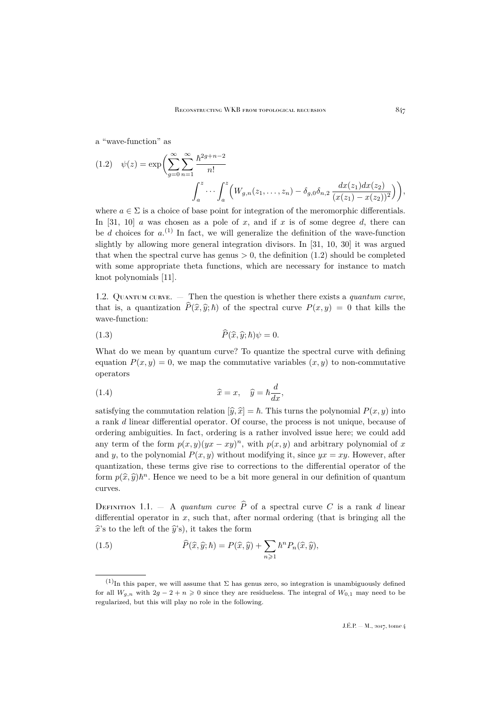a "wave-function" as

<span id="page-3-0"></span>
$$
(1.2) \quad \psi(z) = \exp\bigg(\sum_{g=0}^{\infty} \sum_{n=1}^{\infty} \frac{\hbar^{2g+n-2}}{n!} \cdot \int_{a}^{z} \left(W_{g,n}(z_1,\ldots,z_n) - \delta_{g,0}\delta_{n,2} \frac{dx(z_1)dx(z_2)}{(x(z_1) - x(z_2))^2}\right)\bigg),
$$

where  $a \in \Sigma$  is a choice of base point for integration of the meromorphic differentials. In [\[31,](#page-62-2) [10\]](#page-62-8) a was chosen as a pole of x, and if x is of some degree d, there can be d choices for  $a^{(1)}$  In fact, we will generalize the definition of the wave-function slightly by allowing more general integration divisors. In [\[31,](#page-62-2) [10,](#page-62-8) [30\]](#page-62-20) it was argued that when the spectral curve has genus  $> 0$ , the definition [\(1.2\)](#page-3-0) should be completed with some appropriate theta functions, which are necessary for instance to match knot polynomials [\[11\]](#page-62-17).

1.2. Quantum curve. — Then the question is whether there exists a *quantum curve*, that is, a quantization  $\hat{P}(\hat{x}, \hat{y}; \hbar)$  of the spectral curve  $P(x, y) = 0$  that kills the wave-function:

(1.3) 
$$
\widehat{P}(\widehat{x}, \widehat{y}; \hbar)\psi = 0.
$$

What do we mean by quantum curve? To quantize the spectral curve with defining equation  $P(x, y) = 0$ , we map the commutative variables  $(x, y)$  to non-commutative operators

(1.4) 
$$
\widehat{x} = x, \quad \widehat{y} = \hbar \frac{d}{dx},
$$

satisfying the commutation relation  $[\hat{y}, \hat{x}] = \hbar$ . This turns the polynomial  $P(x, y)$  into a rank d linear differential operator. Of course, the process is not unique, because of ordering ambiguities. In fact, ordering is a rather involved issue here; we could add any term of the form  $p(x, y)(yx - xy)^n$ , with  $p(x, y)$  and arbitrary polynomial of x and y, to the polynomial  $P(x, y)$  without modifying it, since  $yx = xy$ . However, after quantization, these terms give rise to corrections to the differential operator of the form  $p(\hat{x}, \hat{y})\hbar^n$ . Hence we need to be a bit more general in our definition of quantum curves.

<span id="page-3-1"></span>DEFINITION 1.1. — A *quantum curve*  $\hat{P}$  of a spectral curve C is a rank d linear differential operator in  $x$ , such that, after normal ordering (that is bringing all the  $\hat{x}$ 's to the left of the  $\hat{y}$ 's), it takes the form

(1.5) 
$$
\widehat{P}(\widehat{x}, \widehat{y}; \hbar) = P(\widehat{x}, \widehat{y}) + \sum_{n \geq 1} \hbar^n P_n(\widehat{x}, \widehat{y}),
$$

 $(1)$ In this paper, we will assume that  $\Sigma$  has genus zero, so integration is unambiguously defined for all  $W_{q,n}$  with  $2q - 2 + n \geq 0$  since they are residueless. The integral of  $W_{0,1}$  may need to be regularized, but this will play no role in the following.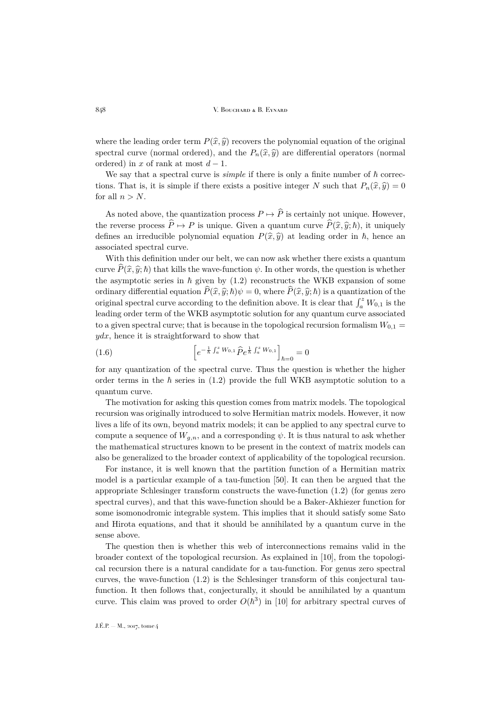where the leading order term  $P(\hat{x}, \hat{y})$  recovers the polynomial equation of the original spectral curve (normal ordered), and the  $P_n(\hat{x}, \hat{y})$  are differential operators (normal ordered) in x of rank at most  $d-1$ .

We say that a spectral curve is *simple* if there is only a finite number of  $\hbar$  corrections. That is, it is simple if there exists a positive integer N such that  $P_n(\hat{x}, \hat{y}) = 0$ for all  $n > N$ .

As noted above, the quantization process  $P \mapsto \widehat{P}$  is certainly not unique. However, the reverse process  $\widehat{P} \mapsto P$  is unique. Given a quantum curve  $\widehat{P}(\widehat{x}, \widehat{y}; \hbar)$ , it uniquely defines an irreducible polynomial equation  $P(\hat{x}, \hat{y})$  at leading order in  $\hbar$ , hence an associated spectral curve.

With this definition under our belt, we can now ask whether there exists a quantum curve  $\hat{P}(\hat{x}, \hat{y}; \hbar)$  that kills the wave-function  $\psi$ . In other words, the question is whether the asymptotic series in  $\hbar$  given by [\(1.2\)](#page-3-0) reconstructs the WKB expansion of some ordinary differential equation  $\hat{P}(\hat{x}, \hat{y}; \hbar)\psi = 0$ , where  $\hat{P}(\hat{x}, \hat{y}; \hbar)$  is a quantization of the original spectral curve according to the definition above. It is clear that  $\int_a^z W_{0,1}$  is the leading order term of the WKB asymptotic solution for any quantum curve associated to a given spectral curve; that is because in the topological recursion formalism  $W_{0,1} =$  $ydx$ , hence it is straightforward to show that

(1.6) 
$$
\left[e^{-\frac{1}{\hbar}\int_a^z W_{0,1}\widehat{P}e^{\frac{1}{\hbar}\int_a^z W_{0,1}}\right]_{\hbar=0}=0
$$

for any quantization of the spectral curve. Thus the question is whether the higher order terms in the  $h$  series in [\(1.2\)](#page-3-0) provide the full WKB asymptotic solution to a quantum curve.

The motivation for asking this question comes from matrix models. The topological recursion was originally introduced to solve Hermitian matrix models. However, it now lives a life of its own, beyond matrix models; it can be applied to any spectral curve to compute a sequence of  $W_{q,n}$ , and a corresponding  $\psi$ . It is thus natural to ask whether the mathematical structures known to be present in the context of matrix models can also be generalized to the broader context of applicability of the topological recursion.

For instance, it is well known that the partition function of a Hermitian matrix model is a particular example of a tau-function [\[50\]](#page-63-21). It can then be argued that the appropriate Schlesinger transform constructs the wave-function [\(1.2\)](#page-3-0) (for genus zero spectral curves), and that this wave-function should be a Baker-Akhiezer function for some isomonodromic integrable system. This implies that it should satisfy some Sato and Hirota equations, and that it should be annihilated by a quantum curve in the sense above.

The question then is whether this web of interconnections remains valid in the broader context of the topological recursion. As explained in [\[10\]](#page-62-8), from the topological recursion there is a natural candidate for a tau-function. For genus zero spectral curves, the wave-function [\(1.2\)](#page-3-0) is the Schlesinger transform of this conjectural taufunction. It then follows that, conjecturally, it should be annihilated by a quantum curve. This claim was proved to order  $O(\hbar^3)$  in [\[10\]](#page-62-8) for arbitrary spectral curves of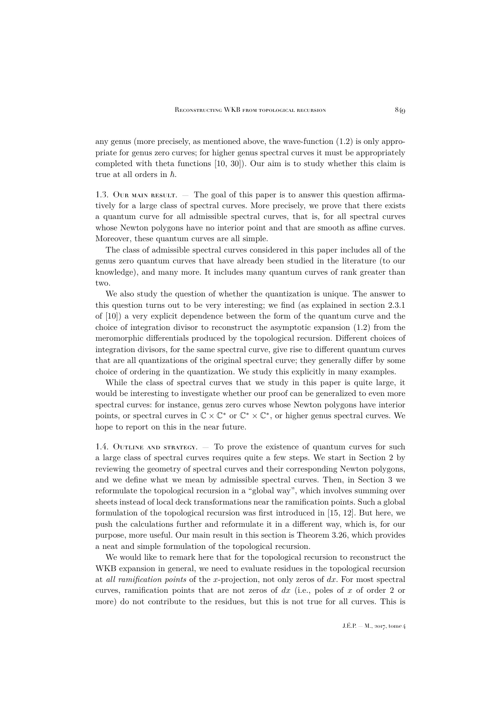any genus (more precisely, as mentioned above, the wave-function [\(1.2\)](#page-3-0) is only appropriate for genus zero curves; for higher genus spectral curves it must be appropriately completed with theta functions [\[10,](#page-62-8) [30\]](#page-62-20)). Our aim is to study whether this claim is true at all orders in  $\hbar$ .

1.3. Our main result. — The goal of this paper is to answer this question affirmatively for a large class of spectral curves. More precisely, we prove that there exists a quantum curve for all admissible spectral curves, that is, for all spectral curves whose Newton polygons have no interior point and that are smooth as affine curves. Moreover, these quantum curves are all simple.

The class of admissible spectral curves considered in this paper includes all of the genus zero quantum curves that have already been studied in the literature (to our knowledge), and many more. It includes many quantum curves of rank greater than two.

We also study the question of whether the quantization is unique. The answer to this question turns out to be very interesting; we find (as explained in section 2.3.1 of [\[10\]](#page-62-8)) a very explicit dependence between the form of the quantum curve and the choice of integration divisor to reconstruct the asymptotic expansion [\(1.2\)](#page-3-0) from the meromorphic differentials produced by the topological recursion. Different choices of integration divisors, for the same spectral curve, give rise to different quantum curves that are all quantizations of the original spectral curve; they generally differ by some choice of ordering in the quantization. We study this explicitly in many examples.

While the class of spectral curves that we study in this paper is quite large, it would be interesting to investigate whether our proof can be generalized to even more spectral curves: for instance, genus zero curves whose Newton polygons have interior points, or spectral curves in  $\mathbb{C} \times \mathbb{C}^*$  or  $\mathbb{C}^* \times \mathbb{C}^*$ , or higher genus spectral curves. We hope to report on this in the near future.

1.4. OUTLINE AND STRATEGY.  $-$  To prove the existence of quantum curves for such a large class of spectral curves requires quite a few steps. We start in Section 2 by reviewing the geometry of spectral curves and their corresponding Newton polygons, and we define what we mean by admissible spectral curves. Then, in Section 3 we reformulate the topological recursion in a "global way", which involves summing over sheets instead of local deck transformations near the ramification points. Such a global formulation of the topological recursion was first introduced in [\[15,](#page-62-21) [12\]](#page-62-22). But here, we push the calculations further and reformulate it in a different way, which is, for our purpose, more useful. Our main result in this section is Theorem [3.26,](#page-18-0) which provides a neat and simple formulation of the topological recursion.

We would like to remark here that for the topological recursion to reconstruct the WKB expansion in general, we need to evaluate residues in the topological recursion at *all ramification points* of the x-projection, not only zeros of dx. For most spectral curves, ramification points that are not zeros of  $dx$  (i.e., poles of x of order 2 or more) do not contribute to the residues, but this is not true for all curves. This is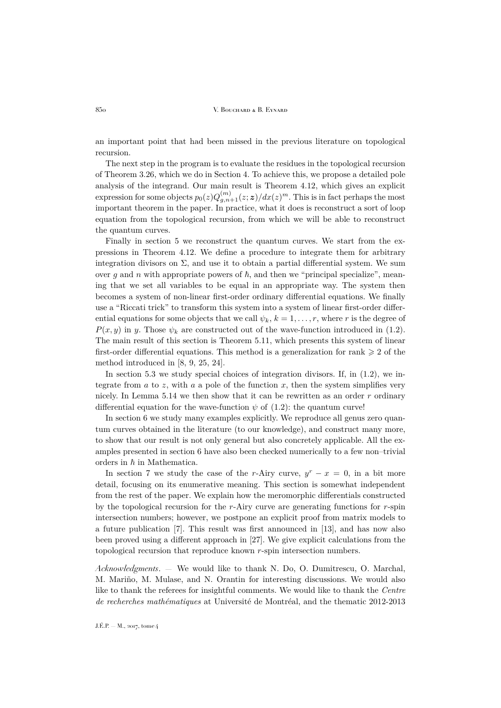an important point that had been missed in the previous literature on topological recursion.

The next step in the program is to evaluate the residues in the topological recursion of Theorem [3.26,](#page-18-0) which we do in Section 4. To achieve this, we propose a detailed pole analysis of the integrand. Our main result is Theorem [4.12,](#page-27-0) which gives an explicit expression for some objects  $p_0(z)Q_{g,n+1}^{(m)}(z;\boldsymbol{z})/dx(z)^m.$  This is in fact perhaps the most important theorem in the paper. In practice, what it does is reconstruct a sort of loop equation from the topological recursion, from which we will be able to reconstruct the quantum curves.

Finally in section 5 we reconstruct the quantum curves. We start from the expressions in Theorem [4.12.](#page-27-0) We define a procedure to integrate them for arbitrary integration divisors on  $\Sigma$ , and use it to obtain a partial differential system. We sum over g and n with appropriate powers of  $\hbar$ , and then we "principal specialize", meaning that we set all variables to be equal in an appropriate way. The system then becomes a system of non-linear first-order ordinary differential equations. We finally use a "Riccati trick" to transform this system into a system of linear first-order differential equations for some objects that we call  $\psi_k$ ,  $k = 1, \ldots, r$ , where r is the degree of  $P(x, y)$  in y. Those  $\psi_k$  are constructed out of the wave-function introduced in [\(1.2\)](#page-3-0). The main result of this section is Theorem [5.11,](#page-35-0) which presents this system of linear first-order differential equations. This method is a generalization for rank  $\geq 2$  of the method introduced in [\[8,](#page-62-6) [9,](#page-62-7) [25,](#page-62-13) [24\]](#page-62-14).

In section 5.3 we study special choices of integration divisors. If, in  $(1.2)$ , we integrate from  $a$  to  $z$ , with  $a$  a pole of the function  $x$ , then the system simplifies very nicely. In Lemma [5.14](#page-37-0) we then show that it can be rewritten as an order  $r$  ordinary differential equation for the wave-function  $\psi$  of [\(1.2\)](#page-3-0): the quantum curve!

In section 6 we study many examples explicitly. We reproduce all genus zero quantum curves obtained in the literature (to our knowledge), and construct many more, to show that our result is not only general but also concretely applicable. All the examples presented in section 6 have also been checked numerically to a few non–trivial orders in  $\hbar$  in Mathematica.

In section 7 we study the case of the r-Airy curve,  $y^{r} - x = 0$ , in a bit more detail, focusing on its enumerative meaning. This section is somewhat independent from the rest of the paper. We explain how the meromorphic differentials constructed by the topological recursion for the r-Airy curve are generating functions for  $r$ -spin intersection numbers; however, we postpone an explicit proof from matrix models to a future publication [\[7\]](#page-62-23). This result was first announced in [\[13\]](#page-62-24), and has now also been proved using a different approach in [\[27\]](#page-62-5). We give explicit calculations from the topological recursion that reproduce known r-spin intersection numbers.

*Acknowledgments*. — We would like to thank N. Do, O. Dumitrescu, O. Marchal, M. Mariño, M. Mulase, and N. Orantin for interesting discussions. We would also like to thank the referees for insightful comments. We would like to thank the *Centre de recherches mathématiques* at Université de Montréal, and the thematic 2012-2013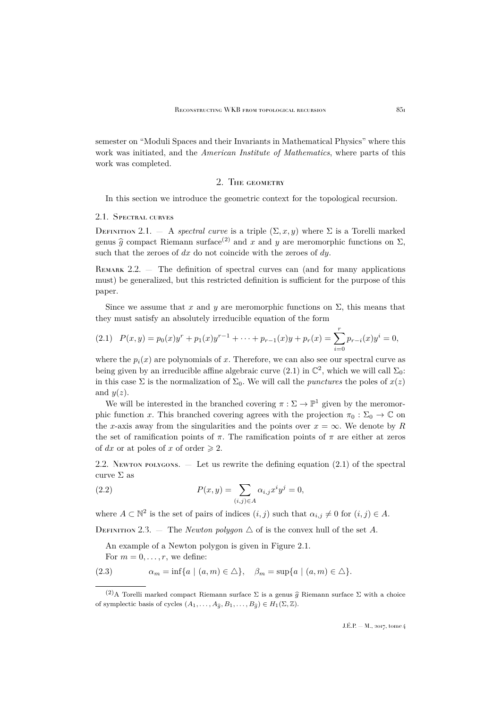semester on "Moduli Spaces and their Invariants in Mathematical Physics" where this work was initiated, and the *American Institute of Mathematics*, where parts of this work was completed.

### 2. The geometry

<span id="page-7-0"></span>In this section we introduce the geometric context for the topological recursion.

#### 2.1. Spectral curves

<span id="page-7-2"></span>DEFINITION 2.1. — A *spectral curve* is a triple  $(\Sigma, x, y)$  where  $\Sigma$  is a Torelli marked genus  $\hat{g}$  compact Riemann surface<sup>(2)</sup> and x and y are meromorphic functions on  $\Sigma$ , such that the zeroes of  $dx$  do not coincide with the zeroes of  $dy$ .

REMARK  $2.2.$  — The definition of spectral curves can (and for many applications must) be generalized, but this restricted definition is sufficient for the purpose of this paper.

Since we assume that x and y are meromorphic functions on  $\Sigma$ , this means that they must satisfy an absolutely irreducible equation of the form

<span id="page-7-1"></span>
$$
(2.1) \quad P(x,y) = p_0(x)y^r + p_1(x)y^{r-1} + \dots + p_{r-1}(x)y + p_r(x) = \sum_{i=0}^r p_{r-i}(x)y^i = 0,
$$

where the  $p_i(x)$  are polynomials of x. Therefore, we can also see our spectral curve as being given by an irreducible affine algebraic curve  $(2.1)$  in  $\mathbb{C}^2$ , which we will call  $\Sigma_0$ : in this case  $\Sigma$  is the normalization of  $\Sigma_0$ . We will call the *punctures* the poles of  $x(z)$ and  $y(z)$ .

We will be interested in the branched covering  $\pi : \Sigma \to \mathbb{P}^1$  given by the meromorphic function x. This branched covering agrees with the projection  $\pi_0 : \Sigma_0 \to \mathbb{C}$  on the x-axis away from the singularities and the points over  $x = \infty$ . We denote by R the set of ramification points of  $\pi$ . The ramification points of  $\pi$  are either at zeros of dx or at poles of x of order  $\geq 2$ .

2.2. Newton polygons.  $\overline{ }$  Let us rewrite the defining equation [\(2.1\)](#page-7-1) of the spectral curve  $\Sigma$  as

(2.2) 
$$
P(x,y) = \sum_{(i,j)\in A} \alpha_{i,j} x^i y^j = 0,
$$

where  $A \subset \mathbb{N}^2$  is the set of pairs of indices  $(i, j)$  such that  $\alpha_{i,j} \neq 0$  for  $(i, j) \in A$ .

DEFINITION 2.3. — The *Newton polygon*  $\triangle$  of is the convex hull of the set A.

An example of a Newton polygon is given in Figure [2.1.](#page-8-0)

```
For m = 0, \ldots, r, we define:
```
(2.3) 
$$
\alpha_m = \inf\{a \mid (a, m) \in \Delta\}, \quad \beta_m = \sup\{a \mid (a, m) \in \Delta\}.
$$

<sup>(2)</sup>A Torelli marked compact Riemann surface  $\Sigma$  is a genus  $\hat{g}$  Riemann surface  $\Sigma$  with a choice of symplectic basis of cycles  $(A_1, \ldots, A_{\widehat{\sigma}}, B_1, \ldots, B_{\widehat{\sigma}}) \in H_1(\Sigma, \mathbb{Z}).$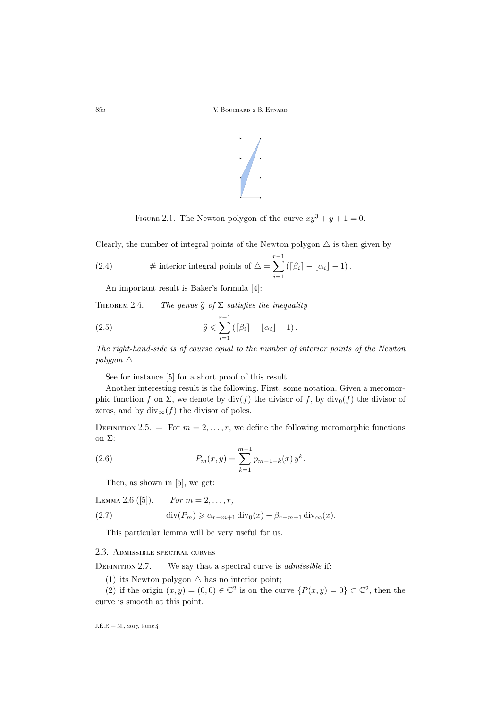

<span id="page-8-0"></span>FIGURE 2.1. The Newton polygon of the curve  $xy^3 + y + 1 = 0$ .

Clearly, the number of integral points of the Newton polygon  $\triangle$  is then given by

(2.4) # interior integral points of 
$$
\triangle = \sum_{i=1}^{r-1} (\lceil \beta_i \rceil - \lfloor \alpha_i \rfloor - 1)
$$
.

An important result is Baker's formula [\[4\]](#page-61-4):

<span id="page-8-1"></span>THEOREM 2.4.  $-$  *The genus*  $\widehat{g}$  *of*  $\Sigma$  *satisfies the inequality* 

(2.5) 
$$
\widehat{g} \leqslant \sum_{i=1}^{r-1} \left( \lceil \beta_i \rceil - \lfloor \alpha_i \rfloor - 1 \right).
$$

*The right-hand-side is of course equal to the number of interior points of the Newton polygon*  $\triangle$ *.* 

See for instance [\[5\]](#page-61-5) for a short proof of this result.

Another interesting result is the following. First, some notation. Given a meromorphic function f on  $\Sigma$ , we denote by div(f) the divisor of f, by div<sub>0</sub>(f) the divisor of zeros, and by div<sub>∞</sub> $(f)$  the divisor of poles.

<span id="page-8-3"></span>DEFINITION 2.5. — For  $m = 2, \ldots, r$ , we define the following meromorphic functions on Σ:

(2.6) 
$$
P_m(x,y) = \sum_{k=1}^{m-1} p_{m-1-k}(x) y^k.
$$

<span id="page-8-5"></span>Then, as shown in [\[5\]](#page-61-5), we get:

<span id="page-8-4"></span>LEMMA 2.6 ([\[5\]](#page-61-5)).  $-$  *For*  $m = 2, ..., r$ ,

(2.7) 
$$
\operatorname{div}(P_m) \geq \alpha_{r-m+1} \operatorname{div}_0(x) - \beta_{r-m+1} \operatorname{div}_\infty(x).
$$

This particular lemma will be very useful for us.

#### 2.3. Admissible spectral curves

<span id="page-8-2"></span>DEFINITION 2.7. — We say that a spectral curve is *admissible* if:

(1) its Newton polygon  $\triangle$  has no interior point;

(2) if the origin  $(x, y) = (0, 0) \in \mathbb{C}^2$  is on the curve  $\{P(x, y) = 0\} \subset \mathbb{C}^2$ , then the curve is smooth at this point.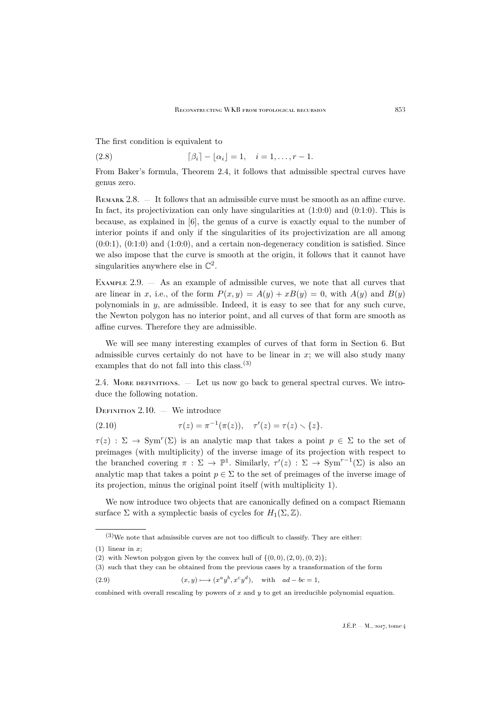The first condition is equivalent to

(2.8) 
$$
\lceil \beta_i \rceil - \lfloor \alpha_i \rfloor = 1, \quad i = 1, \ldots, r-1.
$$

From Baker's formula, Theorem [2.4,](#page-8-1) it follows that admissible spectral curves have genus zero.

REMARK 2.8.  $\overline{ }$  It follows that an admissible curve must be smooth as an affine curve. In fact, its projectivization can only have singularities at  $(1:0:0)$  and  $(0:1:0)$ . This is because, as explained in [\[6\]](#page-61-6), the genus of a curve is exactly equal to the number of interior points if and only if the singularities of its projectivization are all among  $(0:0:1)$ ,  $(0:1:0)$  and  $(1:0:0)$ , and a certain non-degeneracy condition is satisfied. Since we also impose that the curve is smooth at the origin, it follows that it cannot have singularities anywhere else in  $\mathbb{C}^2$ .

Example 2.9. — As an example of admissible curves, we note that all curves that are linear in x, i.e., of the form  $P(x, y) = A(y) + xB(y) = 0$ , with  $A(y)$  and  $B(y)$ polynomials in  $y$ , are admissible. Indeed, it is easy to see that for any such curve, the Newton polygon has no interior point, and all curves of that form are smooth as affine curves. Therefore they are admissible.

We will see many interesting examples of curves of that form in Section [6.](#page-39-0) But admissible curves certainly do not have to be linear in  $x$ ; we will also study many examples that do not fall into this class.(3)

2.4. More definitions. — Let us now go back to general spectral curves. We introduce the following notation.

<span id="page-9-0"></span>DEFINITION  $2.10.$  — We introduce

(2.10) 
$$
\tau(z) = \pi^{-1}(\pi(z)), \quad \tau'(z) = \tau(z) \setminus \{z\}.
$$

 $\tau(z)$ :  $\Sigma \to \text{Sym}^r(\Sigma)$  is an analytic map that takes a point  $p \in \Sigma$  to the set of preimages (with multiplicity) of the inverse image of its projection with respect to the branched covering  $\pi : \Sigma \to \mathbb{P}^1$ . Similarly,  $\tau'(z) : \Sigma \to \text{Sym}^{r-1}(\Sigma)$  is also an analytic map that takes a point  $p \in \Sigma$  to the set of preimages of the inverse image of its projection, minus the original point itself (with multiplicity 1).

We now introduce two objects that are canonically defined on a compact Riemann surface  $\Sigma$  with a symplectic basis of cycles for  $H_1(\Sigma, \mathbb{Z})$ .

 $\,{}^{(3)}\text{We note that admissible curves are not too difficult to classify. They are either:}\,$ 

 $(1)$  linear in x;

<sup>(2)</sup> with Newton polygon given by the convex hull of  $\{(0,0), (2,0), (0, 2)\}$ ;

<sup>(3)</sup> such that they can be obtained from the previous cases by a transformation of the form

<sup>(2.9)</sup>  $(x, y) \mapsto (x^a y^b, x^c y^d)$ , with  $ad - bc = 1$ ,

combined with overall rescaling by powers of  $x$  and  $y$  to get an irreducible polynomial equation.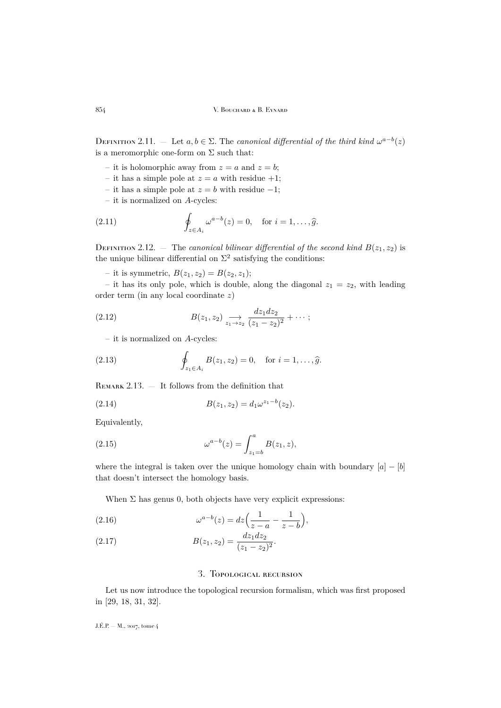DEFINITION 2.11. — Let  $a, b \in \Sigma$ . The *canonical differential of the third kind*  $\omega^{a-b}(z)$ is a meromorphic one-form on  $\Sigma$  such that:

- it is holomorphic away from  $z = a$  and  $z = b$ ;
- it has a simple pole at  $z = a$  with residue  $+1$ ;
- it has a simple pole at  $z = b$  with residue –1;
- it is normalized on A-cycles:

(2.11) 
$$
\oint_{z \in A_i} \omega^{a-b}(z) = 0, \text{ for } i = 1, \dots, \widehat{g}.
$$

<span id="page-10-1"></span>DEFINITION 2.12. — The *canonical bilinear differential of the second kind*  $B(z_1, z_2)$  is the unique bilinear differential on  $\Sigma^2$  satisfying the conditions:

– it is symmetric,  $B(z_1, z_2) = B(z_2, z_1);$ 

– it has its only pole, which is double, along the diagonal  $z_1 = z_2$ , with leading order term (in any local coordinate z)

(2.12) 
$$
B(z_1, z_2) \xrightarrow{dz_1 dz_2} \frac{dz_1 dz_2}{(z_1 - z_2)^2} + \cdots;
$$

– it is normalized on A-cycles:

(2.13) 
$$
\oint_{z_1 \in A_i} B(z_1, z_2) = 0, \text{ for } i = 1, ..., \hat{g}.
$$

REMARK  $2.13.$   $-$  It follows from the definition that

(2.14) 
$$
B(z_1, z_2) = d_1 \omega^{z_1 - b}(z_2).
$$

Equivalently,

(2.15) 
$$
\omega^{a-b}(z) = \int_{z_1=b}^{a} B(z_1, z),
$$

where the integral is taken over the unique homology chain with boundary  $[a] - [b]$ that doesn't intersect the homology basis.

When  $\Sigma$  has genus 0, both objects have very explicit expressions:

(2.16) 
$$
\omega^{a-b}(z) = dz \left( \frac{1}{z-a} - \frac{1}{z-b} \right),
$$

(2.17) 
$$
B(z_1, z_2) = \frac{dz_1 dz_2}{(z_1 - z_2)^2}.
$$

### 3. Topological recursion

<span id="page-10-0"></span>Let us now introduce the topological recursion formalism, which was first proposed in [\[29,](#page-62-0) [18,](#page-62-1) [31,](#page-62-2) [32\]](#page-62-3).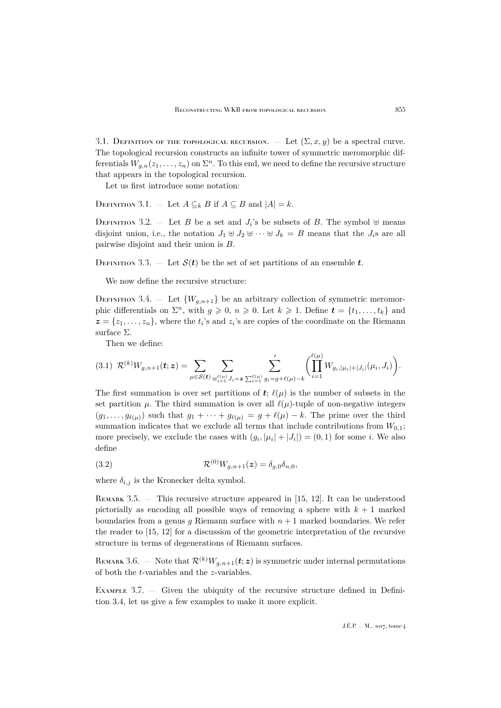3.1. DEFINITION OF THE TOPOLOGICAL RECURSION. — Let  $(\Sigma, x, y)$  be a spectral curve. The topological recursion constructs an infinite tower of symmetric meromorphic differentials  $W_{g,n}(z_1,\ldots,z_n)$  on  $\Sigma^n$ . To this end, we need to define the recursive structure that appears in the topological recursion.

Let us first introduce some notation:

DEFINITION 3.1. — Let  $A \subseteq_k B$  if  $A \subseteq B$  and  $|A| = k$ .

DEFINITION 3.2. - Let B be a set and  $J_i$ 's be subsets of B. The symbol  $\forall$  means disjoint union, i.e., the notation  $J_1 \oplus J_2 \oplus \cdots \oplus J_k = B$  means that the  $J_i$ s are all pairwise disjoint and their union is B.

DEFINITION 3.3. — Let  $S(t)$  be the set of set partitions of an ensemble t.

We now define the recursive structure:

<span id="page-11-0"></span>DEFINITION 3.4. – Let  $\{W_{q,n+1}\}\$ be an arbitrary collection of symmetric meromorphic differentials on  $\Sigma^n$ , with  $g \geqslant 0$ ,  $n \geqslant 0$ . Let  $k \geqslant 1$ . Define  $t = \{t_1, \ldots, t_k\}$  and  $z = \{z_1, \ldots, z_n\}$ , where the  $t_i$ 's and  $z_i$ 's are copies of the coordinate on the Riemann surface  $\Sigma$ .

<span id="page-11-1"></span>Then we define:

$$
(3.1) \ \ \mathcal{R}^{(k)}W_{g,n+1}(t;z) = \sum_{\mu \in \mathcal{S}(t)} \sum_{\substack{\psi_{i=1}^{\ell(\mu)} J_i = \mathbf{z} \sum_{i=1}^{\ell(\mu)} g_i = g + \ell(\mu) - k}} \left( \prod_{i=1}^{\ell(\mu)} W_{g_i,|\mu_i| + |J_i|}(\mu_i, J_i) \right).
$$

The first summation is over set partitions of  $\mathbf{t}$ ;  $\ell(\mu)$  is the number of subsets in the set partition  $\mu$ . The third summation is over all  $\ell(\mu)$ -tuple of non-negative integers  $(g_1, \ldots, g_{\ell(\mu)})$  such that  $g_1 + \cdots + g_{\ell(\mu)} = g + \ell(\mu) - k$ . The prime over the third summation indicates that we exclude all terms that include contributions from  $W_{0,1}$ ; more precisely, we exclude the cases with  $(g_i, |\mu_i| + |J_i|) = (0, 1)$  for some *i*. We also define

(3.2) 
$$
\mathcal{R}^{(0)}W_{g,n+1}(z) = \delta_{g,0}\delta_{n,0},
$$

where  $\delta_{i,j}$  is the Kronecker delta symbol.

REMARK 3.5. — This recursive structure appeared in [\[15,](#page-62-21) [12\]](#page-62-22). It can be understood pictorially as encoding all possible ways of removing a sphere with  $k + 1$  marked boundaries from a genus g Riemann surface with  $n + 1$  marked boundaries. We refer the reader to [\[15,](#page-62-21) [12\]](#page-62-22) for a discussion of the geometric interpretation of the recursive structure in terms of degenerations of Riemann surfaces.

REMARK 3.6. — Note that  $\mathcal{R}^{(k)}W_{q,n+1}(t;z)$  is symmetric under internal permutations of both the t-variables and the z-variables.

<span id="page-11-2"></span>Example 3.7. — Given the ubiquity of the recursive structure defined in Definition [3.4,](#page-11-0) let us give a few examples to make it more explicit.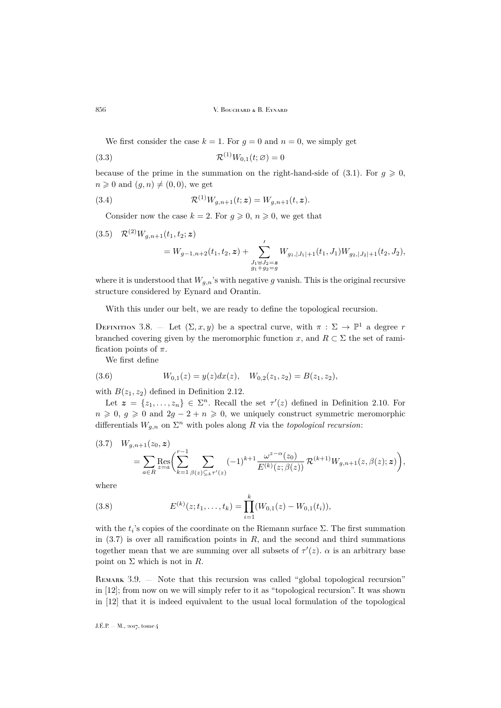We first consider the case  $k = 1$ . For  $q = 0$  and  $n = 0$ , we simply get

(3.3) 
$$
\mathcal{R}^{(1)}W_{0,1}(t;\varnothing) = 0
$$

because of the prime in the summation on the right-hand-side of [\(3.1\)](#page-11-1). For  $g \ge 0$ ,  $n \geq 0$  and  $(g, n) \neq (0, 0)$ , we get

(3.4) 
$$
\mathcal{R}^{(1)}W_{g,n+1}(t;z) = W_{g,n+1}(t,z).
$$

Consider now the case  $k = 2$ . For  $g \geq 0$ ,  $n \geq 0$ , we get that

$$
(3.5) \quad \mathcal{R}^{(2)}W_{g,n+1}(t_1,t_2;\boldsymbol{z}) = W_{g-1,n+2}(t_1,t_2,\boldsymbol{z}) + \sum_{\substack{J_1\uplus J_2=\boldsymbol{z} \\ g_1+g_2=g}}' W_{g_1,|J_1|+1}(t_1,J_1) W_{g_2,|J_2|+1}(t_2,J_2),
$$

where it is understood that  $W_{q,n}$ 's with negative g vanish. This is the original recursive structure considered by Eynard and Orantin.

With this under our belt, we are ready to define the topological recursion.

<span id="page-12-1"></span>DEFINITION 3.8. – Let  $(\Sigma, x, y)$  be a spectral curve, with  $\pi : \Sigma \to \mathbb{P}^1$  a degree r branched covering given by the meromorphic function x, and  $R \subset \Sigma$  the set of ramification points of  $\pi$ .

We first define

(3.6) 
$$
W_{0,1}(z) = y(z)dx(z), \quad W_{0,2}(z_1, z_2) = B(z_1, z_2),
$$

with  $B(z_1, z_2)$  defined in Definition [2.12.](#page-10-1)

Let  $\mathbf{z} = \{z_1, \ldots, z_n\} \in \Sigma^n$ . Recall the set  $\tau'(z)$  defined in Definition [2.10.](#page-9-0) For  $n \geq 0$ ,  $g \geq 0$  and  $2g - 2 + n \geq 0$ , we uniquely construct symmetric meromorphic differentials  $W_{g,n}$  on  $\Sigma^n$  with poles along R via the *topological recursion*:

<span id="page-12-0"></span>
$$
(3.7) \quad W_{g,n+1}(z_0, \mathbf{z}) = \sum_{a \in R} \text{Res}_{z=a} \left( \sum_{k=1}^{r-1} \sum_{\beta(z) \subseteq_k r'(z)} (-1)^{k+1} \frac{\omega^{z-\alpha}(z_0)}{E^{(k)}(z; \beta(z))} \mathcal{R}^{(k+1)} W_{g,n+1}(z, \beta(z); \mathbf{z}) \right),
$$

where

(3.8) 
$$
E^{(k)}(z;t_1,\ldots,t_k) = \prod_{i=1}^k (W_{0,1}(z) - W_{0,1}(t_i)),
$$

with the  $t_i$ 's copies of the coordinate on the Riemann surface  $\Sigma$ . The first summation in  $(3.7)$  is over all ramification points in R, and the second and third summations together mean that we are summing over all subsets of  $\tau'(z)$ .  $\alpha$  is an arbitrary base point on  $\Sigma$  which is not in  $R$ .

REMARK 3.9. — Note that this recursion was called "global topological recursion" in [\[12\]](#page-62-22); from now on we will simply refer to it as "topological recursion". It was shown in [\[12\]](#page-62-22) that it is indeed equivalent to the usual local formulation of the topological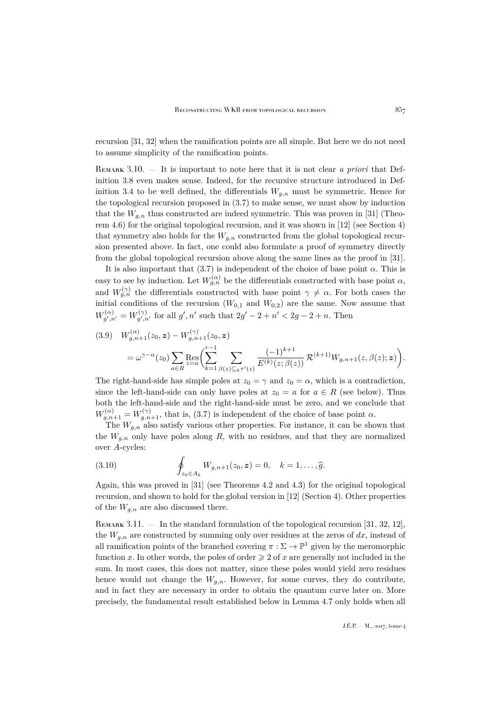recursion [\[31,](#page-62-2) [32\]](#page-62-3) when the ramification points are all simple. But here we do not need to assume simplicity of the ramification points.

Remark 3.10. — It is important to note here that it is not clear *a priori* that Definition [3.8](#page-12-1) even makes sense. Indeed, for the recursive structure introduced in Def-inition [3.4](#page-11-0) to be well defined, the differentials  $W_{q,n}$  must be symmetric. Hence for the topological recursion proposed in [\(3.7\)](#page-12-0) to make sense, we must show by induction that the  $W_{q,n}$  thus constructed are indeed symmetric. This was proven in [\[31\]](#page-62-2) (Theorem 4.6) for the original topological recursion, and it was shown in [\[12\]](#page-62-22) (see Section 4) that symmetry also holds for the  $W_{a,n}$  constructed from the global topological recursion presented above. In fact, one could also formulate a proof of symmetry directly from the global topological recursion above along the same lines as the proof in [\[31\]](#page-62-2).

It is also important that  $(3.7)$  is independent of the choice of base point  $\alpha$ . This is easy to see by induction. Let  $W_{g,n}^{(\alpha)}$  be the differentials constructed with base point  $\alpha$ , and  $W_{g,n}^{(\gamma)}$  the differentials constructed with base point  $\gamma \neq \alpha$ . For both cases the initial conditions of the recursion  $(W_{0,1}$  and  $W_{0,2})$  are the same. Now assume that  $W^{(\alpha)}_{a' \, n}$  $g^{\prime},_{n'}=W_{g^{\prime},n'}^{(\gamma)}$  $g'_{g',n'}$  for all  $g',n'$  such that  $2g' - 2 + n' < 2g - 2 + n$ . Then

$$
(3.9) \quad W_{g,n+1}^{(\alpha)}(z_0, \mathbf{z}) - W_{g,n+1}^{(\gamma)}(z_0, \mathbf{z})
$$
\n
$$
= \omega^{\gamma - \alpha}(z_0) \sum_{a \in R} \text{Res}_{z=a} \left( \sum_{k=1}^{r-1} \sum_{\beta(z) \subseteq_k \tau'(z)} \frac{(-1)^{k+1}}{E^{(k)}(z; \beta(z))} \mathcal{R}^{(k+1)} W_{g,n+1}(z, \beta(z); \mathbf{z}) \right).
$$

The right-hand-side has simple poles at  $z_0 = \gamma$  and  $z_0 = \alpha$ , which is a contradiction, since the left-hand-side can only have poles at  $z_0 = a$  for  $a \in R$  (see below). Thus both the left-hand-side and the right-hand-side must be zero, and we conclude that  $W_{g,n+1}^{(\alpha)} = W_{g,n+1}^{(\gamma)}$ , that is, [\(3.7\)](#page-12-0) is independent of the choice of base point  $\alpha$ .

The  $W_{q,n}$  also satisfy various other properties. For instance, it can be shown that the  $W_{a,n}$  only have poles along R, with no residues, and that they are normalized over A-cycles:

(3.10) 
$$
\oint_{z_0 \in A_k} W_{g,n+1}(z_0, z) = 0, \quad k = 1, \ldots, \widehat{g}.
$$

Again, this was proved in [\[31\]](#page-62-2) (see Theorems 4.2 and 4.3) for the original topological recursion, and shown to hold for the global version in [\[12\]](#page-62-22) (Section 4). Other properties of the  $W_{q,n}$  are also discussed there.

REMARK 3.11.  $-$  In the standard formulation of the topological recursion [\[31,](#page-62-2) [32,](#page-62-3) [12\]](#page-62-22), the  $W_{a,n}$  are constructed by summing only over residues at the zeros of dx, instead of all ramification points of the branched covering  $\pi : \Sigma \to \mathbb{P}^1$  given by the meromorphic function x. In other words, the poles of order  $\geq 2$  of x are generally not included in the sum. In most cases, this does not matter, since these poles would yield zero residues hence would not change the  $W_{q,n}$ . However, for some curves, they do contribute, and in fact they are necessary in order to obtain the quantum curve later on. More precisely, the fundamental result established below in Lemma [4.7](#page-22-0) only holds when all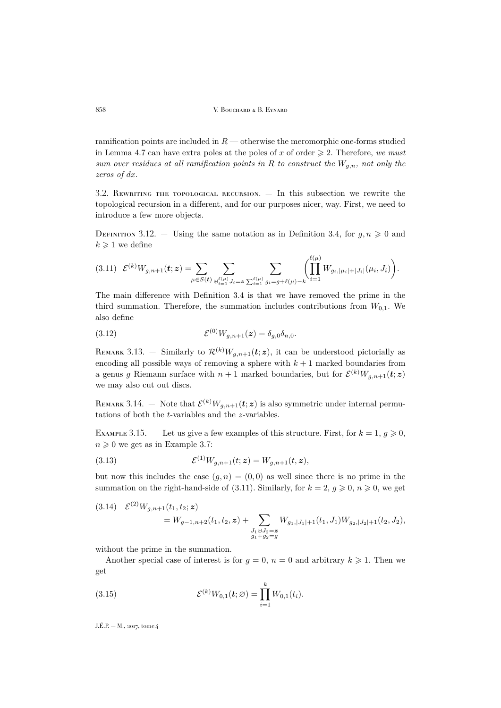ramification points are included in  $R$  — otherwise the meromorphic one-forms studied in Lemma [4.7](#page-22-0) can have extra poles at the poles of x of order  $\geq 2$ . Therefore, we must *sum over residues at all ramification points in* R *to construct the* Wg,n*, not only the zeros of* dx.

3.2. Rewriting the topological recursion. — In this subsection we rewrite the topological recursion in a different, and for our purposes nicer, way. First, we need to introduce a few more objects.

DEFINITION 3.12. – Using the same notation as in Definition [3.4,](#page-11-0) for  $g, n \geq 0$  and  $k \geqslant 1$  we define

<span id="page-14-0"></span>
$$
(3.11) \mathcal{E}^{(k)}W_{g,n+1}(t;z) = \sum_{\mu \in \mathcal{S}(t)} \sum_{\substack{\psi_{i=1}^{\ell(\mu)} \\ \vdots \\ \psi_{i=1}^{\ell(\mu)}}} \sum_{J_i=z} \sum_{\substack{\sum_{i=1}^{\ell(\mu)} \\ g_i=g+\ell(\mu)-k}} \left(\prod_{i=1}^{\ell(\mu)} W_{g_i,|\mu_i|+|J_i|}(\mu_i,J_i)\right).
$$

The main difference with Definition [3.4](#page-11-0) is that we have removed the prime in the third summation. Therefore, the summation includes contributions from  $W_{0,1}$ . We also define

(3.12) 
$$
\mathcal{E}^{(0)} W_{g,n+1}(z) = \delta_{g,0} \delta_{n,0}.
$$

REMARK 3.13. – Similarly to  $\mathcal{R}^{(k)}W_{g,n+1}(t;z)$ , it can be understood pictorially as encoding all possible ways of removing a sphere with  $k + 1$  marked boundaries from a genus g Riemann surface with  $n+1$  marked boundaries, but for  $\mathcal{E}^{(k)}W_{g,n+1}(\boldsymbol{t};\boldsymbol{z})$ we may also cut out discs.

REMARK 3.14. – Note that  $\mathcal{E}^{(k)}W_{g,n+1}(\boldsymbol{t};\boldsymbol{z})$  is also symmetric under internal permutations of both the t-variables and the z-variables.

EXAMPLE 3.15. – Let us give a few examples of this structure. First, for  $k = 1, g \ge 0$ ,  $n \geqslant 0$  we get as in Example [3.7:](#page-11-2)

(3.13) 
$$
\mathcal{E}^{(1)}W_{g,n+1}(t;z) = W_{g,n+1}(t,z),
$$

but now this includes the case  $(g, n) = (0, 0)$  as well since there is no prime in the summation on the right-hand-side of [\(3.11\)](#page-14-0). Similarly, for  $k = 2$ ,  $q \ge 0$ ,  $n \ge 0$ , we get

$$
(3.14) \quad \mathcal{E}^{(2)}W_{g,n+1}(t_1,t_2;\boldsymbol{z}) = W_{g-1,n+2}(t_1,t_2,\boldsymbol{z}) + \sum_{\substack{J_1\oplus J_2=\boldsymbol{z} \\ g_1+g_2=g}} W_{g_1,|J_1|+1}(t_1,J_1)W_{g_2,|J_2|+1}(t_2,J_2),
$$

without the prime in the summation.

Another special case of interest is for  $g = 0$ ,  $n = 0$  and arbitrary  $k \ge 1$ . Then we get

(3.15) 
$$
\mathcal{E}^{(k)}W_{0,1}(t;\varnothing)=\prod_{i=1}^k W_{0,1}(t_i).
$$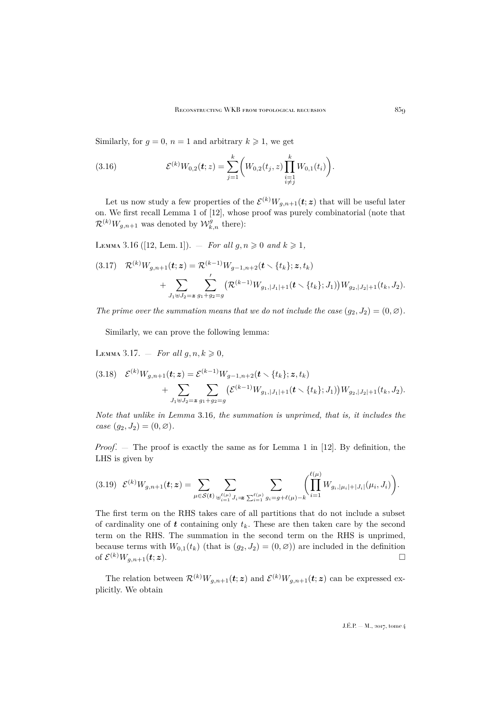Similarly, for  $q = 0$ ,  $n = 1$  and arbitrary  $k \ge 1$ , we get

(3.16) 
$$
\mathcal{E}^{(k)}W_{0,2}(t;z) = \sum_{j=1}^k \left(W_{0,2}(t_j,z) \prod_{\substack{i=1 \ i \neq j}}^k W_{0,1}(t_i)\right).
$$

Let us now study a few properties of the  $\mathcal{E}^{(k)}W_{g,n+1}(t;z)$  that will be useful later on. We first recall Lemma 1 of [\[12\]](#page-62-22), whose proof was purely combinatorial (note that  $\mathcal{R}^{(k)}W_{g,n+1}$  was denoted by  $\mathcal{W}^{g}_{k,n}$  there):

<span id="page-15-0"></span>LEMMA 3.16 ([\[12,](#page-62-22) Lem. 1]). — *For all*  $g, n \ge 0$  *and*  $k \ge 1$ *,* 

$$
(3.17) \quad \mathcal{R}^{(k)}W_{g,n+1}(\boldsymbol{t};\boldsymbol{z}) = \mathcal{R}^{(k-1)}W_{g-1,n+2}(\boldsymbol{t} \setminus \{t_k\};\boldsymbol{z},t_k) + \sum_{J_1 \oplus J_2 = \boldsymbol{z}} \sum_{g_1+g_2=g}^{\prime} \big(\mathcal{R}^{(k-1)}W_{g_1,|J_1|+1}(\boldsymbol{t} \setminus \{t_k\};J_1)\big)W_{g_2,|J_2|+1}(t_k,J_2).
$$

*The prime over the summation means that we do not include the case*  $(q_2, J_2) = (0, \emptyset)$ *.* 

Similarly, we can prove the following lemma:

<span id="page-15-1"></span>LEMMA 3.17. – *For all*  $g, n, k \geq 0$ ,

$$
(3.18) \quad \mathcal{E}^{(k)}W_{g,n+1}(\boldsymbol{t};\boldsymbol{z}) = \mathcal{E}^{(k-1)}W_{g-1,n+2}(\boldsymbol{t} \setminus \{t_k\};\boldsymbol{z},t_k) + \sum_{J_1 \uplus J_2 = \boldsymbol{z}} \sum_{g_1+g_2=g} \bigl(\mathcal{E}^{(k-1)}W_{g_1,|J_1|+1}(\boldsymbol{t} \setminus \{t_k\};J_1)\bigr)W_{g_2,|J_2|+1}(t_k,J_2).
$$

*Note that unlike in Lemma* [3.16](#page-15-0)*, the summation is unprimed, that is, it includes the case*  $(g_2, J_2) = (0, \emptyset)$ *.* 

*Proof*. — The proof is exactly the same as for Lemma 1 in [\[12\]](#page-62-22). By definition, the LHS is given by

$$
(3.19) \mathcal{E}^{(k)}W_{g,n+1}(\boldsymbol{t};\boldsymbol{z}) = \sum_{\mu \in S(\boldsymbol{t})} \sum_{\substack{\psi^{\ell}(\mu) \\ \psi^{\ell} = 1}} \sum_{J_i = \sum_{i=1}^{\ell(\mu)}} \sum_{g_i = g + \ell(\mu) - k} \left( \prod_{i=1}^{\ell(\mu)} W_{g_i,|\mu_i| + |J_i|}(\mu_i, J_i) \right).
$$

The first term on the RHS takes care of all partitions that do not include a subset of cardinality one of  $t$  containing only  $t_k$ . These are then taken care by the second term on the RHS. The summation in the second term on the RHS is unprimed, because terms with  $W_{0,1}(t_k)$  (that is  $(g_2, J_2) = (0, \emptyset)$ ) are included in the definition of  $\mathcal{E}^{(k)} W_{g,n+1}(\boldsymbol{t};z)$ .

The relation between  $\mathcal{R}^{(k)}W_{g,n+1}(t;z)$  and  $\mathcal{E}^{(k)}W_{g,n+1}(t;z)$  can be expressed explicitly. We obtain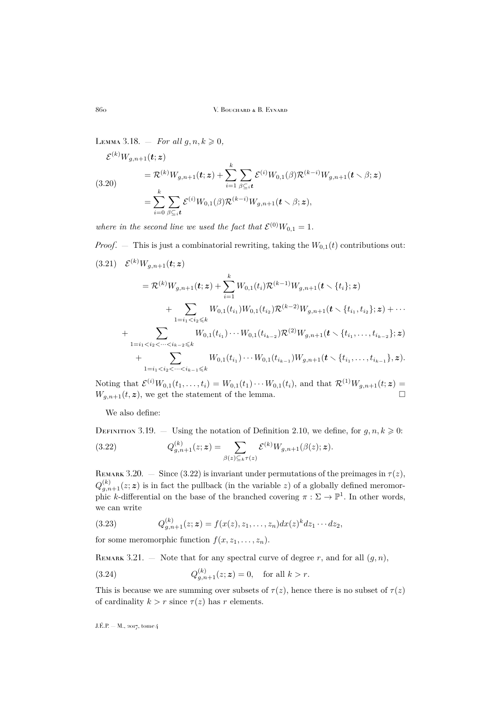<span id="page-16-2"></span>LEMMA 3.18. – *For all*  $g, n, k \geq 0$ ,

$$
\mathcal{E}^{(k)}W_{g,n+1}(\mathbf{t}; z) = \mathcal{R}^{(k)}W_{g,n+1}(\mathbf{t}; z) + \sum_{i=1}^{k} \sum_{\beta \subseteq_i \mathbf{t}} \mathcal{E}^{(i)}W_{0,1}(\beta) \mathcal{R}^{(k-i)}W_{g,n+1}(\mathbf{t} \setminus \beta; z) \n= \sum_{i=0}^{k} \sum_{\beta \subseteq_i \mathbf{t}} \mathcal{E}^{(i)}W_{0,1}(\beta) \mathcal{R}^{(k-i)}W_{g,n+1}(\mathbf{t} \setminus \beta; z),
$$

where in the second line we used the fact that  $\mathcal{E}^{(0)}W_{0,1} = 1$ .

*Proof.* — This is just a combinatorial rewriting, taking the  $W_{0,1}(t)$  contributions out:  $(3.21) \quad \mathcal{E}^{(k)} W_{g,n+1}(\boldsymbol{t};\boldsymbol{z})$  $=\mathcal{R}^{(k)} W_{g,n+1}(\pmb{t};\pmb{z}) + \sum^{k} W_{0,1}(t_i) \mathcal{R}^{(k-1)} W_{g,n+1}(\pmb{t}\smallsetminus\{t_i\};\pmb{z})$  $i=1$  $+$   $\Sigma$  $1=i_1\!<\!i_2\!\leqslant\!k$  $W_{0,1}(t_{i_1})W_{0,1}(t_{i_2})\mathcal{R}^{(k-2)}W_{g,n+1}(\boldsymbol{t}\smallsetminus\{t_{i_1},t_{i_2}\};\boldsymbol{z})+\cdots$  $+\qquad\sum$ 1= $i_1$  <  $i_2$  <  $\dots$  <  $i_{k-2}$  ≤  $k$  $W_{0,1}(t_{i_1})\cdots W_{0,1}(t_{i_{k-2}})\mathcal{R}^{(2)}W_{g,n+1}(\boldsymbol{t}\smallsetminus\{t_{i_1},\ldots,t_{i_{k-2}}\};\boldsymbol{z})$  $+\qquad\sum$ 1= $i_1$  <  $i_2$  <  $\dots$  <  $i_{k-1}$  ≤  $k$  $W_{0,1}(t_{i_1})\cdots W_{0,1}(t_{i_{k-1}})W_{g,n+1}(\boldsymbol{t}\smallsetminus\{t_{i_1},\ldots,t_{i_{k-1}}\},\boldsymbol{z}).$ 

Noting that  $\mathcal{E}^{(i)}W_{0,1}(t_1,\ldots,t_i) = W_{0,1}(t_1)\cdots W_{0,1}(t_i)$ , and that  $\mathcal{R}^{(1)}W_{g,n+1}(t;z) =$  $W_{g,n+1}(t, z)$ , we get the statement of the lemma.

<span id="page-16-0"></span>We also define:

<span id="page-16-1"></span>DEFINITION 3.19. — Using the notation of Definition [2.10,](#page-9-0) we define, for  $g, n, k \geq 0$ :  $(3.22)$  $_{g,n+1}^{(k)}(z;\boldsymbol{z})=\quad \sum% \left[ \begin{array}{cc} \Delta x^{\mu}, & \Delta y^{\mu}, & \Delta z^{\mu}, & \Delta z^{\mu}, & \Delta y^{\mu}, & \Delta z^{\mu}, & \Delta z^{\mu}, & \Delta z^{\mu}, & \Delta z^{\mu}, & \Delta z^{\mu}, & \Delta z^{\mu}, & \Delta z^{\mu}, & \Delta z^{\mu}, & \Delta z^{\mu}, & \Delta z^{\mu}, & \Delta z^{\mu}, & \Delta z^{\mu}, & \Delta z^{\mu}, & \Delta z^{\mu}, & \Delta z^{\mu}, & \Delta z^{\mu}, & \Delta z^{\mu}, & \Delta z^{\mu}, & \Delta z$  $\beta(z)\mathcal{Q}_k\tau(z)$  ${\cal E}^{(k)} W_{g,n+1}(\beta(z);{\boldsymbol z}).$ 

REMARK 3.20. — Since [\(3.22\)](#page-16-0) is invariant under permutations of the preimages in  $\tau(z)$ ,  $Q_{g,n+1}^{(k)}(z;\boldsymbol{z})$  is in fact the pullback (in the variable z) of a globally defined meromorphic k-differential on the base of the branched covering  $\pi : \Sigma \to \mathbb{P}^1$ . In other words, we can write

(3.23) 
$$
Q_{g,n+1}^{(k)}(z;\mathbf{z}) = f(x(z),z_1,\ldots,z_n)dx(z)^k dz_1\cdots dz_2,
$$

for some meromorphic function  $f(x, z_1, \ldots, z_n)$ .

REMARK 3.21. – Note that for any spectral curve of degree r, and for all  $(q, n)$ ,

(3.24) 
$$
Q_{g,n+1}^{(k)}(z;\mathbf{z}) = 0
$$
, for all  $k > r$ .

This is because we are summing over subsets of  $\tau(z)$ , hence there is no subset of  $\tau(z)$ of cardinality  $k > r$  since  $\tau(z)$  has r elements.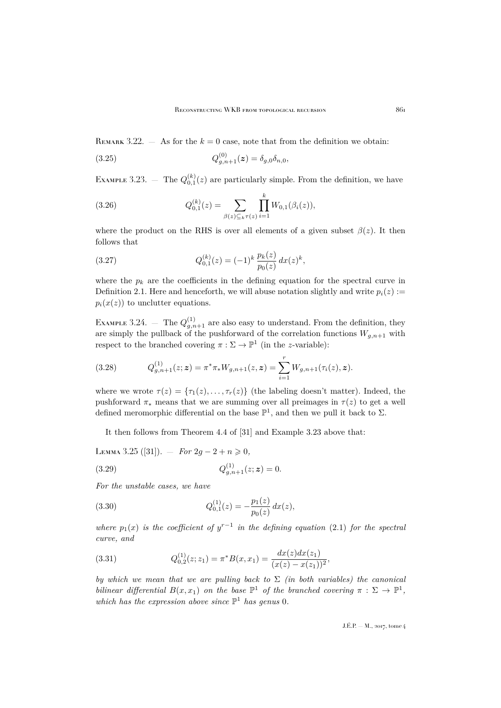REMARK 3.22.  $-$  As for the  $k = 0$  case, note that from the definition we obtain:

(3.25) 
$$
Q_{g,n+1}^{(0)}(z) = \delta_{g,0}\delta_{n,0},
$$

<span id="page-17-0"></span>EXAMPLE 3.23.  $-$  The  $Q_{0,1}^{(k)}(z)$  are particularly simple. From the definition, we have

(3.26) 
$$
Q_{0,1}^{(k)}(z) = \sum_{\beta(z) \subseteq_k \tau(z)} \prod_{i=1}^k W_{0,1}(\beta_i(z)),
$$

where the product on the RHS is over all elements of a given subset  $\beta(z)$ . It then follows that

(3.27) 
$$
Q_{0,1}^{(k)}(z) = (-1)^k \frac{p_k(z)}{p_0(z)} dx(z)^k,
$$

where the  $p_k$  are the coefficients in the defining equation for the spectral curve in Definition [2.1.](#page-7-2) Here and henceforth, we will abuse notation slightly and write  $p_i(z) :=$  $p_i(x(z))$  to unclutter equations.

EXAMPLE 3.24.  $-$  The  $Q_{g,n+1}^{(1)}$  are also easy to understand. From the definition, they are simply the pullback of the pushforward of the correlation functions  $W_{g,n+1}$  with respect to the branched covering  $\pi : \Sigma \to \mathbb{P}^1$  (in the *z*-variable):

(3.28) 
$$
Q_{g,n+1}^{(1)}(z;\mathbf{z}) = \pi^* \pi_* W_{g,n+1}(z;\mathbf{z}) = \sum_{i=1}^r W_{g,n+1}(\tau_i(z),\mathbf{z}).
$$

where we wrote  $\tau(z) = {\tau_1(z), \ldots, \tau_r(z)}$  (the labeling doesn't matter). Indeed, the pushforward  $\pi_*$  means that we are summing over all preimages in  $\tau(z)$  to get a well defined meromorphic differential on the base  $\mathbb{P}^1$ , and then we pull it back to  $\Sigma$ .

It then follows from Theorem 4.4 of [\[31\]](#page-62-2) and Example [3.23](#page-17-0) above that:

<span id="page-17-1"></span>LEMMA 3.25 ([\[31\]](#page-62-2)). — *For* 2*g* − 2 + *n*  $\geq$  0*,* 

(3.29) 
$$
Q_{g,n+1}^{(1)}(z;\mathbf{z})=0.
$$

*For the unstable cases, we have*

(3.30) 
$$
Q_{0,1}^{(1)}(z) = -\frac{p_1(z)}{p_0(z)} dx(z),
$$

*where*  $p_1(x)$  *is the coefficient of*  $y^{r-1}$  *in the defining equation* [\(2.1\)](#page-7-1) *for the spectral curve, and*

(3.31) 
$$
Q_{0,2}^{(1)}(z; z_1) = \pi^* B(x, x_1) = \frac{dx(z)dx(z_1)}{(x(z) - x(z_1))^2},
$$

*by which we mean that we are pulling back to* Σ *(in both variables) the canonical bilinear differential*  $B(x, x_1)$  *on the base*  $\mathbb{P}^1$  *of the branched covering*  $\pi : \Sigma \to \mathbb{P}^1$ , which has the expression above since  $\mathbb{P}^1$  has genus 0.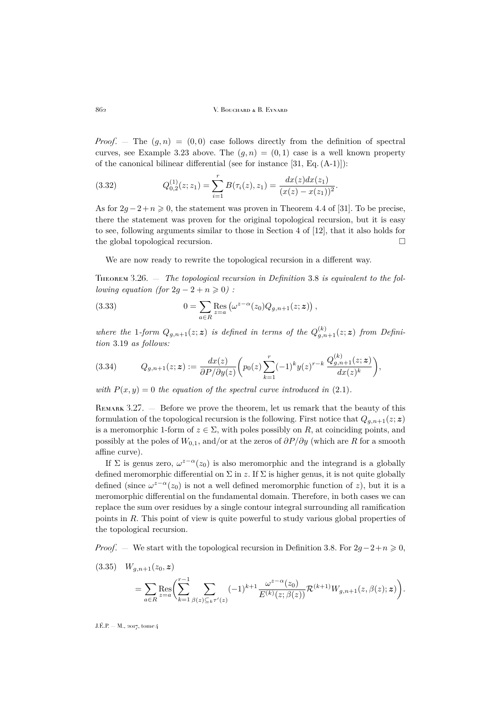*Proof.* – The  $(g, n) = (0, 0)$  case follows directly from the definition of spectral curves, see Example [3.23](#page-17-0) above. The  $(q, n) = (0, 1)$  case is a well known property of the canonical bilinear differential (see for instance [\[31,](#page-62-2) Eq. (A-1)]):

(3.32) 
$$
Q_{0,2}^{(1)}(z; z_1) = \sum_{i=1}^r B(\tau_i(z), z_1) = \frac{dx(z)dx(z_1)}{(x(z) - x(z_1))^2}.
$$

As for  $2g - 2 + n \ge 0$ , the statement was proven in Theorem 4.4 of [\[31\]](#page-62-2). To be precise, there the statement was proven for the original topological recursion, but it is easy to see, following arguments similar to those in Section 4 of [\[12\]](#page-62-22), that it also holds for the global topological recursion.

We are now ready to rewrite the topological recursion in a different way.

<span id="page-18-0"></span>Theorem 3.26. — *The topological recursion in Definition* [3.8](#page-12-1) *is equivalent to the following equation (for*  $2g - 2 + n \geq 0$ ) :

(3.33) 
$$
0 = \sum_{a \in R} \operatorname{Res}_{z=a} \left( \omega^{z-\alpha}(z_0) Q_{g,n+1}(z;\boldsymbol{z}) \right),
$$

where the 1-form  $Q_{g,n+1}(z;\mathbf{z})$  is defined in terms of the  $Q_{g,n+1}^{(k)}(z;\mathbf{z})$  from Defini*tion* [3.19](#page-16-1) *as follows:*

(3.34) 
$$
Q_{g,n+1}(z;\mathbf{z}) := \frac{dx(z)}{\partial P/\partial y(z)} \left( p_0(z) \sum_{k=1}^r (-1)^k y(z)^{r-k} \frac{Q_{g,n+1}^{(k)}(z;\mathbf{z})}{dx(z)^k} \right),
$$

*with*  $P(x, y) = 0$  *the equation of the spectral curve introduced in* [\(2.1\)](#page-7-1)*.* 

Remark 3.27. — Before we prove the theorem, let us remark that the beauty of this formulation of the topological recursion is the following. First notice that  $Q_{a,n+1}(z;\mathbf{z})$ is a meromorphic 1-form of  $z \in \Sigma$ , with poles possibly on R, at coinciding points, and possibly at the poles of  $W_{0,1}$ , and/or at the zeros of  $\partial P/\partial y$  (which are R for a smooth affine curve).

If  $\Sigma$  is genus zero,  $\omega^{z-\alpha}(z_0)$  is also meromorphic and the integrand is a globally defined meromorphic differential on  $\Sigma$  in z. If  $\Sigma$  is higher genus, it is not quite globally defined (since  $\omega^{z-\alpha}(z_0)$  is not a well defined meromorphic function of z), but it is a meromorphic differential on the fundamental domain. Therefore, in both cases we can replace the sum over residues by a single contour integral surrounding all ramification points in R. This point of view is quite powerful to study various global properties of the topological recursion.

*Proof.* — We start with the topological recursion in Definition [3.8.](#page-12-1) For  $2g-2+n \geq 0$ ,

$$
(3.35) \quad W_{g,n+1}(z_0, \mathbf{z}) = \sum_{a \in R} \text{Res}_{z=a} \left( \sum_{k=1}^{r-1} \sum_{\beta(z) \subseteq_k \tau'(z)} (-1)^{k+1} \frac{\omega^{z-\alpha}(z_0)}{E^{(k)}(z; \beta(z))} \mathcal{R}^{(k+1)} W_{g,n+1}(z, \beta(z); \mathbf{z}) \right).
$$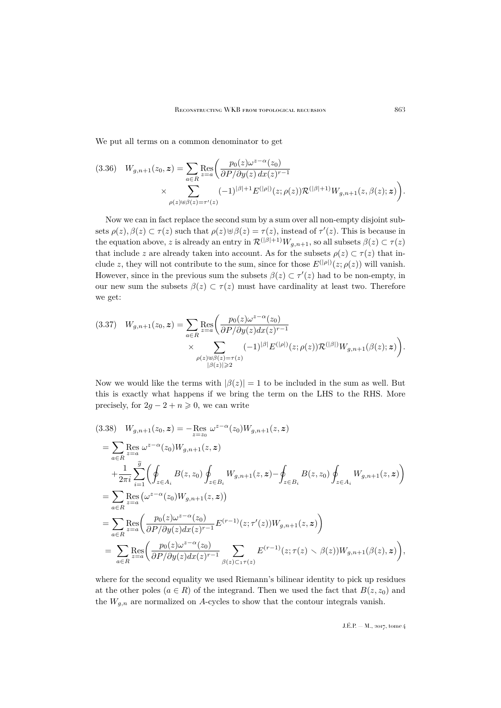We put all terms on a common denominator to get

$$
(3.36) \quad W_{g,n+1}(z_0, \mathbf{z}) = \sum_{a \in R} \text{Res}_{z=a} \left( \frac{p_0(z)\omega^{z-\alpha}(z_0)}{\partial P/\partial y(z) \, dx(z)^{r-1}} \times \sum_{\rho(z) \in \beta(z) = \tau'(z)} (-1)^{|\beta|+1} E^{(|\rho|)}(z; \rho(z)) \mathcal{R}^{(|\beta|+1)} W_{g,n+1}(z,\beta(z); \mathbf{z}) \right).
$$

Now we can in fact replace the second sum by a sum over all non-empty disjoint subsets  $\rho(z)$ ,  $\beta(z) \subset \tau(z)$  such that  $\rho(z) \cup \beta(z) = \tau(z)$ , instead of  $\tau'(z)$ . This is because in the equation above, z is already an entry in  $\mathcal{R}^{(|\beta|+1)}W_{g,n+1}$ , so all subsets  $\beta(z) \subset \tau(z)$ that include z are already taken into account. As for the subsets  $\rho(z) \subset \tau(z)$  that include z, they will not contribute to the sum, since for those  $E^{(|\rho|)}(z;\rho(z))$  will vanish. However, since in the previous sum the subsets  $\beta(z) \subset \tau'(z)$  had to be non-empty, in our new sum the subsets  $\beta(z) \subset \tau(z)$  must have cardinality at least two. Therefore we get:

$$
(3.37) \quad W_{g,n+1}(z_0, \mathbf{z}) = \sum_{a \in R} \text{Res}_{z=a} \left( \frac{p_0(z)\omega^{z-\alpha}(z_0)}{\partial P/\partial y(z)dx(z)^{r-1}} \times \sum_{\substack{\rho(z)\uplus\beta(z)=\tau(z)\\ |\beta(z)| \geq 2}} (-1)^{|\beta|} E^{(|\rho|)}(z; \rho(z)) \mathcal{R}^{(|\beta|)} W_{g,n+1}(\beta(z); \mathbf{z}) \right).
$$

Now we would like the terms with  $|\beta(z)| = 1$  to be included in the sum as well. But this is exactly what happens if we bring the term on the LHS to the RHS. More precisely, for  $2g - 2 + n \geq 0$ , we can write

$$
(3.38) \quad W_{g,n+1}(z_0, \mathbf{z}) = -\underset{z=z_0}{\text{Res}} \ \omega^{z-\alpha}(z_0) W_{g,n+1}(z, \mathbf{z})
$$
\n
$$
= \sum_{a \in R} \underset{z=a}{\text{Res}} \ \omega^{z-\alpha}(z_0) W_{g,n+1}(z, \mathbf{z})
$$
\n
$$
+ \frac{1}{2\pi i} \sum_{i=1}^{\widehat{g}} \left( \oint_{z \in A_i} B(z, z_0) \oint_{z \in B_i} W_{g,n+1}(z, \mathbf{z}) - \oint_{z \in B_i} B(z, z_0) \oint_{z \in A_i} W_{g,n+1}(z, \mathbf{z}) \right)
$$
\n
$$
= \sum_{a \in R} \underset{z=a}{\text{Res}} \left( \frac{p_0(z)\omega^{z-\alpha}(z_0)}{\partial P/\partial y(z)dx(z)^{r-1}} E^{(r-1)}(z; \tau'(z)) W_{g,n+1}(z, \mathbf{z}) \right)
$$
\n
$$
= \sum_{a \in R} \underset{z=a}{\text{Res}} \left( \frac{p_0(z)\omega^{z-\alpha}(z_0)}{\partial P/\partial y(z)dx(z)^{r-1}} \sum_{\beta(z) \subset 1 \tau(z)} E^{(r-1)}(z; \tau(z) \setminus \beta(z)) W_{g,n+1}(\beta(z), \mathbf{z}) \right),
$$

where for the second equality we used Riemann's bilinear identity to pick up residues at the other poles ( $a \in R$ ) of the integrand. Then we used the fact that  $B(z, z_0)$  and the  $W_{g,n}$  are normalized on A-cycles to show that the contour integrals vanish.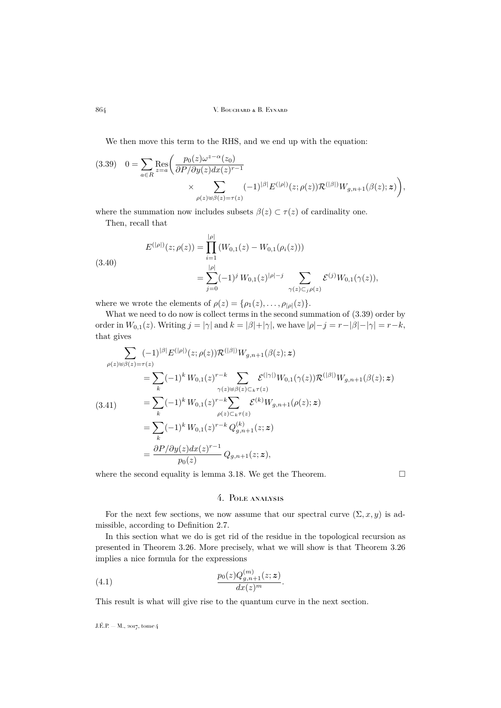We then move this term to the RHS, and we end up with the equation:

<span id="page-20-1"></span>
$$
(3.39) \quad 0 = \sum_{a \in R} \text{Res}_{z=a} \bigg( \frac{p_0(z)\omega^{z-\alpha}(z_0)}{\partial P/\partial y(z)dx(z)^{r-1}} \times \sum_{\rho(z)\uplus\beta(z)=\tau(z)} (-1)^{|\beta|} E^{(|\rho|)}(z;\rho(z)) \mathcal{R}^{(|\beta|)}W_{g,n+1}(\beta(z);z) \bigg),
$$

where the summation now includes subsets  $\beta(z) \subset \tau(z)$  of cardinality one.

Then, recall that

(3.40)  

$$
E^{(|\rho|)}(z;\rho(z)) = \prod_{i=1}^{|\rho|} (W_{0,1}(z) - W_{0,1}(\rho_i(z)))
$$

$$
= \sum_{j=0}^{|\rho|} (-1)^j W_{0,1}(z)^{|\rho|-j} \sum_{\gamma(z) \subset_j \rho(z)} \mathcal{E}^{(j)} W_{0,1}(\gamma(z)),
$$

where we wrote the elements of  $\rho(z) = {\rho_1(z), \ldots, \rho_{|\rho|}(z)}$ .

What we need to do now is collect terms in the second summation of [\(3.39\)](#page-20-1) order by order in  $W_{0,1}(z)$ . Writing  $j = |\gamma|$  and  $k = |\beta| + |\gamma|$ , we have  $|\rho| - j = r - |\beta| - |\gamma| = r - k$ , that gives

$$
\sum_{\rho(z)\in\beta(z)=\tau(z)} (-1)^{|\beta|} E^{(|\rho|)}(z;\rho(z)) \mathcal{R}^{(|\beta|)} W_{g,n+1}(\beta(z);z)
$$
\n
$$
= \sum_{k} (-1)^{k} W_{0,1}(z)^{r-k} \sum_{\gamma(z)\in\beta(z)\subset_{k}\tau(z)} \mathcal{E}^{(|\gamma|)} W_{0,1}(\gamma(z)) \mathcal{R}^{(|\beta|)} W_{g,n+1}(\beta(z);z)
$$
\n
$$
= \sum_{k} (-1)^{k} W_{0,1}(z)^{r-k} \sum_{\rho(z)\subset_{k}\tau(z)} \mathcal{E}^{(k)} W_{g,n+1}(\rho(z);z)
$$
\n
$$
= \sum_{k} (-1)^{k} W_{0,1}(z)^{r-k} Q_{g,n+1}^{(k)}(z;z)
$$
\n
$$
= \frac{\partial P}{\partial y(z)} \frac{\partial y(z) dx(z)^{r-1}}{\partial y_{0}(z)} Q_{g,n+1}(z;z),
$$

where the second equality is lemma [3.18.](#page-16-2) We get the Theorem.  $\Box$ 

## 4. Pole analysis

<span id="page-20-0"></span>For the next few sections, we now assume that our spectral curve  $(\Sigma, x, y)$  is admissible, according to Definition [2.7.](#page-8-2)

In this section what we do is get rid of the residue in the topological recursion as presented in Theorem [3.26.](#page-18-0) More precisely, what we will show is that Theorem [3.26](#page-18-0) implies a nice formula for the expressions

(4.1) 
$$
\frac{p_0(z)Q_{g,n+1}^{(m)}(z;z)}{dx(z)^m}.
$$

This result is what will give rise to the quantum curve in the next section.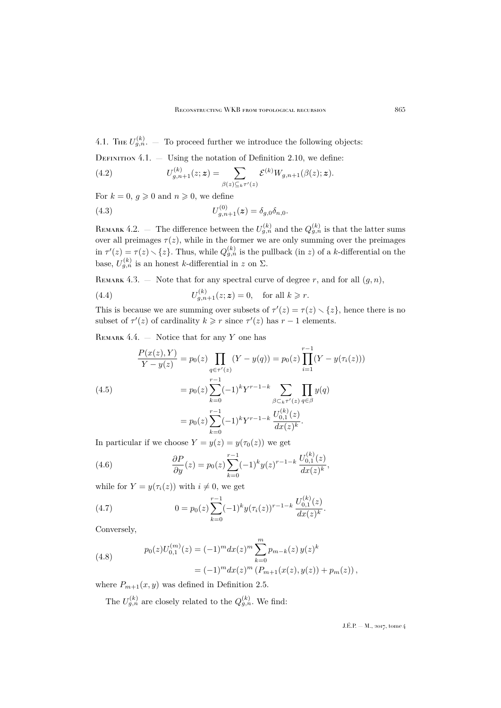4.1. The  $U_{g,n}^{(k)}$ .  $-$  To proceed further we introduce the following objects:

DEFINITION  $4.1.$  — Using the notation of Definition [2.10,](#page-9-0) we define:

(4.2) 
$$
U_{g,n+1}^{(k)}(z;\mathbf{z}) = \sum_{\beta(z)\subseteq_k \tau'(z)} \mathcal{E}^{(k)} W_{g,n+1}(\beta(z); \mathbf{z}).
$$

For  $k = 0, g \geq 0$  and  $n \geq 0$ , we define

(4.3) 
$$
U_{g,n+1}^{(0)}(z) = \delta_{g,0}\delta_{n,0}.
$$

REMARK 4.2. – The difference between the  $U_{g,n}^{(k)}$  and the  $Q_{g,n}^{(k)}$  is that the latter sums over all preimages  $\tau(z)$ , while in the former we are only summing over the preimages in  $\tau'(z) = \tau(z) \setminus \{z\}$ . Thus, while  $Q_{g,n}^{(k)}$  is the pullback (in z) of a k-differential on the base,  $U_{g,n}^{(k)}$  is an honest k-differential in z on  $\Sigma$ .

REMARK 4.3. – Note that for any spectral curve of degree r, and for all  $(g, n)$ ,

(4.4) 
$$
U_{g,n+1}^{(k)}(z; z) = 0
$$
, for all  $k \ge r$ .

This is because we are summing over subsets of  $\tau'(z) = \tau(z) \setminus \{z\}$ , hence there is no subset of  $\tau'(z)$  of cardinality  $k \geq r$  since  $\tau'(z)$  has  $r-1$  elements.

<span id="page-21-1"></span>REMARK  $4.4.$  — Notice that for any Y one has

$$
\frac{P(x(z), Y)}{Y - y(z)} = p_0(z) \prod_{q \in \tau'(z)} (Y - y(q)) = p_0(z) \prod_{i=1}^{r-1} (Y - y(\tau_i(z)))
$$
\n
$$
= p_0(z) \sum_{k=0}^{r-1} (-1)^k Y^{r-1-k} \sum_{\beta \subset_k \tau'(z)} \prod_{q \in \beta} y(q)
$$
\n
$$
= p_0(z) \sum_{k=0}^{r-1} (-1)^k Y^{r-1-k} \frac{U_{0,1}^{(k)}(z)}{dx(z)^k}.
$$

In particular if we choose  $Y = y(z) = y(\tau_0(z))$  we get

(4.6) 
$$
\frac{\partial P}{\partial y}(z) = p_0(z) \sum_{k=0}^{r-1} (-1)^k y(z)^{r-1-k} \frac{U_{0,1}^{(k)}(z)}{dx(z)^k},
$$

while for  $Y = y(\tau_i(z))$  with  $i \neq 0$ , we get

(4.7) 
$$
0 = p_0(z) \sum_{k=0}^{r-1} (-1)^k y(\tau_i(z))^{r-1-k} \frac{U_{0,1}^{(k)}(z)}{dx(z)^k}.
$$

Conversely,

<span id="page-21-0"></span>(4.8) 
$$
p_0(z)U_{0,1}^{(m)}(z) = (-1)^m dx(z)^m \sum_{k=0}^m p_{m-k}(z) y(z)^k
$$

$$
= (-1)^m dx(z)^m (P_{m+1}(x(z), y(z)) + p_m(z)),
$$

where  $P_{m+1}(x, y)$  was defined in Definition [2.5.](#page-8-3)

The  $U_{g,n}^{(k)}$  are closely related to the  $Q_{g,n}^{(k)}$ . We find: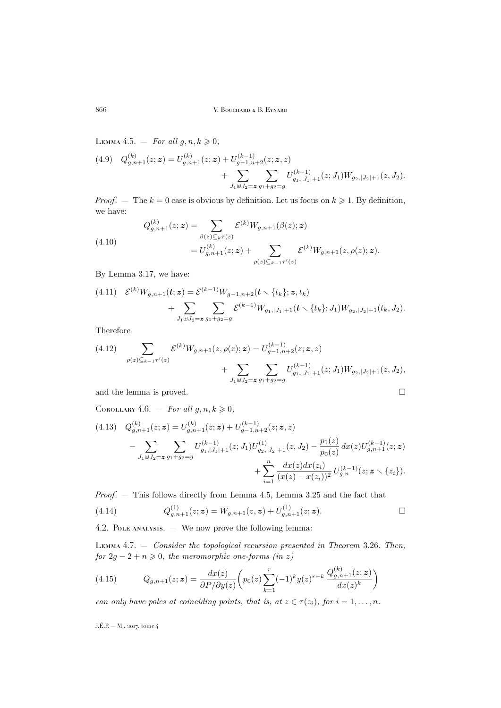<span id="page-22-1"></span>LEMMA 4.5.  $-$  *For all*  $g, n, k \geq 0$ ,

$$
(4.9) \quad Q_{g,n+1}^{(k)}(z;\mathbf{z}) = U_{g,n+1}^{(k)}(z;\mathbf{z}) + U_{g-1,n+2}^{(k-1)}(z;\mathbf{z},z) + \sum_{J_1 \uplus J_2 = \mathbf{z}} \sum_{g_1+g_2=g} U_{g_1,|J_1|+1}^{(k-1)}(z;J_1) W_{g_2,|J_2|+1}(z,J_2).
$$

*Proof.* — The  $k = 0$  case is obvious by definition. Let us focus on  $k \geq 1$ . By definition, we have:

(4.10)  
\n
$$
Q_{g,n+1}^{(k)}(z;\mathbf{z}) = \sum_{\beta(z)\subseteq_k \tau(z)} \mathcal{E}^{(k)} W_{g,n+1}(\beta(z); \mathbf{z})
$$
\n
$$
= U_{g,n+1}^{(k)}(z;\mathbf{z}) + \sum_{\rho(z)\subseteq_{k-1} \tau'(z)} \mathcal{E}^{(k)} W_{g,n+1}(z,\rho(z); \mathbf{z}).
$$

By Lemma [3.17,](#page-15-1) we have:

$$
(4.11) \quad \mathcal{E}^{(k)}W_{g,n+1}(\boldsymbol{t};\boldsymbol{z}) = \mathcal{E}^{(k-1)}W_{g-1,n+2}(\boldsymbol{t} \setminus \{t_k\};\boldsymbol{z},t_k) + \sum_{J_1 \uplus J_2 = \boldsymbol{z}} \sum_{g_1+g_2=g} \mathcal{E}^{(k-1)}W_{g_1,|J_1|+1}(\boldsymbol{t} \setminus \{t_k\};J_1)W_{g_2,|J_2|+1}(t_k,J_2).
$$

Therefore

$$
(4.12) \sum_{\rho(z)\subseteq_{k-1}\tau'(z)} \mathcal{E}^{(k)}W_{g,n+1}(z,\rho(z); \mathbf{z}) = U_{g-1,n+2}^{(k-1)}(z; \mathbf{z}, z) + \sum_{J_1\oplus J_2=\mathbf{z}} \sum_{g_1+g_2=g} U_{g_1,|J_1|+1}^{(k-1)}(z; J_1)W_{g_2,|J_2|+1}(z, J_2),
$$

and the lemma is proved.  $\hfill \square$ 

<span id="page-22-3"></span>COROLLARY 4.6.  $-$  *For all g, n, k*  $\geq 0$ *,* 

$$
(4.13) \quad Q_{g,n+1}^{(k)}(z;\mathbf{z}) = U_{g,n+1}^{(k)}(z;\mathbf{z}) + U_{g-1,n+2}^{(k-1)}(z;\mathbf{z},z) - \sum_{J_1 \uplus J_2 = \mathbf{z}} \sum_{g_1 + g_2 = g} U_{g_1,|J_1|+1}^{(k-1)}(z;J_1) U_{g_2,|J_2|+1}^{(1)}(z,J_2) - \frac{p_1(z)}{p_0(z)} dx(z) U_{g,n+1}^{(k-1)}(z;\mathbf{z}) + \sum_{i=1}^n \frac{dx(z)dx(z_i)}{(x(z) - x(z_i))^2} U_{g,n}^{(k-1)}(z;\mathbf{z} \setminus \{z_i\}).
$$

*Proof*. — This follows directly from Lemma [4.5,](#page-22-1) Lemma [3.25](#page-17-1) and the fact that

(4.14) 
$$
Q_{g,n+1}^{(1)}(z;\mathbf{z}) = W_{g,n+1}(z,\mathbf{z}) + U_{g,n+1}^{(1)}(z;\mathbf{z}). \square
$$

4.2. Pole analysis. — We now prove the following lemma:

<span id="page-22-0"></span>Lemma 4.7. — *Consider the topological recursion presented in Theorem* [3.26](#page-18-0)*. Then, for*  $2g - 2 + n \geq 0$ *, the meromorphic one-forms (in z)* 

<span id="page-22-2"></span>(4.15) 
$$
Q_{g,n+1}(z;\mathbf{z}) = \frac{dx(z)}{\partial P/\partial y(z)} \left( p_0(z) \sum_{k=1}^r (-1)^k y(z)^{r-k} \frac{Q_{g,n+1}^{(k)}(z;\mathbf{z})}{dx(z)^k} \right)
$$

*can only have poles at coinciding points, that is, at*  $z \in \tau(z_i)$ *, for*  $i = 1, \ldots, n$ *.*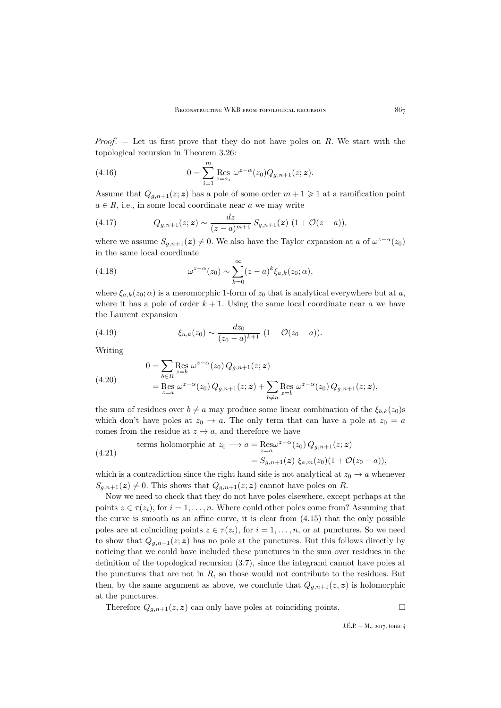*Proof*. — Let us first prove that they do not have poles on R. We start with the topological recursion in Theorem [3.26:](#page-18-0)

(4.16) 
$$
0 = \sum_{i=1}^{m} \text{Res}_{z=a_i} \omega^{z-\alpha}(z_0) Q_{g,n+1}(z; z).
$$

Assume that  $Q_{g,n+1}(z;\mathbf{z})$  has a pole of some order  $m+1 \geq 1$  at a ramification point  $a \in R$ , i.e., in some local coordinate near a we may write

(4.17) 
$$
Q_{g,n+1}(z;\mathbf{z}) \sim \frac{dz}{(z-a)^{m+1}} S_{g,n+1}(\mathbf{z}) \ (1 + \mathcal{O}(z-a)),
$$

where we assume  $S_{g,n+1}(z) \neq 0$ . We also have the Taylor expansion at a of  $\omega^{z-\alpha}(z_0)$ in the same local coordinate

(4.18) 
$$
\omega^{z-\alpha}(z_0) \sim \sum_{k=0}^{\infty} (z-a)^k \xi_{a,k}(z_0;\alpha),
$$

where  $\xi_{a,k}(z_0;\alpha)$  is a meromorphic 1-form of  $z_0$  that is analytical everywhere but at a, where it has a pole of order  $k + 1$ . Using the same local coordinate near a we have the Laurent expansion

(4.19) 
$$
\xi_{a,k}(z_0) \sim \frac{dz_0}{(z_0 - a)^{k+1}} (1 + \mathcal{O}(z_0 - a)).
$$

Writing

(4.20) 
$$
0 = \sum_{b \in R} \text{Res}_{z=b} \omega^{z-\alpha}(z_0) Q_{g,n+1}(z; z) = \text{Res}_{z=a} \omega^{z-\alpha}(z_0) Q_{g,n+1}(z; z) + \sum_{b \neq a} \text{Res}_{z=b} \omega^{z-\alpha}(z_0) Q_{g,n+1}(z; z),
$$

the sum of residues over  $b \neq a$  may produce some linear combination of the  $\xi_{b,k}(z_0)$ s which don't have poles at  $z_0 \rightarrow a$ . The only term that can have a pole at  $z_0 = a$ comes from the residue at  $z \to a$ , and therefore we have

(4.21)

\nterms holomorphic at 
$$
z_0 \longrightarrow a = \operatorname{Res}_{z=a} z^{z-\alpha}(z_0) Q_{g,n+1}(z; \mathbf{z})
$$

\n
$$
= S_{g,n+1}(\mathbf{z}) \xi_{a,m}(z_0) (1 + \mathcal{O}(z_0 - a)),
$$

which is a contradiction since the right hand side is not analytical at  $z_0 \rightarrow a$  whenever  $S_{g,n+1}(z) \neq 0$ . This shows that  $Q_{g,n+1}(z; z)$  cannot have poles on R.

Now we need to check that they do not have poles elsewhere, except perhaps at the points  $z \in \tau(z_i)$ , for  $i = 1, \ldots, n$ . Where could other poles come from? Assuming that the curve is smooth as an affine curve, it is clear from [\(4.15\)](#page-22-2) that the only possible poles are at coinciding points  $z \in \tau(z_i)$ , for  $i = 1, \ldots, n$ , or at punctures. So we need to show that  $Q_{g,n+1}(z; z)$  has no pole at the punctures. But this follows directly by noticing that we could have included these punctures in the sum over residues in the definition of the topological recursion [\(3.7\)](#page-12-0), since the integrand cannot have poles at the punctures that are not in  $R$ , so those would not contribute to the residues. But then, by the same argument as above, we conclude that  $Q_{g,n+1}(z, z)$  is holomorphic at the punctures.

Therefore  $Q_{g,n+1}(z, z)$  can only have poles at coinciding points.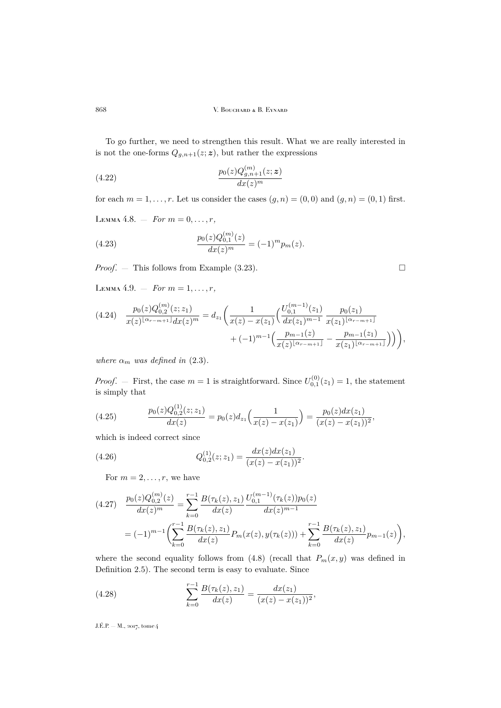To go further, we need to strengthen this result. What we are really interested in is not the one-forms  $Q_{g,n+1}(z;\boldsymbol{z})$ , but rather the expressions

(4.22) 
$$
\frac{p_0(z)Q_{g,n+1}^{(m)}(z;\mathbf{z})}{dx(z)^m}
$$

for each  $m = 1, \ldots, r$ . Let us consider the cases  $(g, n) = (0, 0)$  and  $(g, n) = (0, 1)$  first.

<span id="page-24-0"></span>LEMMA 4.8.  $-$  *For*  $m = 0, ..., r$ ,

(4.23) 
$$
\frac{p_0(z)Q_{0,1}^{(m)}(z)}{dx(z)^m} = (-1)^m p_m(z).
$$

*Proof*. — This follows from Example [\(3.23\)](#page-17-0).

<span id="page-24-1"></span>LEMMA 4.9. – *For*  $m = 1, ..., r$ ,

$$
(4.24) \quad \frac{p_0(z)Q_{0,2}^{(m)}(z;z_1)}{x(z)^{\lfloor \alpha_{r-m+1} \rfloor}dx(z)^m} = d_{z_1}\left(\frac{1}{x(z)-x(z_1)}\left(\frac{U_{0,1}^{(m-1)}(z_1)}{dx(z_1)^{m-1}}\frac{p_0(z_1)}{x(z_1)^{\lfloor \alpha_{r-m+1} \rfloor}} + (-1)^{m-1}\left(\frac{p_{m-1}(z)}{x(z)^{\lfloor \alpha_{r-m+1} \rfloor}} - \frac{p_{m-1}(z_1)}{x(z_1)^{\lfloor \alpha_{r-m+1} \rfloor}}\right)\right)\right),
$$

*where*  $\alpha_m$  *was defined in* [\(2.3\)](#page-7-3).

*Proof.* – First, the case  $m = 1$  is straightforward. Since  $U_{0,1}^{(0)}(z_1) = 1$ , the statement is simply that

(4.25) 
$$
\frac{p_0(z)Q_{0,2}^{(1)}(z;z_1)}{dx(z)} = p_0(z)d_{z_1}\left(\frac{1}{x(z)-x(z_1)}\right) = \frac{p_0(z)dx(z_1)}{(x(z)-x(z_1))^2},
$$

which is indeed correct since

(4.26) 
$$
Q_{0,2}^{(1)}(z;z_1) = \frac{dx(z)dx(z_1)}{(x(z) - x(z_1))^2}.
$$

For  $m = 2, \ldots, r$ , we have

$$
(4.27) \quad \frac{p_0(z)Q_{0,2}^{(m)}(z)}{dx(z)^m} = \sum_{k=0}^{r-1} \frac{B(\tau_k(z), z_1)}{dx(z)} \frac{U_{0,1}^{(m-1)}(\tau_k(z))p_0(z)}{dx(z)^{m-1}}
$$

$$
= (-1)^{m-1} \left( \sum_{k=0}^{r-1} \frac{B(\tau_k(z), z_1)}{dx(z)} P_m(x(z), y(\tau_k(z))) + \sum_{k=0}^{r-1} \frac{B(\tau_k(z), z_1)}{dx(z)} p_{m-1}(z) \right),
$$

where the second equality follows from [\(4.8\)](#page-21-0) (recall that  $P_m(x, y)$  was defined in Definition [2.5\)](#page-8-3). The second term is easy to evaluate. Since

(4.28) 
$$
\sum_{k=0}^{r-1} \frac{B(\tau_k(z), z_1)}{dx(z)} = \frac{dx(z_1)}{(x(z) - x(z_1))^2},
$$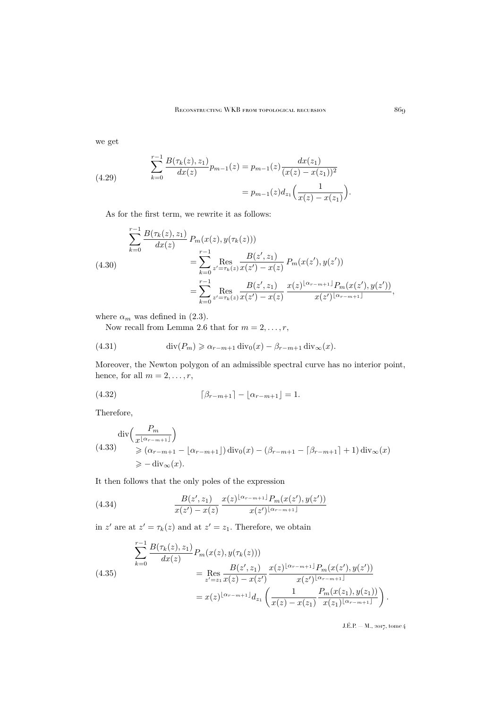we get

(4.29) 
$$
\sum_{k=0}^{r-1} \frac{B(\tau_k(z), z_1)}{dx(z)} p_{m-1}(z) = p_{m-1}(z) \frac{dx(z_1)}{(x(z) - x(z_1))^2}
$$

$$
= p_{m-1}(z) d_{z_1} \left(\frac{1}{x(z) - x(z_1)}\right).
$$

As for the first term, we rewrite it as follows:

$$
\sum_{k=0}^{r-1} \frac{B(\tau_k(z), z_1)}{dx(z)} P_m(x(z), y(\tau_k(z)))
$$
\n
$$
= \sum_{k=0}^{r-1} \operatorname{Res}_{z'=\tau_k(z)} \frac{B(z', z_1)}{x(z') - x(z)} P_m(x(z'), y(z'))
$$
\n
$$
= \sum_{k=0}^{r-1} \operatorname{Res}_{z'=\tau_k(z)} \frac{B(z', z_1)}{x(z') - x(z)} \frac{x(z)^{\lfloor \alpha_{r-m+1} \rfloor} P_m(x(z'), y(z'))}{x(z')^{\lfloor \alpha_{r-m+1} \rfloor}},
$$

where  $\alpha_m$  was defined in [\(2.3\)](#page-7-3).

Now recall from Lemma [2.6](#page-8-4) that for  $m = 2, \ldots, r$ ,

(4.31) 
$$
\operatorname{div}(P_m) \geq \alpha_{r-m+1} \operatorname{div}_0(x) - \beta_{r-m+1} \operatorname{div}_\infty(x).
$$

Moreover, the Newton polygon of an admissible spectral curve has no interior point, hence, for all  $m = 2, \ldots, r$ ,

$$
(4.32) \qquad \qquad [\beta_{r-m+1}] - \lfloor \alpha_{r-m+1} \rfloor = 1.
$$

Therefore,

<span id="page-25-0"></span>
$$
\begin{aligned} \operatorname{div} & \left( \frac{P_m}{x^{\lfloor \alpha_{r-m+1} \rfloor}} \right) \\ & \geqslant (\alpha_{r-m+1} - \lfloor \alpha_{r-m+1} \rfloor) \operatorname{div}_0(x) - (\beta_{r-m+1} - \lceil \beta_{r-m+1} \rceil + 1) \operatorname{div}_\infty(x) \\ &\geqslant -\operatorname{div}_\infty(x). \end{aligned}
$$

It then follows that the only poles of the expression

(4.34) 
$$
\frac{B(z', z_1)}{x(z') - x(z)} \frac{x(z)^{\lfloor \alpha_{r} - m + 1 \rfloor} P_m(x(z'), y(z'))}{x(z')^{\lfloor \alpha_{r} - m + 1 \rfloor}}
$$

in z' are at  $z' = \tau_k(z)$  and at  $z' = z_1$ . Therefore, we obtain

$$
\sum_{k=0}^{r-1} \frac{B(\tau_k(z), z_1)}{dx(z)} P_m(x(z), y(\tau_k(z)))
$$
\n
$$
= \operatorname{Res}_{z'=z_1} \frac{B(z', z_1)}{x(z) - x(z')} \frac{x(z)^{\lfloor \alpha_{r-m+1} \rfloor} P_m(x(z'), y(z'))}{x(z')^{\lfloor \alpha_{r-m+1} \rfloor}}
$$
\n
$$
= x(z)^{\lfloor \alpha_{r-m+1} \rfloor} d_{z_1} \left( \frac{1}{x(z) - x(z_1)} \frac{P_m(x(z_1), y(z_1))}{x(z_1)^{\lfloor \alpha_{r-m+1} \rfloor}} \right).
$$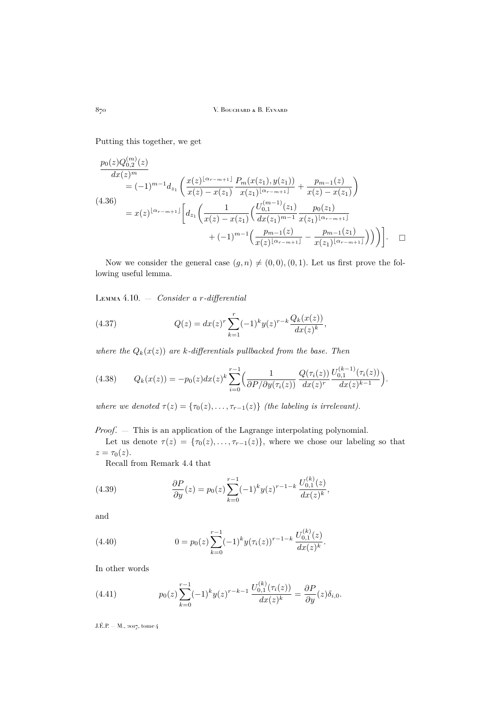Putting this together, we get

$$
\frac{p_0(z)Q_{0,2}^{(m)}(z)}{dx(z)^m}
$$
\n
$$
= (-1)^{m-1}d_{z_1}\left(\frac{x(z)^{\lfloor \alpha_{r-m+1} \rfloor}}{x(z)-x(z_1)}\frac{P_m(x(z_1),y(z_1))}{x(z_1)^{\lfloor \alpha_{r-m+1} \rfloor}} + \frac{p_{m-1}(z)}{x(z)-x(z_1)}\right)
$$
\n
$$
(4.36)
$$
\n
$$
= x(z)^{\lfloor \alpha_{r-m+1} \rfloor} \left[ d_{z_1}\left(\frac{1}{x(z)-x(z_1)}\left(\frac{U_{0,1}^{(m-1)}(z_1)}{dx(z_1)^{m-1}} \frac{p_0(z_1)}{x(z_1)^{\lfloor \alpha_{r-m+1} \rfloor}} + (-1)^{m-1}\left(\frac{p_{m-1}(z)}{x(z)^{\lfloor \alpha_{r-m+1} \rfloor}} - \frac{p_{m-1}(z_1)}{x(z_1)^{\lfloor \alpha_{r-m+1} \rfloor}}\right)\right) \right]. \quad \Box
$$

Now we consider the general case  $(g, n) \neq (0, 0), (0, 1)$ . Let us first prove the following useful lemma.

<span id="page-26-0"></span>Lemma 4.10. — *Consider a* r*-differential*

(4.37) 
$$
Q(z) = dx(z)^r \sum_{k=1}^r (-1)^k y(z)^{r-k} \frac{Q_k(x(z))}{dx(z)^k},
$$

*where the*  $Q_k(x(z))$  *are k*-differentials pullbacked from the base. Then

$$
(4.38) \qquad Q_k(x(z)) = -p_0(z)dx(z)^k \sum_{i=0}^{r-1} \Big(\frac{1}{\partial P/\partial y(\tau_i(z))} \frac{Q(\tau_i(z))}{dx(z)^r} \frac{U_{0,1}^{(k-1)}(\tau_i(z))}{dx(z)^{k-1}}\Big).
$$

*where we denoted*  $\tau(z) = {\tau_0(z), \ldots, \tau_{r-1}(z)}$  *(the labeling is irrelevant).* 

*Proof*. — This is an application of the Lagrange interpolating polynomial.

Let us denote  $\tau(z) = {\tau_0(z), \ldots, \tau_{r-1}(z)}$ , where we chose our labeling so that  $z = \tau_0(z)$ .

Recall from Remark [4.4](#page-21-1) that

(4.39) 
$$
\frac{\partial P}{\partial y}(z) = p_0(z) \sum_{k=0}^{r-1} (-1)^k y(z)^{r-1-k} \frac{U_{0,1}^{(k)}(z)}{dx(z)^k},
$$

and

(4.40) 
$$
0 = p_0(z) \sum_{k=0}^{r-1} (-1)^k y(\tau_i(z))^{r-1-k} \frac{U_{0,1}^{(k)}(z)}{dx(z)^k}.
$$

In other words

(4.41) 
$$
p_0(z)\sum_{k=0}^{r-1}(-1)^k y(z)^{r-k-1}\frac{U_{0,1}^{(k)}(\tau_i(z))}{dx(z)^k}=\frac{\partial P}{\partial y}(z)\delta_{i,0}.
$$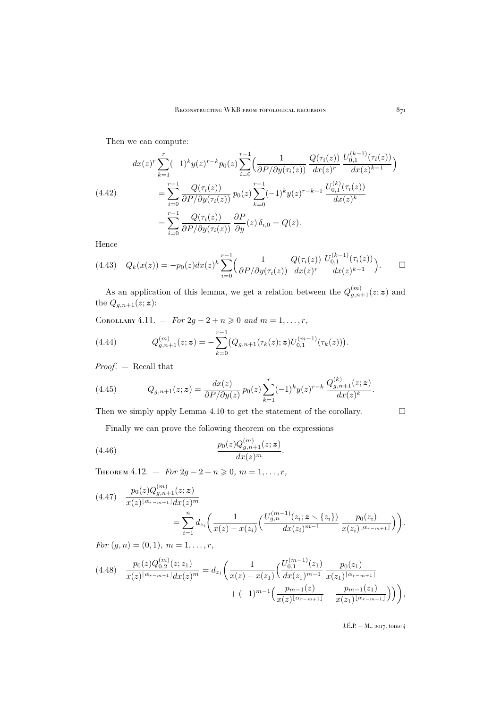Then we can compute:

$$
(4.42) \qquad \begin{aligned} -dx(z)^r \sum_{k=1}^r (-1)^k y(z)^{r-k} p_0(z) \sum_{i=0}^{r-1} \left( \frac{1}{\partial P/\partial y(\tau_i(z))} \frac{Q(\tau_i(z))}{dx(z)^r} \frac{U_{0,1}^{(k-1)}(\tau_i(z))}{dx(z)^{k-1}} \right) \\ &= \sum_{i=0}^{r-1} \frac{Q(\tau_i(z))}{\partial P/\partial y(\tau_i(z))} p_0(z) \sum_{k=0}^{r-1} (-1)^k y(z)^{r-k-1} \frac{U_{0,1}^{(k)}(\tau_i(z))}{dx(z)^k} \\ &= \sum_{i=0}^{r-1} \frac{Q(\tau_i(z))}{\partial P/\partial y(\tau_i(z))} \frac{\partial P}{\partial y}(z) \delta_{i,0} = Q(z). \end{aligned}
$$

Hence

$$
(4.43) \quad Q_k(x(z)) = -p_0(z)dx(z)^k \sum_{i=0}^{r-1} \left( \frac{1}{\partial P/\partial y(\tau_i(z))} \frac{Q(\tau_i(z))}{dx(z)^r} \frac{U_{0,1}^{(k-1)}(\tau_i(z))}{dx(z)^{k-1}} \right). \qquad \Box
$$

As an application of this lemma, we get a relation between the  $Q_{g,n+1}^{(m)}(z;\mathbf{z})$  and the  $Q_{g,n+1}(z;\boldsymbol{z})$ :

<span id="page-27-1"></span>COROLLARY 4.11. — *For*  $2g - 2 + n \ge 0$  *and*  $m = 1, ..., r$ ,

(4.44) 
$$
Q_{g,n+1}^{(m)}(z;\mathbf{z})=-\sum_{k=0}^{r-1}(Q_{g,n+1}(\tau_k(z);\mathbf{z})U_{0,1}^{(m-1)}(\tau_k(z))).
$$

*Proof*. — Recall that

(4.45) 
$$
Q_{g,n+1}(z;\mathbf{z}) = \frac{dx(z)}{\partial P/\partial y(z)} p_0(z) \sum_{k=1}^r (-1)^k y(z)^{r-k} \frac{Q_{g,n+1}^{(k)}(z;\mathbf{z})}{dx(z)^k}.
$$

Then we simply apply Lemma [4.10](#page-26-0) to get the statement of the corollary.  $\Box$ 

Finally we can prove the following theorem on the expressions

(4.46) 
$$
\frac{p_0(z)Q_{g,n+1}^{(m)}(z;z)}{dx(z)^m}.
$$

<span id="page-27-0"></span>THEOREM 4.12. – *For*  $2g - 2 + n \ge 0$ ,  $m = 1, ..., r$ ,

<span id="page-27-2"></span>
$$
(4.47) \frac{p_0(z)Q_{g,n+1}^{(m)}(z;z)}{x(z)^{\lfloor \alpha_{r-m+1} \rfloor}dx(z)^m}
$$
  
= 
$$
\sum_{i=1}^n d_{z_i} \left( \frac{1}{x(z) - x(z_i)} \left( \frac{U_{g,n}^{(m-1)}(z_i; z \setminus \{z_i\})}{dx(z_i)^{m-1}} \frac{p_0(z_i)}{x(z_i)^{\lfloor \alpha_{r-m+1} \rfloor}} \right) \right).
$$

*For*  $(g, n) = (0, 1), m = 1, \ldots, r$ *,* 

$$
(4.48) \quad \frac{p_0(z)Q_{0,2}^{(m)}(z;z_1)}{x(z)^{\lfloor \alpha_{r-m+1} \rfloor}dx(z)^m} = d_{z_1}\left(\frac{1}{x(z)-x(z_1)}\left(\frac{U_{0,1}^{(m-1)}(z_1)}{dx(z_1)^{m-1}}\frac{p_0(z_1)}{x(z_1)^{\lfloor \alpha_{r-m+1} \rfloor}} + (-1)^{m-1}\left(\frac{p_{m-1}(z)}{x(z)^{\lfloor \alpha_{r-m+1} \rfloor}} - \frac{p_{m-1}(z_1)}{x(z_1)^{\lfloor \alpha_{r-m+1} \rfloor}}\right)\right)\right),
$$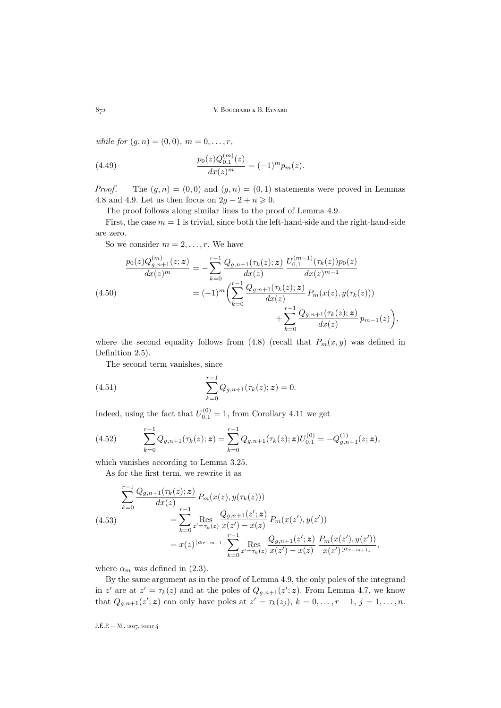*while for*  $(g, n) = (0, 0), m = 0, \ldots, r$ ,

(4.49) 
$$
\frac{p_0(z)Q_{0,1}^{(m)}(z)}{dx(z)^m} = (-1)^m p_m(z).
$$

*Proof.* – The  $(g, n) = (0, 0)$  and  $(g, n) = (0, 1)$  statements were proved in Lemmas [4.8](#page-24-0) and [4.9.](#page-24-1) Let us then focus on  $2g - 2 + n \ge 0$ .

The proof follows along similar lines to the proof of Lemma [4.9.](#page-24-1)

First, the case  $m = 1$  is trivial, since both the left-hand-side and the right-hand-side are zero.

So we consider  $m = 2, \ldots, r$ . We have

$$
\frac{p_0(z)Q_{g,n+1}^{(m)}(z;\mathbf{z})}{dx(z)^m} = -\sum_{k=0}^{r-1} \frac{Q_{g,n+1}(\tau_k(z);\mathbf{z})}{dx(z)} \frac{U_{0,1}^{(m-1)}(\tau_k(z))p_0(z)}{dx(z)^{m-1}}
$$
\n
$$
= (-1)^m \left( \sum_{k=0}^{r-1} \frac{Q_{g,n+1}(\tau_k(z);\mathbf{z})}{dx(z)} P_m(x(z), y(\tau_k(z))) + \sum_{k=0}^{r-1} \frac{Q_{g,n+1}(\tau_k(z);\mathbf{z})}{dx(z)} p_{m-1}(z) \right),
$$

where the second equality follows from [\(4.8\)](#page-21-0) (recall that  $P_m(x, y)$  was defined in Definition [2.5\)](#page-8-3).

The second term vanishes, since

(4.51) 
$$
\sum_{k=0}^{r-1} Q_{g,n+1}(\tau_k(z); z) = 0.
$$

Indeed, using the fact that  $U_{0,1}^{(0)} = 1$ , from Corollary [4.11](#page-27-1) we get

(4.52) 
$$
\sum_{k=0}^{r-1} Q_{g,n+1}(\tau_k(z); \mathbf{z}) = \sum_{k=0}^{r-1} Q_{g,n+1}(\tau_k(z); \mathbf{z}) U_{0,1}^{(0)} = -Q_{g,n+1}^{(1)}(z; \mathbf{z}),
$$

which vanishes according to Lemma [3.25.](#page-17-1)

As for the first term, we rewrite it as

$$
\sum_{k=0}^{r-1} \frac{Q_{g,n+1}(\tau_k(z); z)}{dx(z)} P_m(x(z), y(\tau_k(z)))
$$
\n
$$
= \sum_{k=0}^{r-1} \operatorname{Res}_{z'=\tau_k(z)} \frac{Q_{g,n+1}(z'; z)}{x(z') - x(z)} P_m(x(z'), y(z'))
$$
\n
$$
= x(z)^{\lfloor \alpha_{r-m+1} \rfloor} \sum_{k=0}^{r-1} \operatorname{Res}_{z'=\tau_k(z)} \frac{Q_{g,n+1}(z'; z)}{x(z') - x(z)} \frac{P_m(x(z'), y(z'))}{x(z')^{\lfloor \alpha_{r-m+1} \rfloor}},
$$

where  $\alpha_m$  was defined in [\(2.3\)](#page-7-3).

By the same argument as in the proof of Lemma [4.9,](#page-24-1) the only poles of the integrand in z' are at  $z' = \tau_k(z)$  and at the poles of  $Q_{g,n+1}(z'; z)$ . From Lemma [4.7,](#page-22-0) we know that  $Q_{g,n+1}(z';\mathbf{z})$  can only have poles at  $z' = \tau_k(z_j)$ ,  $k = 0, \ldots, r-1$ ,  $j = 1, \ldots, n$ .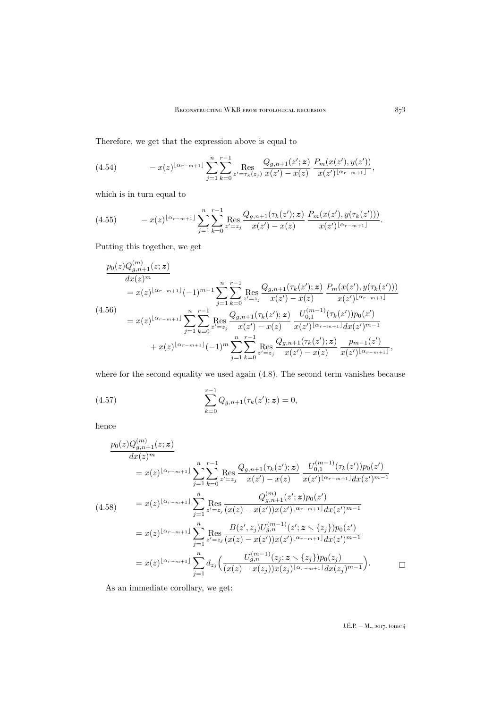Therefore, we get that the expression above is equal to

$$
(4.54) \t - x(z)^{\lfloor \alpha_{r-m+1} \rfloor} \sum_{j=1}^{n} \sum_{k=0}^{r-1} \text{Res}_{z'=\tau_k(z_j)} \frac{Q_{g,n+1}(z';z)}{x(z')-x(z)} \frac{P_m(x(z'),y(z'))}{x(z')^{\lfloor \alpha_{r-m+1} \rfloor}},
$$

which is in turn equal to

$$
(4.55) \t - x(z)^{\lfloor \alpha_{r-m+1} \rfloor} \sum_{j=1}^{n} \sum_{k=0}^{r-1} \text{Res}_{z'=z_j} \frac{Q_{g,n+1}(\tau_k(z');\mathbf{z})}{x(z') - x(z)} \frac{P_m(x(z'),y(\tau_k(z')))}{x(z')^{\lfloor \alpha_{r-m+1} \rfloor}}.
$$

Putting this together, we get

$$
\frac{p_0(z)Q_{g,n+1}^{(m)}(z;\mathbf{z})}{dx(z)^m}
$$
\n
$$
= x(z)^{\lfloor \alpha r - m + 1 \rfloor}(-1)^{m-1} \sum_{j=1}^n \sum_{k=0}^{r-1} \text{Res}_{z'=z_j} \frac{Q_{g,n+1}(\tau_k(z');\mathbf{z})}{x(z') - x(z)} \frac{P_m(x(z'),y(\tau_k(z')))}{x(z')^{\lfloor \alpha r - m + 1 \rfloor}}
$$
\n
$$
= x(z)^{\lfloor \alpha r - m + 1 \rfloor} \sum_{j=1}^n \sum_{k=0}^{r-1} \text{Res}_{z'=z_j} \frac{Q_{g,n+1}(\tau_k(z');\mathbf{z})}{x(z') - x(z)} \frac{U_{0,1}^{(m-1)}(\tau_k(z'))p_0(z')}{x(z')^{\lfloor \alpha r - m + 1 \rfloor} dx(z')^{m-1}}
$$
\n
$$
+ x(z)^{\lfloor \alpha r - m + 1 \rfloor}(-1)^m \sum_{j=1}^n \sum_{k=0}^{r-1} \text{Res}_{z'=z_j} \frac{Q_{g,n+1}(\tau_k(z');\mathbf{z})}{x(z') - x(z)} \frac{p_{m-1}(z')}{x(z')^{\lfloor \alpha r - m + 1 \rfloor}},
$$

where for the second equality we used again  $(4.8)$ . The second term vanishes because

(4.57) 
$$
\sum_{k=0}^{r-1} Q_{g,n+1}(\tau_k(z'); z) = 0,
$$

hence

$$
\frac{p_0(z)Q_{g,n+1}^{(m)}(z;z)}{dx(z)^m}
$$
\n
$$
= x(z)^{\lfloor \alpha_{r-m+1} \rfloor} \sum_{j=1}^n \sum_{k=0}^{r-1} \text{Res}_{z'=z_j} \frac{Q_{g,n+1}(\tau_k(z');z)}{x(z') - x(z)} \frac{U_{0,1}^{(m-1)}(\tau_k(z'))p_0(z')}{x(z')^{\lfloor \alpha_{r-m+1} \rfloor} dx(z')^{m-1}}
$$
\n
$$
(4.58) \qquad = x(z)^{\lfloor \alpha_{r-m+1} \rfloor} \sum_{j=1}^n \text{Res}_{z'=z_j} \frac{Q_{g,n+1}^{(m)}(z';z)p_0(z')}{(x(z) - x(z'))x(z')^{\lfloor \alpha_{r-m+1} \rfloor} dx(z')^{m-1}}
$$
\n
$$
= x(z)^{\lfloor \alpha_{r-m+1} \rfloor} \sum_{j=1}^n \text{Res}_{z'=z_j} \frac{B(z',z_j)U_{g,n}^{(m-1)}(z';z \setminus \{z_j\})p_0(z')}{(x(z) - x(z'))x(z')^{\lfloor \alpha_{r-m+1} \rfloor} dx(z')^{m-1}}
$$
\n
$$
= x(z)^{\lfloor \alpha_{r-m+1} \rfloor} \sum_{j=1}^n d_{z_j} \Big( \frac{U_{g,n}^{(m-1)}(z_j;z \setminus \{z_j\})p_0(z_j)}{(x(z) - x(z_j))x(z_j)^{\lfloor \alpha_{r-m+1} \rfloor} dx(z_j)^{m-1}} \Big).
$$

As an immediate corollary, we get: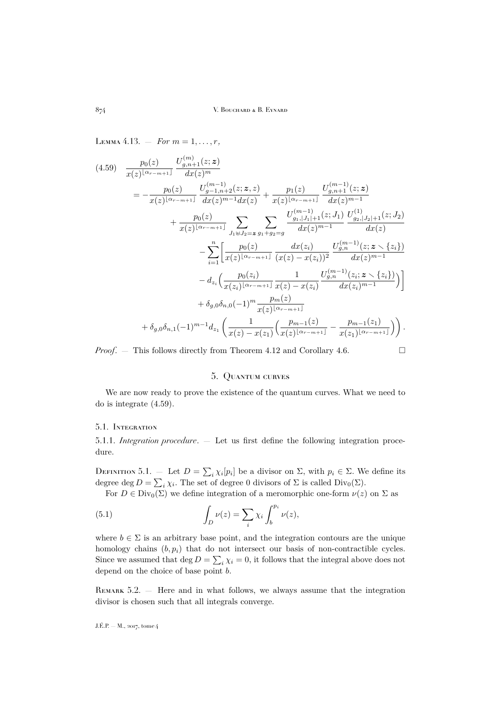<span id="page-30-2"></span><span id="page-30-1"></span>LEMMA 4.13. – *For*  $m = 1, ..., r$ ,  $(4.59) \quad \frac{p_0(z)}{x(z)^{\lfloor \alpha_{r-m+1} \rfloor}}$  $U_{g,n+1}^{(m)}(z;\bm{z})$  $dx(z)^m$  $=-\frac{p_0(z)}{z}$  $x(z)^{\lfloor \alpha_{r-m+1}\rfloor}$  $U_{g-1,n+2}^{\left(m-1\right)}(z;\boldsymbol{z},z)$  $\frac{f_{g-1,n+2}^{(m-1)}(z;\bm{z},z)}{dx(z)^{m-1}dx(z)}+\frac{p_1(z)}{x(z)^{\lfloor\alpha_{r-1}\rfloor}}$  $x(z)^{\lfloor \alpha_{r-m+1}\rfloor}$  $U_{g,n+1}^{(m-1)}(z;\bm{z})$  $dx(z)^{m-1}$  $+\frac{p_0(z)}{z}$  $rac{p_0(z)}{x(z)^{\lfloor \alpha_{r-m+1} \rfloor}} \sum_{l,m,n}$  $J_1 \uplus J_2 = z$  $\sum$  $g_1+g_2=g$  $U^{(m-1)}_{g_1,|J_1|+1}(z;J_1)$  $dx(z)^{m-1}$  $U^{(1)}_{g_2,|J_2|+1}(z;J_2)$  $dx(z)$  $-\sum_{n=1}^{n}$  $i=1$  $p_0(z)$  $x(z)^{\lfloor \alpha_{r-m+1}\rfloor}$  $dx(z_i)$  $(x(z) - x(z_i))^2$  $U_{g,n}^{(m-1)}(z;{\bm z}\smallsetminus\{z_i\})$  $dx(z)^{m-1}$  $-d_{z_i}\left(\frac{p_0(z_i)}{p(z_i)|\alpha_{z_i}|}\right)$  $x(z_i)^{\lfloor \alpha_{r-m+1}\rfloor}$ 1  $x(z) - x(z_i)$  $U_{g,n}^{(m-1)}(z_i;{\boldsymbol z} \smallsetminus \{z_i\})$  $dx(z_i)^{m-1}$  $\setminus$  $+\delta_{g,0}\delta_{n,0}(-1)^m\frac{p_m(z)}{x(z)^{\lfloor\alpha_{r-m+1}\rfloor}}$  $+\delta_{g,0}\delta_{n,1}(-1)^{m-1}d_{z_1}\left(\frac{1}{\sigma(z)}\right)$  $x(z) - x(z_1)$  $\left( \frac{p_{m-1}(z)}{p_{m-1}(z)} \right)$  $\frac{p_{m-1}(z)}{x(z)^{\lfloor \alpha_{r-m+1}\rfloor}}-\frac{p_{m-1}(z_1)}{x(z_1)^{\lfloor \alpha_{r-m+1}\rfloor}}$  $\frac{p_{m-1}(z_1)}{x(z_1)^{\lfloor \alpha_{r-m+1} \rfloor}}\bigg)\bigg).$ 

*Proof.* – This follows directly from Theorem [4.12](#page-27-0) and Corollary [4.6.](#page-22-3)

#### 5. Quantum curves

<span id="page-30-0"></span>We are now ready to prove the existence of the quantum curves. What we need to do is integrate [\(4.59\)](#page-30-1).

#### 5.1. Integration

5.1.1. *Integration procedure*. — Let us first define the following integration procedure.

DEFINITION 5.1. – Let  $D = \sum_i \chi_i[p_i]$  be a divisor on  $\Sigma$ , with  $p_i \in \Sigma$ . We define its degree deg  $D = \sum_i \chi_i$ . The set of degree 0 divisors of  $\Sigma$  is called  $Div_0(\Sigma)$ .

For  $D \in Div_0(\Sigma)$  we define integration of a meromorphic one-form  $\nu(z)$  on  $\Sigma$  as

(5.1) 
$$
\int_{D} \nu(z) = \sum_{i} \chi_{i} \int_{b}^{p_{i}} \nu(z),
$$

where  $b \in \Sigma$  is an arbitrary base point, and the integration contours are the unique homology chains  $(b, p_i)$  that do not intersect our basis of non-contractible cycles. Since we assumed that  $\deg D = \sum_i \chi_i = 0$ , it follows that the integral above does not depend on the choice of base point b.

Remark 5.2. — Here and in what follows, we always assume that the integration divisor is chosen such that all integrals converge.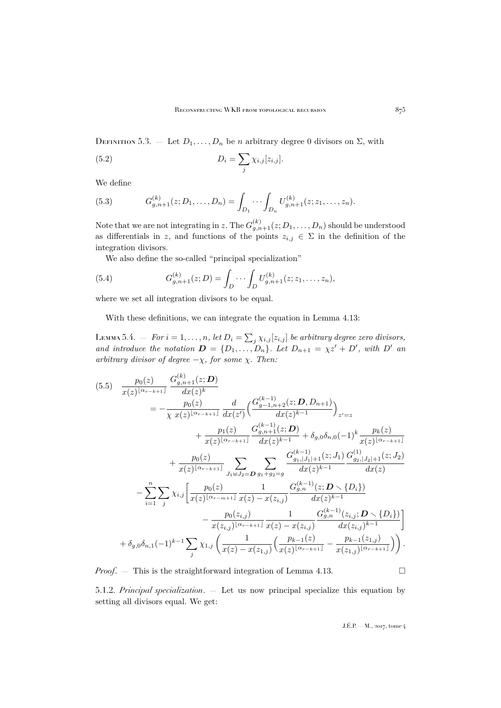DEFINITION 5.3. — Let  $D_1, \ldots, D_n$  be n arbitrary degree 0 divisors on  $\Sigma$ , with

(5.2) 
$$
D_i = \sum_j \chi_{i,j}[z_{i,j}].
$$

We define

(5.3) 
$$
G_{g,n+1}^{(k)}(z;D_1,\ldots,D_n) = \int_{D_1} \cdots \int_{D_n} U_{g,n+1}^{(k)}(z;z_1,\ldots,z_n).
$$

Note that we are not integrating in z. The  $G_{g,n+1}^{(k)}(z;D_1,\ldots,D_n)$  should be understood as differentials in z, and functions of the points  $z_{i,j} \in \Sigma$  in the definition of the integration divisors.

We also define the so-called "principal specialization"

(5.4) 
$$
G_{g,n+1}^{(k)}(z;D) = \int_D \cdots \int_D U_{g,n+1}^{(k)}(z; z_1, \ldots, z_n),
$$

where we set all integration divisors to be equal.

With these definitions, we can integrate the equation in Lemma [4.13:](#page-30-2)

LEMMA 5.4.  $-$  *For*  $i = 1, ..., n$ , let  $D_i = \sum_j \chi_{i,j}[z_{i,j}]$  be arbitrary degree zero divisors, *and introduce the notation*  $\mathbf{D} = \{D_1, \ldots, D_n\}$ . Let  $D_{n+1} = \chi z' + D'$ , with D' and *arbitrary divisor of degree*  $-\chi$ *, for some*  $\chi$ *. Then:* 

<span id="page-31-0"></span>(5.5) <sup>p</sup>0(z) x(z) bαr−k+1c G (k) g,n+1(z; D) dx(z) k = − p0(z) χ x(z) bαr−k+1c d dx(z 0) G (k−1) <sup>g</sup>−1,n+2(z; D, Dn+1) dx(z) k−1 z <sup>0</sup>=z + p1(z) x(z) bαr−k+1c G (k−1) g,n+1(z; D) dx(z) k−1 + δg,0δn,0(−1)<sup>k</sup> pk(z) x(z) bαr−k+1c + p0(z) x(z) bαr−k+1c X J1]J2=D X g1+g2=g G (k−1) <sup>g</sup>1,|J1|+1(z; J1) dx(z) k−1 G (1) <sup>g</sup>2,|J2|+1(z; J2) dx(z) − Xn i=1 X j <sup>χ</sup>i,j p0(z) x(z) bαr−m+1c 1 x(z) − x(zi,j ) G (k−1) g,n (z; D r {Di}) dx(z) k−1 − p0(zi,j ) x(zi,j ) bαr−k+1c 1 x(z) − x(zi,j ) G (k−1) g,n (zi,j ; D r {Di}) dx(zi,j ) k−1 + δg,0δn,1(−1)<sup>k</sup>−1X j <sup>χ</sup>1,j 1 x(z) − x(z1,j ) pk−1(z) x(z) bαr−k+1c − pk−1(z1,j ) x(z1,j ) bαr−k+1c .

*Proof.*  $-$  This is the straightforward integration of Lemma [4.13.](#page-30-2)  $\Box$ 

5.1.2. *Principal specialization*. — Let us now principal specialize this equation by setting all divisors equal. We get: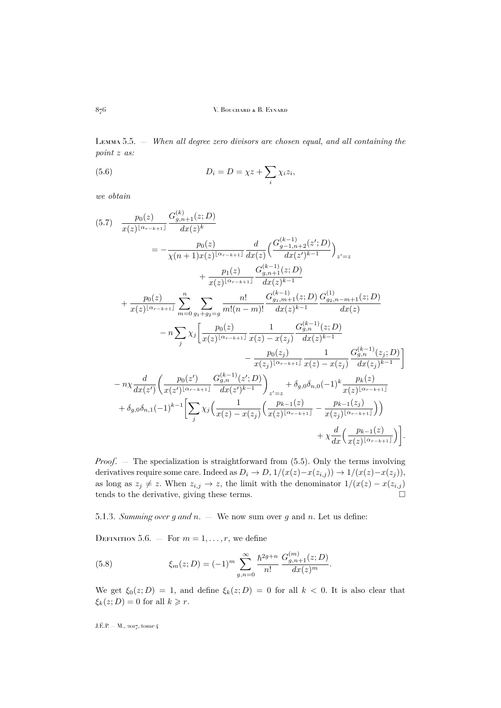Lemma 5.5. — *When all degree zero divisors are chosen equal, and all containing the point* z *as:*

(5.6) 
$$
D_i = D = \chi z + \sum_i \chi_i z_i,
$$

*we obtain*

<span id="page-32-0"></span>
$$
(5.7) \frac{p_0(z)}{x(z)^{\lfloor \alpha r - k + 1 \rfloor}} \frac{G_{g,n+1}^{(k)}(z;D)}{dx(z)^k}
$$
\n
$$
= -\frac{p_0(z)}{\chi(n+1)x(z)^{\lfloor \alpha r - k + 1 \rfloor}} \frac{d}{dx(z)} \left( \frac{G_{g-1,n+2}^{(k-1)}(z';D)}{dx(z)^{k-1}} \right)_{z'=z}
$$
\n
$$
+ \frac{p_1(z)}{x(z)^{\lfloor \alpha r - k + 1 \rfloor}} \frac{G_{g,n+1}^{(k-1)}(z;D)}{dx(z)^{k-1}}
$$
\n
$$
+ \frac{p_0(z)}{x(z)^{\lfloor \alpha r - k + 1 \rfloor}} \sum_{m=0}^n \sum_{g_1+g_2=g} \frac{n!}{m!(n-m)!} \frac{G_{g,n+1}^{(k-1)}(z;D)}{dx(z)^{k-1}} \frac{G_{g_2,n-m+1}^{(1)}(z;D)}{dx(z)}
$$
\n
$$
- n \sum_{j} \chi_j \left[ \frac{p_0(z)}{x(z)^{\lfloor \alpha r - k + 1 \rfloor}} \frac{1}{x(z) - x(z_j)} \frac{G_{g,n}^{(k-1)}(z;D)}{dx(z)^{k-1}} - \frac{p_0(z_j)}{x(z_j)^{\lfloor \alpha r - k + 1 \rfloor}} \frac{1}{x(z) - x(z_j)} \frac{G_{g,n}^{(k-1)}(z;D)}{dx(z)^{k-1}} \right]
$$
\n
$$
- n \chi \frac{d}{dx(z')} \left( \frac{p_0(z')}{x(z')^{\lfloor \alpha r - k + 1 \rfloor}} \frac{G_{g,n}^{(k-1)}(z';D)}{dx(z')^{k-1}} \right)_{z'=z} + \delta_{g,0} \delta_{n,0}(-1)^k \frac{p_k(z)}{x(z)^{\lfloor \alpha r - k + 1 \rfloor}} \frac{G_{g,n+1}^{(k-1)}(z;D)}{x(z)^{\lfloor \alpha r - k + 1 \rfloor}} + \delta_{g,0} \delta_{n,1}(-1)^{k-1} \left[ \sum_{j} \chi_j \left( \frac{1}{x(z) - x(z_j)} \left( \frac{p_{k-1}(z)}{x(z)^{\lfloor \alpha r - k + 1 \rf
$$

*Proof*. — The specialization is straightforward from [\(5.5\)](#page-31-0). Only the terms involving derivatives require some care. Indeed as  $D_i \to D$ ,  $1/(x(z)-x(z_{i,j})) \to 1/(x(z)-x(z_j)),$ as long as  $z_j \neq z$ . When  $z_{i,j} \to z$ , the limit with the denominator  $1/(x(z) - x(z_{i,j}))$ tends to the derivative, giving these terms.  $\Box$ 

5.1.3. *Summing over* g *and* n. — We now sum over g and n. Let us define:

DEFINITION 5.6. – For  $m = 1, \ldots, r$ , we define

(5.8) 
$$
\xi_m(z;D) = (-1)^m \sum_{g,n=0}^{\infty} \frac{\hbar^{2g+n}}{n!} \frac{G_{g,n+1}^{(m)}(z;D)}{dx(z)^m}.
$$

We get  $\xi_0(z; D) = 1$ , and define  $\xi_k(z; D) = 0$  for all  $k < 0$ . It is also clear that  $\xi_k(z; D) = 0$  for all  $k \geq r$ .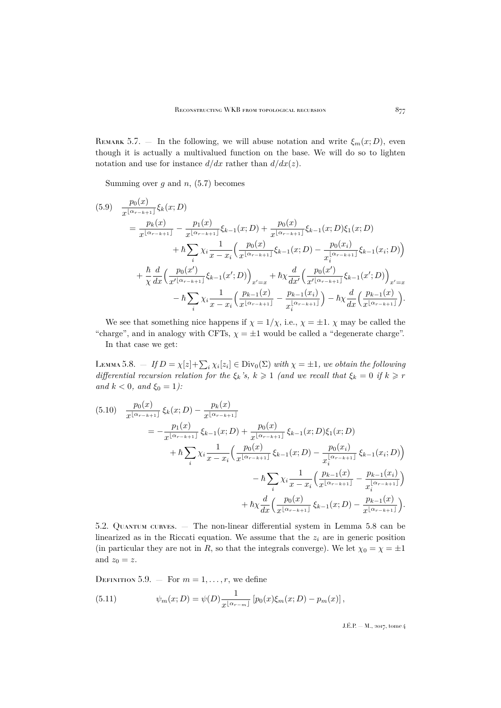REMARK 5.7. – In the following, we will abuse notation and write  $\xi_m(x;D)$ , even though it is actually a multivalued function on the base. We will do so to lighten notation and use for instance  $d/dx$  rather than  $d/dx(z)$ .

Summing over q and  $n$ , [\(5.7\)](#page-32-0) becomes

$$
(5.9) \frac{p_0(x)}{x^{\lfloor \alpha_{r-k+1} \rfloor}} \xi_k(x; D)
$$
  
\n
$$
= \frac{p_k(x)}{x^{\lfloor \alpha_{r-k+1} \rfloor}} - \frac{p_1(x)}{x^{\lfloor \alpha_{r-k+1} \rfloor}} \xi_{k-1}(x; D) + \frac{p_0(x)}{x^{\lfloor \alpha_{r-k+1} \rfloor}} \xi_{k-1}(x; D) \xi_1(x; D)
$$
  
\n
$$
+ \hbar \sum_i \chi_i \frac{1}{x - x_i} \left( \frac{p_0(x)}{x^{\lfloor \alpha_{r-k+1} \rfloor}} \xi_{k-1}(x; D) - \frac{p_0(x_i)}{x_i^{\lfloor \alpha_{r-k+1} \rfloor}} \xi_{k-1}(x; D) \right)
$$
  
\n
$$
+ \frac{\hbar}{\chi} \frac{d}{dx} \left( \frac{p_0(x')}{x'^{\lfloor \alpha_{r-k+1} \rfloor}} \xi_{k-1}(x'; D) \right)_{x'=x} + \hbar \chi \frac{d}{dx'} \left( \frac{p_0(x')}{x'^{\lfloor \alpha_{r-k+1} \rfloor}} \xi_{k-1}(x'; D) \right)_{x'=x}
$$
  
\n
$$
- \hbar \sum_i \chi_i \frac{1}{x - x_i} \left( \frac{p_{k-1}(x)}{x^{\lfloor \alpha_{r-k+1} \rfloor}} - \frac{p_{k-1}(x_i)}{x_i^{\lfloor \alpha_{r-k+1} \rfloor}} \right) - \hbar \chi \frac{d}{dx} \left( \frac{p_{k-1}(x)}{x^{\lfloor \alpha_{r-k+1} \rfloor}} \right).
$$

We see that something nice happens if  $\chi = 1/\chi$ , i.e.,  $\chi = \pm 1$ .  $\chi$  may be called the "charge", and in analogy with CFTs,  $\chi = \pm 1$  would be called a "degenerate charge". In that case we get:

<span id="page-33-0"></span>LEMMA 5.8.  $-If D = \chi[z]+\sum_i \chi_i[z_i] \in \text{Div}_0(\Sigma)$  with  $\chi = \pm 1$ , we obtain the following *differential recursion relation for the*  $\xi_k$ 's,  $k \ge 1$  *(and we recall that*  $\xi_k = 0$  *if*  $k \ge r$ *and*  $k < 0$ *, and*  $\xi_0 = 1$ *):* 

<span id="page-33-1"></span>
$$
(5.10) \frac{p_0(x)}{x^{\lfloor \alpha_{r-k+1} \rfloor}} \xi_k(x; D) - \frac{p_k(x)}{x^{\lfloor \alpha_{r-k+1} \rfloor}} = -\frac{p_1(x)}{x^{\lfloor \alpha_{r-k+1} \rfloor}} \xi_{k-1}(x; D) + \frac{p_0(x)}{x^{\lfloor \alpha_{r-k+1} \rfloor}} \xi_{k-1}(x; D) \xi_1(x; D) + \hbar \sum_i \chi_i \frac{1}{x - x_i} \Big( \frac{p_0(x)}{x^{\lfloor \alpha_{r-k+1} \rfloor}} \xi_{k-1}(x; D) - \frac{p_0(x_i)}{x^{\lfloor \alpha_{r-k+1} \rfloor}} \xi_{k-1}(x; D) \Big) - \hbar \sum_i \chi_i \frac{1}{x - x_i} \Big( \frac{p_{k-1}(x)}{x^{\lfloor \alpha_{r-k+1} \rfloor}} - \frac{p_{k-1}(x_i)}{x^{\lfloor \alpha_{r-k+1} \rfloor}} \Big) + \hbar \chi \frac{d}{dx} \Big( \frac{p_0(x)}{x^{\lfloor \alpha_{r-k+1} \rfloor}} \xi_{k-1}(x; D) - \frac{p_{k-1}(x)}{x^{\lfloor \alpha_{r-k+1} \rfloor}} \Big).
$$

5.2. Quantum curves. — The non-linear differential system in Lemma [5.8](#page-33-0) can be linearized as in the Riccati equation. We assume that the  $z_i$  are in generic position (in particular they are not in R, so that the integrals converge). We let  $\chi_0 = \chi = \pm 1$ and  $z_0 = z$ .

DEFINITION 5.9. – For  $m = 1, \ldots, r$ , we define

(5.11) 
$$
\psi_m(x; D) = \psi(D) \frac{1}{x^{\lfloor \alpha_{r-m} \rfloor}} \left[ p_0(x) \xi_m(x; D) - p_m(x) \right],
$$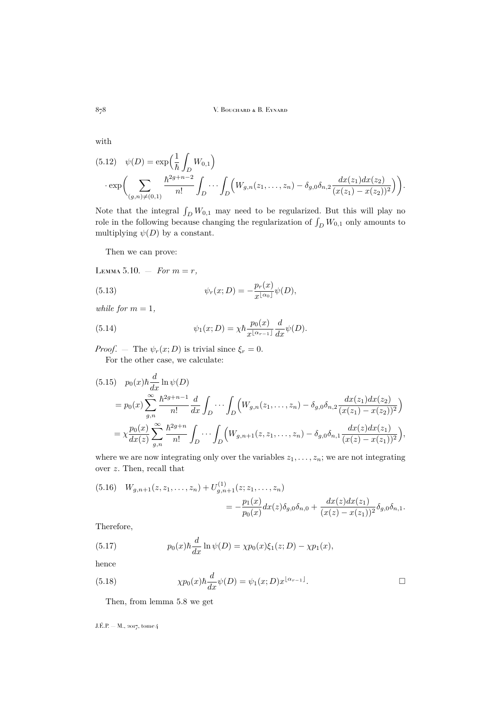with

<span id="page-34-1"></span>
$$
(5.12) \quad \psi(D) = \exp\left(\frac{1}{\hbar} \int_D W_{0,1}\right) \cdot \exp\left(\sum_{(g,n)\neq(0,1)} \frac{\hbar^{2g+n-2}}{n!} \int_D \cdots \int_D \left(W_{g,n}(z_1,\ldots,z_n) - \delta_{g,0}\delta_{n,2} \frac{dx(z_1)dx(z_2)}{(x(z_1)-x(z_2))^2}\right)\right).
$$

Note that the integral  $\int_D W_{0,1}$  may need to be regularized. But this will play no role in the following because changing the regularization of  $\int_D W_{0,1}$  only amounts to multiplying  $\psi(D)$  by a constant.

Then we can prove:

<span id="page-34-0"></span>LEMMA 5.10. – *For*  $m = r$ ,

(5.13) 
$$
\psi_r(x; D) = -\frac{p_r(x)}{x^{\lfloor \alpha_0 \rfloor}} \psi(D),
$$

*while for*  $m = 1$ *,* 

(5.14) 
$$
\psi_1(x;D) = \chi \hbar \frac{p_0(x)}{x^{\lfloor \alpha_{r-1} \rfloor}} \frac{d}{dx} \psi(D).
$$

*Proof.* — The  $\psi_r(x; D)$  is trivial since  $\xi_r = 0$ .

For the other case, we calculate:

$$
(5.15) \quad p_0(x)\hbar \frac{d}{dx}\ln \psi(D)
$$
  
=  $p_0(x)\sum_{g,n}^{\infty} \frac{\hbar^2 g+n-1}{n!} \frac{d}{dx} \int_D \cdots \int_D \left(W_{g,n}(z_1,\ldots,z_n) - \delta_{g,0}\delta_{n,2} \frac{dx(z_1)dx(z_2)}{(x(z_1) - x(z_2))^2}\right)$   
=  $\chi \frac{p_0(x)}{dx(z)} \sum_{g,n}^{\infty} \frac{\hbar^2 g+n}{n!} \int_D \cdots \int_D \left(W_{g,n+1}(z,z_1,\ldots,z_n) - \delta_{g,0}\delta_{n,1} \frac{dx(z)dx(z_1)}{(x(z) - x(z_1))^2}\right),$ 

where we are now integrating only over the variables  $z_1, \ldots, z_n$ ; we are not integrating over z. Then, recall that

$$
(5.16) \quad W_{g,n+1}(z, z_1, \dots, z_n) + U_{g,n+1}^{(1)}(z; z_1, \dots, z_n)
$$
  
= 
$$
-\frac{p_1(x)}{p_0(x)} dx(z) \delta_{g,0} \delta_{n,0} + \frac{dx(z)dx(z_1)}{(x(z) - x(z_1))^2} \delta_{g,0} \delta_{n,1}.
$$

Therefore,

(5.17) 
$$
p_0(x)\hbar \frac{d}{dx}\ln \psi(D) = \chi p_0(x)\xi_1(z;D) - \chi p_1(x),
$$

hence

(5.18) 
$$
\chi p_0(x)\hbar \frac{d}{dx}\psi(D) = \psi_1(x;D)x^{\lfloor \alpha_{r-1} \rfloor}.
$$

Then, from lemma [5.8](#page-33-0) we get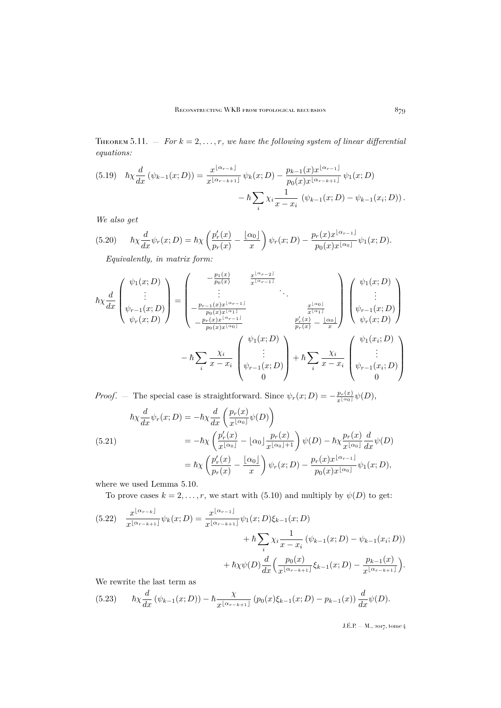<span id="page-35-0"></span>THEOREM 5.11.  $-$  *For*  $k = 2, ..., r$ *, we have the following system of linear differential equations:*

$$
(5.19) \quad \hbar\chi \frac{d}{dx} \left( \psi_{k-1}(x;D) \right) = \frac{x^{\lfloor \alpha_{r-k} \rfloor}}{x^{\lfloor \alpha_{r-k+1} \rfloor}} \psi_k(x;D) - \frac{p_{k-1}(x)x^{\lfloor \alpha_{r-1} \rfloor}}{p_0(x)x^{\lfloor \alpha_{r-k+1} \rfloor}} \psi_1(x;D) - \hbar \sum_i \chi_i \frac{1}{x - x_i} \left( \psi_{k-1}(x;D) - \psi_{k-1}(x;D) \right).
$$

*We also get*

$$
(5.20) \qquad \hbar\chi \frac{d}{dx}\psi_r(x;D) = \hbar\chi \left(\frac{p'_r(x)}{p_r(x)} - \frac{\lfloor \alpha_0 \rfloor}{x}\right)\psi_r(x;D) - \frac{p_r(x)x^{\lfloor \alpha_{r-1} \rfloor}}{p_0(x)x^{\lfloor \alpha_0 \rfloor}}\psi_1(x;D).
$$

*Equivalently, in matrix form:*

$$
\hbar \chi \frac{d}{dx} \begin{pmatrix} \psi_1(x; D) \\ \vdots \\ \psi_{r-1}(x; D) \\ \psi_r(x; D) \end{pmatrix} = \begin{pmatrix} -\frac{p_1(x)}{p_0(x)} & \frac{x^{\lfloor \alpha_{r-2} \rfloor}}{x^{\lfloor \alpha_{r-1} \rfloor}} & \cdots & \cdots & \cdots \\ -\frac{p_{r-1}(x)x^{\lfloor \alpha_{r-1} \rfloor}}{p_0(x)x^{\lfloor \alpha_{r-1} \rfloor}} & \frac{x^{\lfloor \alpha_0 \rfloor}}{x^{\lfloor \alpha_1 \rfloor}} & \psi_r(x; D) \\ -\frac{p_r(x)x^{\lfloor \alpha_{r-1} \rfloor}}{p_0(x)x^{\lfloor \alpha_{r-1} \rfloor}} & \psi_r(x) \\ -\hbar \sum_{i} \frac{\chi_i}{x - x_i} \begin{pmatrix} \psi_1(x; D) \\ \vdots \\ \psi_{r-1}(x; D) \\ \psi_{r-1}(x; D) \\ 0 \end{pmatrix} + \hbar \sum_{i} \frac{\chi_i}{x - x_i} \begin{pmatrix} \psi_1(x; D) \\ \vdots \\ \psi_{r-1}(x; D) \\ 0 \end{pmatrix}
$$

*Proof.* – The special case is straightforward. Since  $\psi_r(x; D) = -\frac{p_r(x)}{x^{\lfloor \alpha_0 \rfloor}} \psi(D)$ ,

(5.21) 
$$
\hbar \chi \frac{d}{dx} \psi_r(x; D) = -\hbar \chi \frac{d}{dx} \left( \frac{p_r(x)}{x^{\lfloor \alpha_0 \rfloor}} \psi(D) \right)
$$

$$
= -\hbar \chi \left( \frac{p'_r(x)}{x^{\lfloor \alpha_0 \rfloor}} - \lfloor \alpha_0 \rfloor \frac{p_r(x)}{x^{\lfloor \alpha_0 \rfloor + 1}} \right) \psi(D) - \hbar \chi \frac{p_r(x)}{x^{\lfloor \alpha_0 \rfloor}} \frac{d}{dx} \psi(D)
$$

$$
= \hbar \chi \left( \frac{p'_r(x)}{p_r(x)} - \frac{\lfloor \alpha_0 \rfloor}{x} \right) \psi_r(x; D) - \frac{p_r(x)x^{\lfloor \alpha_{r-1} \rfloor}}{p_0(x)x^{\lfloor \alpha_0 \rfloor}} \psi_1(x; D),
$$

where we used Lemma [5.10.](#page-34-0)

To prove cases  $k = 2, ..., r$ , we start with [\(5.10\)](#page-33-1) and multiply by  $\psi(D)$  to get:

$$
(5.22) \frac{x^{\lfloor \alpha_{r-k} \rfloor}}{x^{\lfloor \alpha_{r-k+1} \rfloor}} \psi_k(x;D) = \frac{x^{\lfloor \alpha_{r-1} \rfloor}}{x^{\lfloor \alpha_{r-k+1} \rfloor}} \psi_1(x;D) \xi_{k-1}(x;D) + \hbar \sum_i \chi_i \frac{1}{x - x_i} (\psi_{k-1}(x;D) - \psi_{k-1}(x;D)) + \hbar \chi \psi(D) \frac{d}{dx} \Big( \frac{p_0(x)}{x^{\lfloor \alpha_{r-k+1} \rfloor}} \xi_{k-1}(x;D) - \frac{p_{k-1}(x)}{x^{\lfloor \alpha_{r-k+1} \rfloor}} \Big).
$$

We rewrite the last term as

$$
(5.23) \qquad \hbar\chi \frac{d}{dx} \left( \psi_{k-1}(x;D) \right) - \hbar \frac{\chi}{x^{\lfloor \alpha_{r-k+1} \rfloor}} \left( p_0(x)\xi_{k-1}(x;D) - p_{k-1}(x) \right) \frac{d}{dx} \psi(D).
$$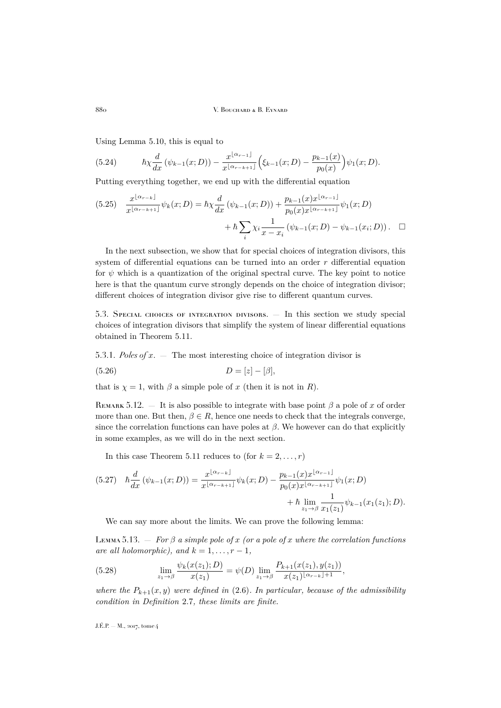Using Lemma [5.10,](#page-34-0) this is equal to

(5.24) 
$$
\hbar \chi \frac{d}{dx} (\psi_{k-1}(x;D)) - \frac{x^{\lfloor \alpha_{r-1} \rfloor}}{x^{\lfloor \alpha_{r-k+1} \rfloor}} \Big( \xi_{k-1}(x;D) - \frac{p_{k-1}(x)}{p_0(x)} \Big) \psi_1(x;D).
$$

Putting everything together, we end up with the differential equation

$$
(5.25) \quad \frac{x^{\lfloor \alpha_{r-k} \rfloor}}{x^{\lfloor \alpha_{r-k+1} \rfloor}} \psi_k(x;D) = \hbar \chi \frac{d}{dx} \left( \psi_{k-1}(x;D) \right) + \frac{p_{k-1}(x)x^{\lfloor \alpha_{r-1} \rfloor}}{p_0(x)x^{\lfloor \alpha_{r-k+1} \rfloor}} \psi_1(x;D) + \hbar \sum_i \chi_i \frac{1}{x - x_i} \left( \psi_{k-1}(x;D) - \psi_{k-1}(x;D) \right). \quad \Box
$$

In the next subsection, we show that for special choices of integration divisors, this system of differential equations can be turned into an order  $r$  differential equation for  $\psi$  which is a quantization of the original spectral curve. The key point to notice here is that the quantum curve strongly depends on the choice of integration divisor; different choices of integration divisor give rise to different quantum curves.

5.3. Special choices of integration divisors. — In this section we study special choices of integration divisors that simplify the system of linear differential equations obtained in Theorem [5.11.](#page-35-0)

5.3.1. *Poles of* x. — The most interesting choice of integration divisor is

$$
(5.26)\qquad \qquad D=[z]-[\beta],
$$

that is  $\chi = 1$ , with  $\beta$  a simple pole of x (then it is not in R).

REMARK 5.12. — It is also possible to integrate with base point  $\beta$  a pole of x of order more than one. But then,  $\beta \in R$ , hence one needs to check that the integrals converge, since the correlation functions can have poles at  $\beta$ . We however can do that explicitly in some examples, as we will do in the next section.

In this case Theorem [5.11](#page-35-0) reduces to (for  $k = 2, \ldots, r$ )

$$
(5.27) \quad \hbar \frac{d}{dx} \left( \psi_{k-1}(x;D) \right) = \frac{x^{\lfloor \alpha_{r-k} \rfloor}}{x^{\lfloor \alpha_{r-k+1} \rfloor}} \psi_k(x;D) - \frac{p_{k-1}(x)x^{\lfloor \alpha_{r-1} \rfloor}}{p_0(x)x^{\lfloor \alpha_{r-k+1} \rfloor}} \psi_1(x;D) + \hbar \lim_{z_1 \to \beta} \frac{1}{x_1(z_1)} \psi_{k-1}(x_1(z_1);D).
$$

We can say more about the limits. We can prove the following lemma:

LEMMA 5.13.  $-$  *For*  $\beta$  *a simple pole of* x *(or a pole of* x *where the correlation functions are all holomorphic), and*  $k = 1, \ldots, r - 1$ *,* 

(5.28) 
$$
\lim_{z_1 \to \beta} \frac{\psi_k(x(z_1); D)}{x(z_1)} = \psi(D) \lim_{z_1 \to \beta} \frac{P_{k+1}(x(z_1), y(z_1))}{x(z_1)^{\lfloor \alpha_{r-k} \rfloor + 1}},
$$

*where the*  $P_{k+1}(x, y)$  *were defined in* [\(2.6\)](#page-8-5)*. In particular, because of the admissibility condition in Definition* [2.7](#page-8-2)*, these limits are finite.*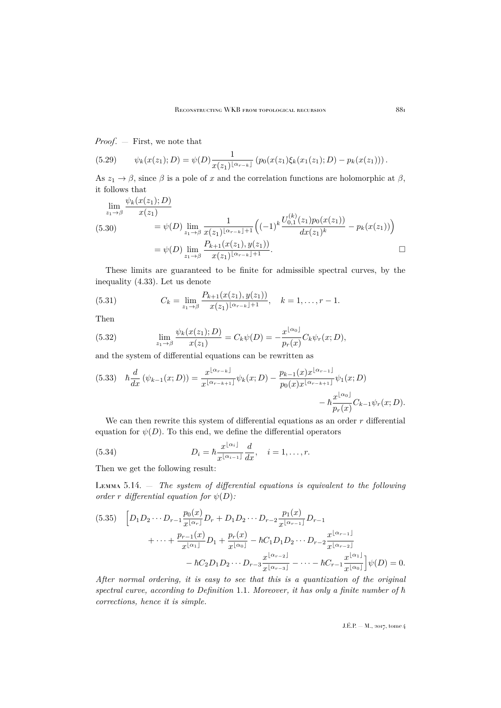*Proof*. — First, we note that

(5.29) 
$$
\psi_k(x(z_1);D) = \psi(D) \frac{1}{x(z_1)^{\lfloor \alpha_{r-k} \rfloor}} \left( p_0(x(z_1)\xi_k(x_1(z_1);D) - p_k(x(z_1)) \right).
$$

As  $z_1 \to \beta$ , since  $\beta$  is a pole of x and the correlation functions are holomorphic at  $\beta$ , it follows that

$$
\lim_{z_1 \to \beta} \frac{\psi_k(x(z_1); D)}{x(z_1)} = \psi(D) \lim_{z_1 \to \beta} \frac{1}{x(z_1)^{\lfloor \alpha_{r-k} \rfloor + 1}} \Big( (-1)^k \frac{U_{0,1}^{(k)}(z_1) p_0(x(z_1))}{dx(z_1)^k} - p_k(x(z_1)) \Big)
$$
\n
$$
= \psi(D) \lim_{z_1 \to \beta} \frac{P_{k+1}(x(z_1), y(z_1))}{x(z_1)^{\lfloor \alpha_{r-k} \rfloor + 1}}.
$$

These limits are guaranteed to be finite for admissible spectral curves, by the inequality [\(4.33\)](#page-25-0). Let us denote

(5.31) 
$$
C_k = \lim_{z_1 \to \beta} \frac{P_{k+1}(x(z_1), y(z_1))}{x(z_1)^{\lfloor \alpha_{r-k} \rfloor + 1}}, \quad k = 1, \dots, r-1.
$$

Then

(5.32) 
$$
\lim_{z_1 \to \beta} \frac{\psi_k(x(z_1); D)}{x(z_1)} = C_k \psi(D) = -\frac{x^{\lfloor \alpha_0 \rfloor}}{p_r(x)} C_k \psi_r(x; D),
$$

and the system of differential equations can be rewritten as

<span id="page-37-1"></span>
$$
(5.33) \quad \hbar \frac{d}{dx} \left( \psi_{k-1}(x;D) \right) = \frac{x^{\lfloor \alpha_{r-k} \rfloor}}{x^{\lfloor \alpha_{r-k+1} \rfloor}} \psi_k(x;D) - \frac{p_{k-1}(x)x^{\lfloor \alpha_{r-1} \rfloor}}{p_0(x)x^{\lfloor \alpha_{r-k+1} \rfloor}} \psi_1(x;D) - \hbar \frac{x^{\lfloor \alpha_0 \rfloor}}{p_r(x)} C_{k-1} \psi_r(x;D).
$$

We can then rewrite this system of differential equations as an order  $r$  differential equation for  $\psi(D)$ . To this end, we define the differential operators

(5.34) 
$$
D_i = \hbar \frac{x^{\lfloor \alpha_i \rfloor}}{x^{\lfloor \alpha_{i-1} \rfloor}} \frac{d}{dx}, \quad i = 1, ..., r.
$$

Then we get the following result:

<span id="page-37-0"></span>Lemma 5.14. — *The system of differential equations is equivalent to the following order r* differential equation for  $\psi(D)$ :

$$
(5.35) \quad \left[D_1D_2\cdots D_{r-1}\frac{p_0(x)}{x^{\lfloor \alpha_r \rfloor}}D_r + D_1D_2\cdots D_{r-2}\frac{p_1(x)}{x^{\lfloor \alpha_{r-1} \rfloor}}D_{r-1} + \cdots + \frac{p_{r-1}(x)}{x^{\lfloor \alpha_1 \rfloor}}D_1 + \frac{p_r(x)}{x^{\lfloor \alpha_0 \rfloor}} - \hbar C_1D_1D_2\cdots D_{r-2}\frac{x^{\lfloor \alpha_{r-1} \rfloor}}{x^{\lfloor \alpha_{r-2} \rfloor}} - \hbar C_2D_1D_2\cdots D_{r-3}\frac{x^{\lfloor \alpha_{r-2} \rfloor}}{x^{\lfloor \alpha_{r-3} \rfloor}} - \cdots - \hbar C_{r-1}\frac{x^{\lfloor \alpha_1 \rfloor}}{x^{\lfloor \alpha_0 \rfloor}}\right]\psi(D) = 0.
$$

*After normal ordering, it is easy to see that this is a quantization of the original spectral curve, according to Definition* [1.1](#page-3-1)*. Moreover, it has only a finite number of*  $\hbar$ *corrections, hence it is simple.*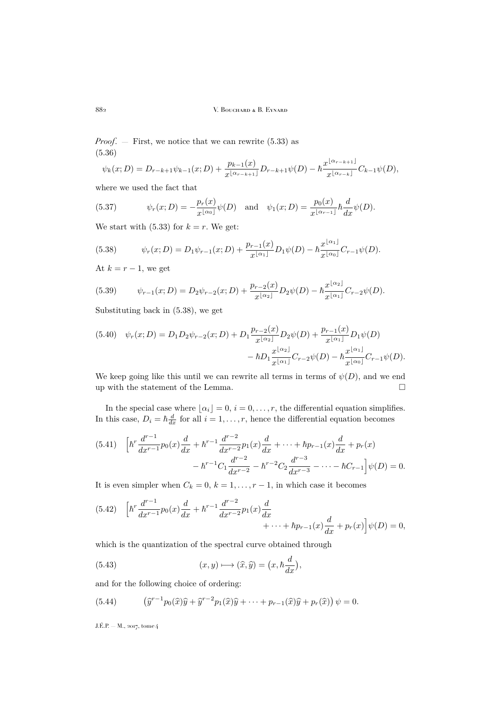*Proof*. — First, we notice that we can rewrite [\(5.33\)](#page-37-1) as (5.36)

$$
\psi_k(x;D) = D_{r-k+1}\psi_{k-1}(x;D) + \frac{p_{k-1}(x)}{x^{\lfloor \alpha_{r-k+1} \rfloor}}D_{r-k+1}\psi(D) - \hbar \frac{x^{\lfloor \alpha_{r-k+1} \rfloor}}{x^{\lfloor \alpha_{r-k} \rfloor}}C_{k-1}\psi(D),
$$

where we used the fact that

(5.37) 
$$
\psi_r(x; D) = -\frac{p_r(x)}{x^{\lfloor \alpha_0 \rfloor}} \psi(D) \text{ and } \psi_1(x; D) = \frac{p_0(x)}{x^{\lfloor \alpha_{r-1} \rfloor}} \hbar \frac{d}{dx} \psi(D).
$$

We start with [\(5.33\)](#page-37-1) for  $k = r$ . We get:

<span id="page-38-0"></span>(5.38) 
$$
\psi_r(x; D) = D_1 \psi_{r-1}(x; D) + \frac{p_{r-1}(x)}{x^{\lfloor \alpha_1 \rfloor}} D_1 \psi(D) - \hbar \frac{x^{\lfloor \alpha_1 \rfloor}}{x^{\lfloor \alpha_0 \rfloor}} C_{r-1} \psi(D).
$$

At  $k = r - 1$ , we get

(5.39) 
$$
\psi_{r-1}(x;D) = D_2 \psi_{r-2}(x;D) + \frac{p_{r-2}(x)}{x^{\lfloor \alpha_2 \rfloor}} D_2 \psi(D) - \hbar \frac{x^{\lfloor \alpha_2 \rfloor}}{x^{\lfloor \alpha_1 \rfloor}} C_{r-2} \psi(D).
$$

Substituting back in [\(5.38\)](#page-38-0), we get

$$
(5.40) \quad \psi_r(x;D) = D_1 D_2 \psi_{r-2}(x;D) + D_1 \frac{p_{r-2}(x)}{x^{\lfloor \alpha_2 \rfloor}} D_2 \psi(D) + \frac{p_{r-1}(x)}{x^{\lfloor \alpha_1 \rfloor}} D_1 \psi(D)
$$

$$
- \hbar D_1 \frac{x^{\lfloor \alpha_2 \rfloor}}{x^{\lfloor \alpha_1 \rfloor}} C_{r-2} \psi(D) - \hbar \frac{x^{\lfloor \alpha_1 \rfloor}}{x^{\lfloor \alpha_0 \rfloor}} C_{r-1} \psi(D).
$$

We keep going like this until we can rewrite all terms in terms of  $\psi(D)$ , and we end up with the statement of the Lemma.  $\hfill \square$ 

In the special case where  $\lfloor \alpha_i \rfloor = 0, i = 0, \ldots, r$ , the differential equation simplifies. In this case,  $D_i = \hbar \frac{d}{dx}$  for all  $i = 1, \ldots, r$ , hence the differential equation becomes

$$
(5.41) \quad \left[\hbar^r \frac{d^{r-1}}{dx^{r-1}} p_0(x) \frac{d}{dx} + \hbar^{r-1} \frac{d^{r-2}}{dx^{r-2}} p_1(x) \frac{d}{dx} + \dots + \hbar p_{r-1}(x) \frac{d}{dx} + p_r(x) - \hbar^{r-1} C_1 \frac{d^{r-2}}{dx^{r-2}} - \hbar^{r-2} C_2 \frac{d^{r-3}}{dx^{r-3}} - \dots - \hbar C_{r-1}\right] \psi(D) = 0.
$$

It is even simpler when  $C_k = 0, k = 1, ..., r - 1$ , in which case it becomes

$$
(5.42) \quad \left[\hbar^r \frac{d^{r-1}}{dx^{r-1}} p_0(x) \frac{d}{dx} + \hbar^{r-1} \frac{d^{r-2}}{dx^{r-2}} p_1(x) \frac{d}{dx} + \dots + \hbar p_{r-1}(x) \frac{d}{dx} + p_r(x)\right] \psi(D) = 0,
$$

which is the quantization of the spectral curve obtained through

(5.43) 
$$
(x, y) \longmapsto (\widehat{x}, \widehat{y}) = (x, \hbar \frac{d}{dx}),
$$

and for the following choice of ordering:

(5.44) 
$$
\left(\widehat{y}^{r-1}p_0(\widehat{x})\widehat{y}+\widehat{y}^{r-2}p_1(\widehat{x})\widehat{y}+\cdots+p_{r-1}(\widehat{x})\widehat{y}+p_r(\widehat{x})\right)\psi=0.
$$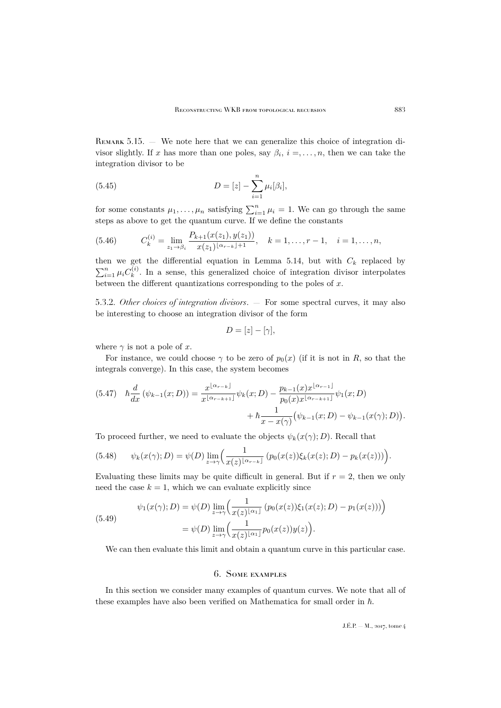<span id="page-39-1"></span>REMARK 5.15. — We note here that we can generalize this choice of integration divisor slightly. If x has more than one poles, say  $\beta_i$ ,  $i = \ldots, n$ , then we can take the integration divisor to be

(5.45) 
$$
D = [z] - \sum_{i=1}^{n} \mu_i[\beta_i],
$$

for some constants  $\mu_1, \ldots, \mu_n$  satisfying  $\sum_{i=1}^n \mu_i = 1$ . We can go through the same steps as above to get the quantum curve. If we define the constants

(5.46) 
$$
C_k^{(i)} = \lim_{z_1 \to \beta_i} \frac{P_{k+1}(x(z_1), y(z_1))}{x(z_1)^{\lfloor \alpha_{r-k} \rfloor + 1}}, \quad k = 1, \dots, r-1, \quad i = 1, \dots, n,
$$

then we get the differential equation in Lemma [5.14,](#page-37-0) but with  $C_k$  replaced by  $\sum_{i=1}^{n} \mu_i C_k^{(i)}$  $\kappa_k^{(i)}$ . In a sense, this generalized choice of integration divisor interpolates between the different quantizations corresponding to the poles of  $x$ .

5.3.2. *Other choices of integration divisors*. — For some spectral curves, it may also be interesting to choose an integration divisor of the form

$$
D=[z]-[\gamma],
$$

where  $\gamma$  is not a pole of x.

For instance, we could choose  $\gamma$  to be zero of  $p_0(x)$  (if it is not in R, so that the integrals converge). In this case, the system becomes

$$
(5.47) \quad \hbar \frac{d}{dx} \left( \psi_{k-1}(x;D) \right) = \frac{x^{\lfloor \alpha_{r-k} \rfloor}}{x^{\lfloor \alpha_{r-k+1} \rfloor}} \psi_k(x;D) - \frac{p_{k-1}(x)x^{\lfloor \alpha_{r-1} \rfloor}}{p_0(x)x^{\lfloor \alpha_{r-k+1} \rfloor}} \psi_1(x;D) + \hbar \frac{1}{x - x(\gamma)} \left( \psi_{k-1}(x;D) - \psi_{k-1}(x(\gamma);D) \right).
$$

To proceed further, we need to evaluate the objects  $\psi_k(x(\gamma); D)$ . Recall that

(5.48) 
$$
\psi_k(x(\gamma); D) = \psi(D) \lim_{z \to \gamma} \left( \frac{1}{x(z)^{\lfloor \alpha_{r-k} \rfloor}} \left( p_0(x(z)) \xi_k(x(z); D) - p_k(x(z)) \right) \right).
$$

Evaluating these limits may be quite difficult in general. But if  $r = 2$ , then we only need the case  $k = 1$ , which we can evaluate explicitly since

(5.49) 
$$
\psi_1(x(\gamma); D) = \psi(D) \lim_{z \to \gamma} \left( \frac{1}{x(z)^{\lfloor \alpha_1 \rfloor}} \left( p_0(x(z)) \xi_1(x(z); D) - p_1(x(z)) \right) \right) \n= \psi(D) \lim_{z \to \gamma} \left( \frac{1}{x(z)^{\lfloor \alpha_1 \rfloor}} p_0(x(z)) y(z) \right).
$$

We can then evaluate this limit and obtain a quantum curve in this particular case.

## 6. Some examples

<span id="page-39-0"></span>In this section we consider many examples of quantum curves. We note that all of these examples have also been verified on Mathematica for small order in  $\hbar$ .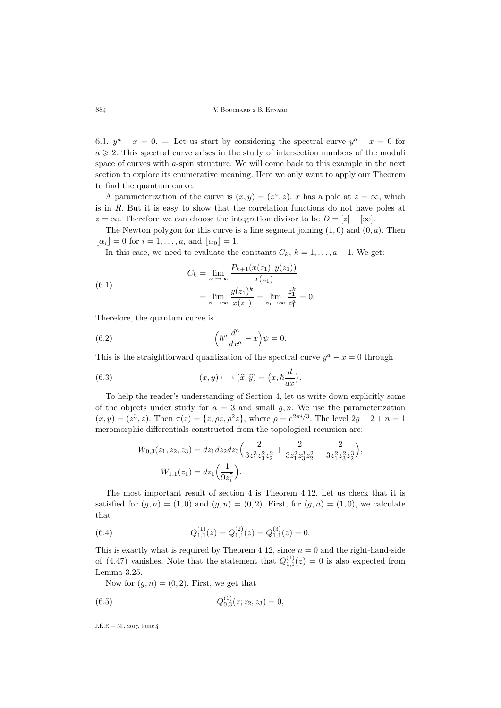6.1.  $y^a - x = 0$ . – Let us start by considering the spectral curve  $y^a - x = 0$  for  $a \geq 2$ . This spectral curve arises in the study of intersection numbers of the moduli space of curves with a-spin structure. We will come back to this example in the next section to explore its enumerative meaning. Here we only want to apply our Theorem to find the quantum curve.

A parameterization of the curve is  $(x, y) = (z^a, z)$ . x has a pole at  $z = \infty$ , which is in R. But it is easy to show that the correlation functions do not have poles at  $z = \infty$ . Therefore we can choose the integration divisor to be  $D = [z] - [\infty]$ .

The Newton polygon for this curve is a line segment joining  $(1,0)$  and  $(0,a)$ . Then  $\lfloor \alpha_i \rfloor = 0$  for  $i = 1, \ldots, a$ , and  $\lfloor \alpha_0 \rfloor = 1$ .

In this case, we need to evaluate the constants  $C_k$ ,  $k = 1, \ldots, a - 1$ . We get:

(6.1) 
$$
C_k = \lim_{z_1 \to \infty} \frac{P_{k+1}(x(z_1), y(z_1))}{x(z_1)} = \lim_{z_1 \to \infty} \frac{y(z_1)^k}{x(z_1)} = \lim_{z_1 \to \infty} \frac{z_1^k}{z_1^a} = 0.
$$

Therefore, the quantum curve is

(6.2) 
$$
\left(\hbar^a \frac{d^a}{dx^a} - x\right) \psi = 0.
$$

This is the straightforward quantization of the spectral curve  $y^a - x = 0$  through

(6.3) 
$$
(x, y) \longmapsto (\widehat{x}, \widehat{y}) = (x, \hbar \frac{d}{dx}).
$$

To help the reader's understanding of Section [4,](#page-20-0) let us write down explicitly some of the objects under study for  $a = 3$  and small  $g, n$ . We use the parameterization  $(x, y) = (z^3, z)$ . Then  $\tau(z) = \{z, \rho z, \rho^2 z\}$ , where  $\rho = e^{2\pi i/3}$ . The level  $2g - 2 + n = 1$ meromorphic differentials constructed from the topological recursion are:

$$
W_{0,3}(z_1, z_2, z_3) = dz_1 dz_2 dz_3 \left( \frac{2}{3z_1^3 z_3^2 z_2^2} + \frac{2}{3z_1^2 z_3^3 z_2^2} + \frac{2}{3z_1^2 z_3^2 z_3^3} \right),
$$
  

$$
W_{1,1}(z_1) = dz_1 \left( \frac{1}{9z_1^5} \right).
$$

The most important result of section 4 is Theorem [4.12.](#page-27-0) Let us check that it is satisfied for  $(g, n) = (1, 0)$  and  $(g, n) = (0, 2)$ . First, for  $(g, n) = (1, 0)$ , we calculate that

(6.4) 
$$
Q_{1,1}^{(1)}(z) = Q_{1,1}^{(2)}(z) = Q_{1,1}^{(3)}(z) = 0.
$$

This is exactly what is required by Theorem [4.12,](#page-27-0) since  $n = 0$  and the right-hand-side of [\(4.47\)](#page-27-2) vanishes. Note that the statement that  $Q_{1,1}^{(1)}(z) = 0$  is also expected from Lemma [3.25.](#page-17-1)

Now for  $(g, n) = (0, 2)$ . First, we get that

(6.5) 
$$
Q_{0,3}^{(1)}(z; z_2, z_3) = 0,
$$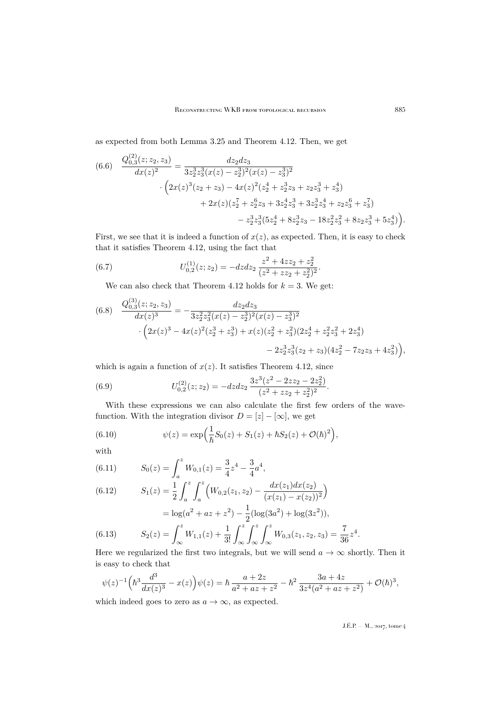as expected from both Lemma [3.25](#page-17-1) and Theorem [4.12.](#page-27-0) Then, we get

$$
(6.6) \quad \frac{Q_{0,3}^{(2)}(z; z_2, z_3)}{dx(z)^2} = \frac{dz_2 dz_3}{3z_2^3 z_3^3 (x(z) - z_2^3)^2 (x(z) - z_3^3)^2} \cdot \left(2x(z)^3(z_2 + z_3) - 4x(z)^2(z_2^4 + z_2^3 z_3 + z_2 z_3^3 + z_3^4) \quad + 2x(z)(z_2^7 + z_2^6 z_3 + 3z_2^4 z_3^3 + 3z_2^3 z_3^4 + z_2 z_3^6 + z_3^7) \quad - z_2^3 z_3^3 (5z_2^4 + 8z_2^3 z_3 - 18z_2^2 z_3^2 + 8z_2 z_3^3 + 5z_3^4)\right).
$$

First, we see that it is indeed a function of  $x(z)$ , as expected. Then, it is easy to check that it satisfies Theorem [4.12,](#page-27-0) using the fact that

(6.7) 
$$
U_{0,2}^{(1)}(z; z_2) = -dzdz_2 \frac{z^2 + 4zz_2 + z_2^2}{(z^2 + zz_2 + z_2^2)^2}.
$$

We can also check that Theorem [4.12](#page-27-0) holds for  $k = 3$ . We get:

$$
(6.8) \quad \frac{Q_{0,3}^{(3)}(z; z_2, z_3)}{dx(z)^3} = -\frac{dz_2 dz_3}{3z_2^2 z_3^2 (x(z) - z_2^3)^2 (x(z) - z_3^3)^2} \cdot \left(2x(z)^3 - 4x(z)^2(z_2^3 + z_3^3) + x(z)(z_2^2 + z_3^2)(2z_2^4 + z_2^2 z_3^2 + 2z_3^4) - 2z_2^3 z_3^3 (z_2 + z_3)(4z_2^2 - 7z_2 z_3 + 4z_3^2)\right),
$$

which is again a function of  $x(z)$ . It satisfies Theorem [4.12,](#page-27-0) since

(6.9) 
$$
U_{0,2}^{(2)}(z;z_2) = -dzdz_2 \frac{3z^3(z^2 - 2zz_2 - 2z_2^2)}{(z^2 + zz_2 + z_2^2)^2}.
$$

With these expressions we can also calculate the first few orders of the wavefunction. With the integration divisor  $D = [z] - [\infty]$ , we get

(6.10) 
$$
\psi(z) = \exp\left(\frac{1}{\hbar}S_0(z) + S_1(z) + \hbar S_2(z) + \mathcal{O}(\hbar)^2\right),
$$

with

(6.11) 
$$
S_0(z) = \int_a^z W_{0,1}(z) = \frac{3}{4}z^4 - \frac{3}{4}a^4,
$$

(6.12) 
$$
S_1(z) = \frac{1}{2} \int_a^z \int_a^z \left( W_{0,2}(z_1, z_2) - \frac{dx(z_1)dx(z_2)}{(x(z_1) - x(z_2))^2} \right)
$$

$$
= \log(a^2 + az + z^2) - \frac{1}{2}(\log(3a^2) + \log(3z^2)),
$$

(6.13) 
$$
S_2(z) = \int_{\infty}^{z} W_{1,1}(z) + \frac{1}{3!} \int_{\infty}^{z} \int_{\infty}^{z} \int_{\infty}^{z} W_{0,3}(z_1, z_2, z_3) = \frac{7}{36} z^4.
$$

Here we regularized the first two integrals, but we will send  $a \to \infty$  shortly. Then it is easy to check that

$$
\psi(z)^{-1}\Big(\hbar^3 \frac{d^3}{dx(z)^3} - x(z)\Big)\psi(z) = \hbar \frac{a+2z}{a^2+az+z^2} - \hbar^2 \frac{3a+4z}{3z^4(a^2+az+z^2)} + \mathcal{O}(\hbar)^3,
$$

which indeed goes to zero as  $a \to \infty$ , as expected.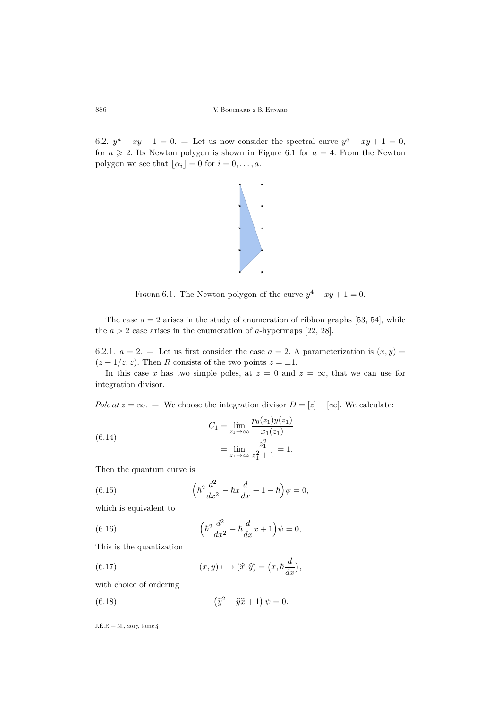6.2.  $y^a - xy + 1 = 0$ . — Let us now consider the spectral curve  $y^a - xy + 1 = 0$ , for  $a \ge 2$ . Its Newton polygon is shown in Figure [6.1](#page-42-0) for  $a = 4$ . From the Newton polygon we see that  $\lfloor \alpha_i \rfloor = 0$  for  $i = 0, \ldots, a$ .



<span id="page-42-0"></span>FIGURE 6.1. The Newton polygon of the curve  $y^4 - xy + 1 = 0$ .

The case  $a = 2$  arises in the study of enumeration of ribbon graphs [\[53,](#page-63-5) [54\]](#page-63-22), while the  $a > 2$  case arises in the enumeration of a-hypermaps [\[22,](#page-62-11) [28\]](#page-62-4).

6.2.1.  $a = 2$ . — Let us first consider the case  $a = 2$ . A parameterization is  $(x, y) =$  $(z + 1/z, z)$ . Then R consists of the two points  $z = \pm 1$ .

In this case x has two simple poles, at  $z = 0$  and  $z = \infty$ , that we can use for integration divisor.

 $p$ (zn $\bar{p}$ y)  $\bar{p}$ 

*Pole at*  $z = \infty$ . — We choose the integration divisor  $D = [z] - [\infty]$ . We calculate:

(6.14) 
$$
C_1 = \lim_{z_1 \to \infty} \frac{p_0(z_1)y(z_1)}{x_1(z_1)}
$$

$$
= \lim_{z_1 \to \infty} \frac{z_1^2}{z_1^2 + 1} = 1.
$$

Then the quantum curve is

(6.15) 
$$
\left(\hbar^2 \frac{d^2}{dx^2} - \hbar x \frac{d}{dx} + 1 - \hbar\right) \psi = 0,
$$

which is equivalent to

(6.16) 
$$
\left(\hbar^2 \frac{d^2}{dx^2} - \hbar \frac{d}{dx} x + 1\right) \psi = 0,
$$

This is the quantization

(6.17) 
$$
(x, y) \longmapsto (\widehat{x}, \widehat{y}) = (x, \hbar \frac{d}{dx}),
$$

with choice of ordering

(6.18) 
$$
(\widehat{y}^2 - \widehat{y}\widehat{x} + 1) \psi = 0.
$$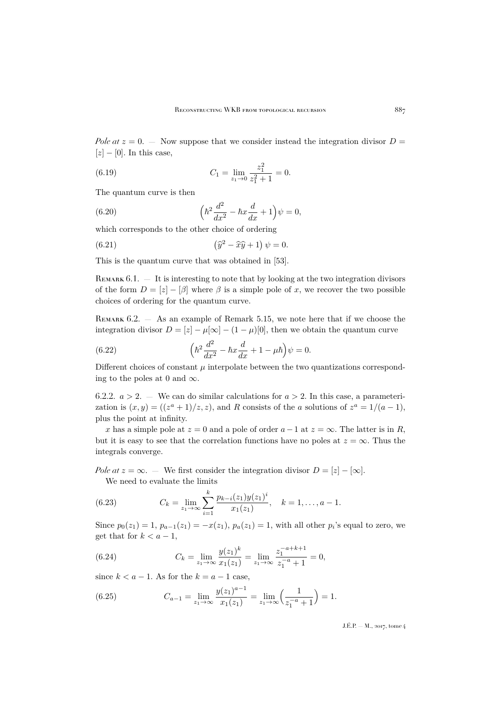*Pole at*  $z = 0$ . — Now suppose that we consider instead the integration divisor  $D =$  $[z] - [0]$ . In this case,

(6.19) 
$$
C_1 = \lim_{z_1 \to 0} \frac{z_1^2}{z_1^2 + 1} = 0.
$$

The quantum curve is then

(6.20) 
$$
\left(\hbar^2 \frac{d^2}{dx^2} - \hbar x \frac{d}{dx} + 1\right) \psi = 0,
$$

which corresponds to the other choice of ordering

(6.21) 
$$
(\widehat{y}^2 - \widehat{x}\widehat{y} + 1) \psi = 0.
$$

This is the quantum curve that was obtained in [\[53\]](#page-63-5).

REMARK  $6.1.$  – It is interesting to note that by looking at the two integration divisors of the form  $D = [z] - [\beta]$  where  $\beta$  is a simple pole of x, we recover the two possible choices of ordering for the quantum curve.

Remark 6.2. — As an example of Remark [5.15,](#page-39-1) we note here that if we choose the integration divisor  $D = [z] - \mu[\infty] - (1 - \mu)[0]$ , then we obtain the quantum curve

(6.22) 
$$
\left(\hbar^2 \frac{d^2}{dx^2} - \hbar x \frac{d}{dx} + 1 - \mu \hbar\right) \psi = 0.
$$

Different choices of constant  $\mu$  interpolate between the two quantizations corresponding to the poles at 0 and  $\infty$ .

6.2.2.  $a > 2$ . — We can do similar calculations for  $a > 2$ . In this case, a parameterization is  $(x, y) = ((z<sup>a</sup> + 1)/z, z)$ , and R consists of the a solutions of  $z<sup>a</sup> = 1/(a - 1)$ , plus the point at infinity.

x has a simple pole at  $z = 0$  and a pole of order  $a - 1$  at  $z = \infty$ . The latter is in R, but it is easy to see that the correlation functions have no poles at  $z = \infty$ . Thus the integrals converge.

*Pole at*  $z = \infty$ . — We first consider the integration divisor  $D = [z] - [\infty]$ . We need to evaluate the limits

(6.23) 
$$
C_k = \lim_{z_1 \to \infty} \sum_{i=1}^k \frac{p_{k-i}(z_1)y(z_1)^i}{x_1(z_1)}, \quad k = 1, \dots, a-1.
$$

Since  $p_0(z_1) = 1$ ,  $p_{a-1}(z_1) = -x(z_1)$ ,  $p_a(z_1) = 1$ , with all other  $p_i$ 's equal to zero, we get that for  $k < a - 1$ ,

(6.24) 
$$
C_k = \lim_{z_1 \to \infty} \frac{y(z_1)^k}{x_1(z_1)} = \lim_{z_1 \to \infty} \frac{z_1^{-a+k+1}}{z_1^{-a}+1} = 0,
$$

since  $k < a - 1$ . As for the  $k = a - 1$  case,

(6.25) 
$$
C_{a-1} = \lim_{z_1 \to \infty} \frac{y(z_1)^{a-1}}{x_1(z_1)} = \lim_{z_1 \to \infty} \left(\frac{1}{z_1^{-a} + 1}\right) = 1.
$$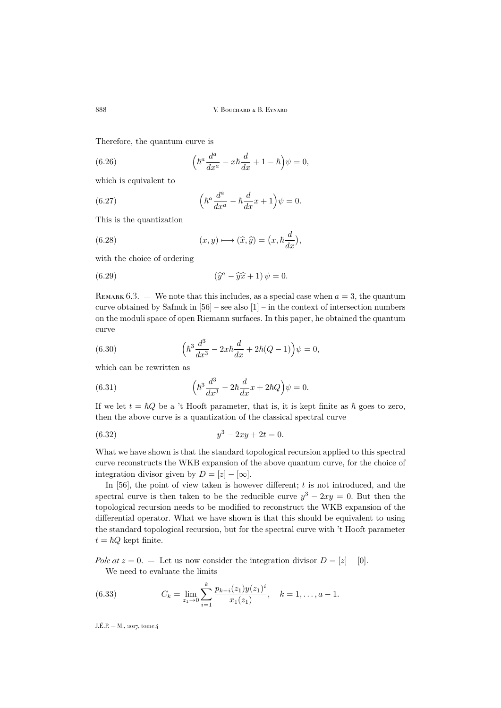Therefore, the quantum curve is

(6.26) 
$$
\left(\hbar^a \frac{d^a}{dx^a} - x\hbar \frac{d}{dx} + 1 - \hbar\right)\psi = 0,
$$

which is equivalent to

(6.27) 
$$
\left(\hbar^a \frac{d^a}{dx^a} - \hbar \frac{d}{dx} x + 1\right) \psi = 0.
$$

This is the quantization

(6.28) 
$$
(x, y) \longmapsto (\widehat{x}, \widehat{y}) = (x, \hbar \frac{d}{dx}),
$$

with the choice of ordering

(6.29) 
$$
(\widehat{y}^a - \widehat{y}\widehat{x} + 1)\psi = 0.
$$

REMARK 6.3. — We note that this includes, as a special case when  $a = 3$ , the quantum curve obtained by Safnuk in  $[56]$  – see also  $[1]$  – in the context of intersection numbers on the moduli space of open Riemann surfaces. In this paper, he obtained the quantum curve

(6.30) 
$$
\left(\hbar^3 \frac{d^3}{dx^3} - 2x\hbar \frac{d}{dx} + 2\hbar (Q-1)\right) \psi = 0,
$$

which can be rewritten as

(6.31) 
$$
\left(\hbar^3 \frac{d^3}{dx^3} - 2\hbar \frac{d}{dx}x + 2\hbar Q\right)\psi = 0.
$$

If we let  $t = \hbar Q$  be a 't Hooft parameter, that is, it is kept finite as  $\hbar$  goes to zero, then the above curve is a quantization of the classical spectral curve

(6.32) 
$$
y^3 - 2xy + 2t = 0.
$$

What we have shown is that the standard topological recursion applied to this spectral curve reconstructs the WKB expansion of the above quantum curve, for the choice of integration divisor given by  $D = [z] - [\infty]$ .

In  $[56]$ , the point of view taken is however different; t is not introduced, and the spectral curve is then taken to be the reducible curve  $y^3 - 2xy = 0$ . But then the topological recursion needs to be modified to reconstruct the WKB expansion of the differential operator. What we have shown is that this should be equivalent to using the standard topological recursion, but for the spectral curve with 't Hooft parameter  $t = \hbar Q$  kept finite.

*Pole at*  $z = 0$ . — Let us now consider the integration divisor  $D = [z] - [0]$ . We need to evaluate the limits

(6.33) 
$$
C_k = \lim_{z_1 \to 0} \sum_{i=1}^k \frac{p_{k-i}(z_1) y(z_1)^i}{x_1(z_1)}, \quad k = 1, \dots, a-1.
$$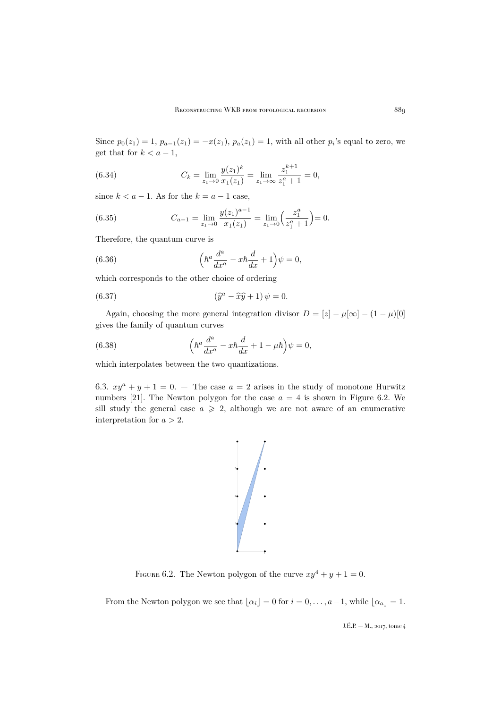Since  $p_0(z_1) = 1$ ,  $p_{a-1}(z_1) = -x(z_1)$ ,  $p_a(z_1) = 1$ , with all other  $p_i$ 's equal to zero, we get that for  $k < a - 1$ ,

(6.34) 
$$
C_k = \lim_{z_1 \to 0} \frac{y(z_1)^k}{x_1(z_1)} = \lim_{z_1 \to \infty} \frac{z_1^{k+1}}{z_1^a + 1} = 0,
$$

since  $k < a - 1$ . As for the  $k = a - 1$  case,

(6.35) 
$$
C_{a-1} = \lim_{z_1 \to 0} \frac{y(z_1)^{a-1}}{x_1(z_1)} = \lim_{z_1 \to 0} \left(\frac{z_1^a}{z_1^a + 1}\right) = 0.
$$

Therefore, the quantum curve is

(6.36) 
$$
\left(\hbar^a \frac{d^a}{dx^a} - x\hbar \frac{d}{dx} + 1\right) \psi = 0,
$$

which corresponds to the other choice of ordering

(6.37) 
$$
(\widehat{y}^a - \widehat{x}\widehat{y} + 1) \psi = 0.
$$

Again, choosing the more general integration divisor  $D = [z] - \mu[\infty] - (1 - \mu)[0]$ gives the family of quantum curves

(6.38) 
$$
\left(\hbar^a \frac{d^a}{dx^a} - x\hbar \frac{d}{dx} + 1 - \mu \hbar\right)\psi = 0,
$$

which interpolates between the two quantizations.

6.3.  $xy^a + y + 1 = 0$ . The case  $a = 2$  arises in the study of monotone Hurwitz numbers [\[21\]](#page-62-10). The Newton polygon for the case  $a = 4$  is shown in Figure [6.2.](#page-45-0) We sill study the general case  $a \geqslant 2$ , although we are not aware of an enumerative interpretation for  $a > 2$ .



<span id="page-45-0"></span>FIGURE 6.2. The Newton polygon of the curve  $xy^4 + y + 1 = 0$ .

From the Newton polygon we see that  $\lfloor \alpha_i \rfloor = 0$  for  $i = 0, \ldots, a-1$ , while  $\lfloor \alpha_a \rfloor = 1$ .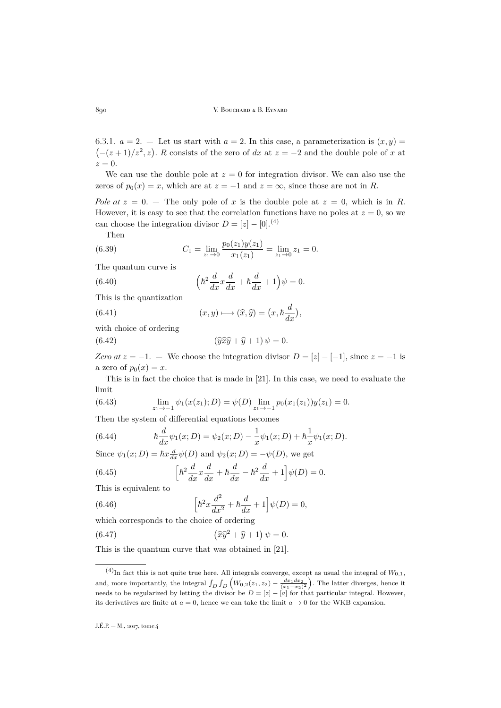6.3.1.  $a = 2$ . — Let us start with  $a = 2$ . In this case, a parameterization is  $(x, y) =$  $(-(z+1)/z^2, z)$ . R consists of the zero of dx at  $z = -2$  and the double pole of x at  $z=0.$ 

We can use the double pole at  $z = 0$  for integration divisor. We can also use the zeros of  $p_0(x) = x$ , which are at  $z = -1$  and  $z = \infty$ , since those are not in R.

*Pole at*  $z = 0$ . – The only pole of x is the double pole at  $z = 0$ , which is in R. However, it is easy to see that the correlation functions have no poles at  $z = 0$ , so we can choose the integration divisor  $D = [z] - [0]$ .<sup>(4)</sup>

Then

(6.39) 
$$
C_1 = \lim_{z_1 \to 0} \frac{p_0(z_1)y(z_1)}{x_1(z_1)} = \lim_{z_1 \to 0} z_1 = 0.
$$

The quantum curve is

(6.40) 
$$
\left(\hbar^2 \frac{d}{dx} x \frac{d}{dx} + \hbar \frac{d}{dx} + 1\right) \psi = 0.
$$

This is the quantization

(6.41) 
$$
(x, y) \longmapsto (\widehat{x}, \widehat{y}) = (x, \hbar \frac{d}{dx})
$$

with choice of ordering

(6.42) 
$$
(\widehat{y} \widehat{x} \widehat{y} + \widehat{y} + 1) \psi = 0.
$$

*Zero at*  $z = -1$ . — We choose the integration divisor  $D = [z] - [-1]$ , since  $z = -1$  is a zero of  $p_0(x) = x$ .

,

This is in fact the choice that is made in [\[21\]](#page-62-10). In this case, we need to evaluate the limit

(6.43) 
$$
\lim_{z_1 \to -1} \psi_1(x(z_1); D) = \psi(D) \lim_{z_1 \to -1} p_0(x_1(z_1))y(z_1) = 0.
$$

Then the system of differential equations becomes

(6.44) 
$$
\hbar \frac{d}{dx} \psi_1(x;D) = \psi_2(x;D) - \frac{1}{x} \psi_1(x;D) + \hbar \frac{1}{x} \psi_1(x;D).
$$

Since  $\psi_1(x; D) = \hbar x \frac{d}{dx} \psi(D)$  and  $\psi_2(x; D) = -\psi(D)$ , we get

(6.45) 
$$
\left[\hbar^2 \frac{d}{dx} x \frac{d}{dx} + \hbar \frac{d}{dx} - \hbar^2 \frac{d}{dx} + 1\right] \psi(D) = 0.
$$

This is equivalent to

(6.46) 
$$
\left[\hbar^2 x \frac{d^2}{dx^2} + \hbar \frac{d}{dx} + 1\right] \psi(D) = 0,
$$

which corresponds to the choice of ordering

(6.47) 
$$
\left(\widehat{x}\widehat{y}^2 + \widehat{y} + 1\right)\psi = 0.
$$

This is the quantum curve that was obtained in [\[21\]](#page-62-10).

<sup>&</sup>lt;sup>(4)</sup>In fact this is not quite true here. All integrals converge, except as usual the integral of  $W_{0,1}$ , and, more importantly, the integral  $\int_D \int_D \left( W_{0,2}(z_1, z_2) - \frac{dx_1 dx_2}{(x_1 - x_2)^2} \right)$ . The latter diverges, hence it needs to be regularized by letting the divisor be  $D = [z] - [a]$  for that particular integral. However, its derivatives are finite at  $a = 0$ , hence we can take the limit  $a \to 0$  for the WKB expansion.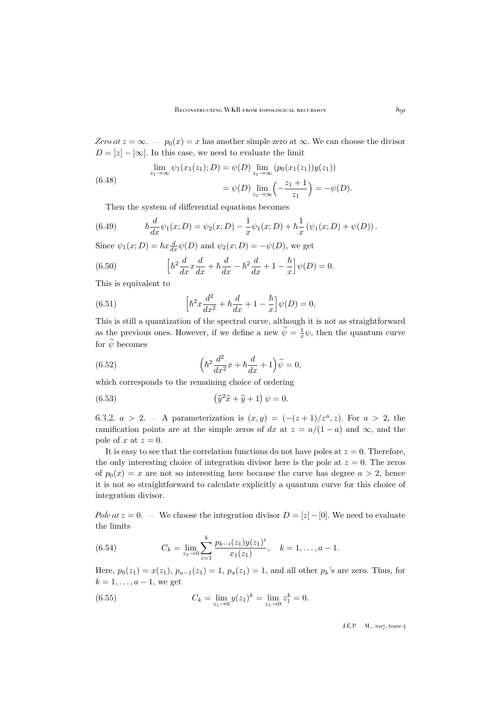*Zero at*  $z = \infty$ . —  $p_0(x) = x$  has another simple zero at  $\infty$ . We can choose the divisor  $D = [z] - [\infty]$ . In this case, we need to evaluate the limit

(6.48) 
$$
\lim_{z_1 \to \infty} \psi_1(x_1(z_1); D) = \psi(D) \lim_{z_1 \to \infty} (p_0(x_1(z_1))y(z_1))
$$

$$
= \psi(D) \lim_{z_1 \to \infty} \left(-\frac{z_1 + 1}{z_1}\right) = -\psi(D).
$$

Then the system of differential equations becomes

(6.49) 
$$
\hbar \frac{d}{dx} \psi_1(x;D) = \psi_2(x;D) - \frac{1}{x} \psi_1(x;D) + \hbar \frac{1}{x} (\psi_1(x;D) + \psi(D)).
$$

Since  $\psi_1(x; D) = \hbar x \frac{d}{dx} \psi(D)$  and  $\psi_2(x; D) = -\psi(D)$ , we get

(6.50) 
$$
\left[\hbar^2 \frac{d}{dx} x \frac{d}{dx} + \hbar \frac{d}{dx} - \hbar^2 \frac{d}{dx} + 1 - \frac{\hbar}{x}\right] \psi(D) = 0.
$$

This is equivalent to

(6.51) 
$$
\left[\hbar^2 x \frac{d^2}{dx^2} + \hbar \frac{d}{dx} + 1 - \frac{\hbar}{x}\right] \psi(D) = 0,
$$

This is still a quantization of the spectral curve, although it is not as straightforward as the previous ones. However, if we define a new  $\widetilde{\psi} = \frac{1}{x} \psi$ , then the quantum curve for  $\widetilde{\psi}$  becomes

(6.52) 
$$
\left(\hbar^2 \frac{d^2}{dx^2} x + \hbar \frac{d}{dx} + 1\right) \widetilde{\psi} = 0,
$$

which corresponds to the remaining choice of ordering

(6.53) 
$$
(\widehat{y}^2\widehat{x} + \widehat{y} + 1) \psi = 0.
$$

6.3.2.  $a > 2$ . – A parameterization is  $(x, y) = (-(z+1)/z^a, z)$ . For  $a > 2$ , the ramification points are at the simple zeros of dx at  $z = a/(1-a)$  and  $\infty$ , and the pole of x at  $z = 0$ .

It is easy to see that the correlation functions do not have poles at  $z = 0$ . Therefore, the only interesting choice of integration divisor here is the pole at  $z = 0$ . The zeros of  $p_0(x) = x$  are not so interesting here because the curve has degree  $a > 2$ , hence it is not so straightforward to calculate explicitly a quantum curve for this choice of integration divisor.

*Pole at*  $z = 0$ . — We choose the integration divisor  $D = [z] - [0]$ . We need to evaluate the limits

(6.54) 
$$
C_k = \lim_{z_1 \to 0} \sum_{i=1}^k \frac{p_{k-i}(z_1) y(z_1)^i}{x_1(z_1)}, \quad k = 1, \dots, a-1.
$$

Here,  $p_0(z_1) = x(z_1)$ ,  $p_{a-1}(z_1) = 1$ ,  $p_a(z_1) = 1$ , and all other  $p_k$ 's are zero. Thus, for  $k = 1, \ldots, a-1$ , we get

(6.55) 
$$
C_k = \lim_{z_1 \to 0} y(z_1)^k = \lim_{z_1 \to 0} z_1^k = 0.
$$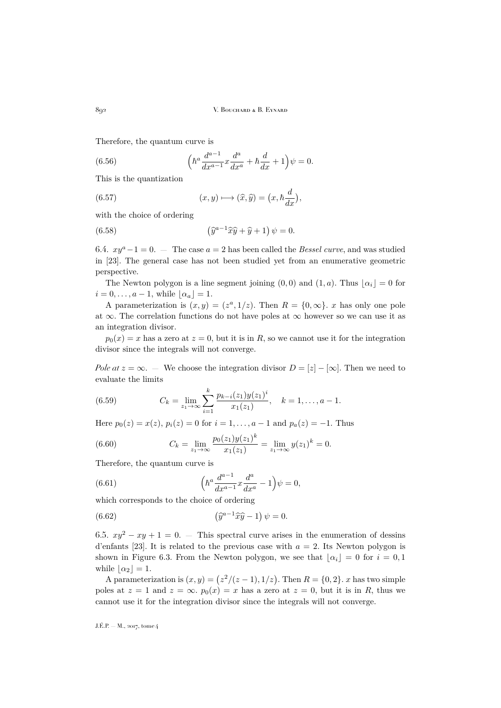Therefore, the quantum curve is

(6.56) 
$$
\left(\hbar^{a}\frac{d^{a-1}}{dx^{a-1}}x\frac{d^{a}}{dx^{a}} + \hbar\frac{d}{dx} + 1\right)\psi = 0.
$$

This is the quantization

(6.57) 
$$
(x, y) \longmapsto (\widehat{x}, \widehat{y}) = (x, \hbar \frac{d}{dx}),
$$

with the choice of ordering

(6.58) 
$$
\left(\widehat{y}^{a-1}\widehat{x}\widehat{y}+\widehat{y}+1\right)\psi=0.
$$

6.4.  $xy^a-1=0$ . — The case  $a=2$  has been called the *Bessel curve*, and was studied in [\[23\]](#page-62-12). The general case has not been studied yet from an enumerative geometric perspective.

The Newton polygon is a line segment joining  $(0,0)$  and  $(1,a)$ . Thus  $|\alpha_i| = 0$  for  $i = 0, \ldots, a-1$ , while  $|\alpha_a| = 1$ .

A parameterization is  $(x, y) = (z^a, 1/z)$ . Then  $R = \{0, \infty\}$ . x has only one pole at  $\infty$ . The correlation functions do not have poles at  $\infty$  however so we can use it as an integration divisor.

 $p_0(x) = x$  has a zero at  $z = 0$ , but it is in R, so we cannot use it for the integration divisor since the integrals will not converge.

*Pole at*  $z = \infty$ . — We choose the integration divisor  $D = [z] - [\infty]$ . Then we need to evaluate the limits

(6.59) 
$$
C_k = \lim_{z_1 \to \infty} \sum_{i=1}^k \frac{p_{k-i}(z_1) y(z_1)^i}{x_1(z_1)}, \quad k = 1, \dots, a-1.
$$

Here  $p_0(z) = x(z)$ ,  $p_i(z) = 0$  for  $i = 1, ..., a - 1$  and  $p_a(z) = -1$ . Thus

(6.60) 
$$
C_k = \lim_{z_1 \to \infty} \frac{p_0(z_1)y(z_1)^k}{x_1(z_1)} = \lim_{z_1 \to \infty} y(z_1)^k = 0.
$$

Therefore, the quantum curve is

(6.61) 
$$
\left(\hbar^a \frac{d^{a-1}}{dx^{a-1}} x \frac{d^a}{dx^a} - 1\right) \psi = 0,
$$

which corresponds to the choice of ordering

(6.62) 
$$
(\widehat{y}^{a-1}\widehat{x}\widehat{y}-1)\psi=0.
$$

6.5.  $xy^2 - xy + 1 = 0$ . — This spectral curve arises in the enumeration of dessins d'enfants [\[23\]](#page-62-12). It is related to the previous case with  $a = 2$ . Its Newton polygon is shown in Figure [6.3.](#page-49-0) From the Newton polygon, we see that  $|\alpha_i| = 0$  for  $i = 0, 1$ while  $|\alpha_2| = 1$ .

A parameterization is  $(x, y) = (z^2/(z-1), 1/z)$ . Then  $R = \{0, 2\}$ . x has two simple poles at  $z = 1$  and  $z = \infty$ .  $p_0(x) = x$  has a zero at  $z = 0$ , but it is in R, thus we cannot use it for the integration divisor since the integrals will not converge.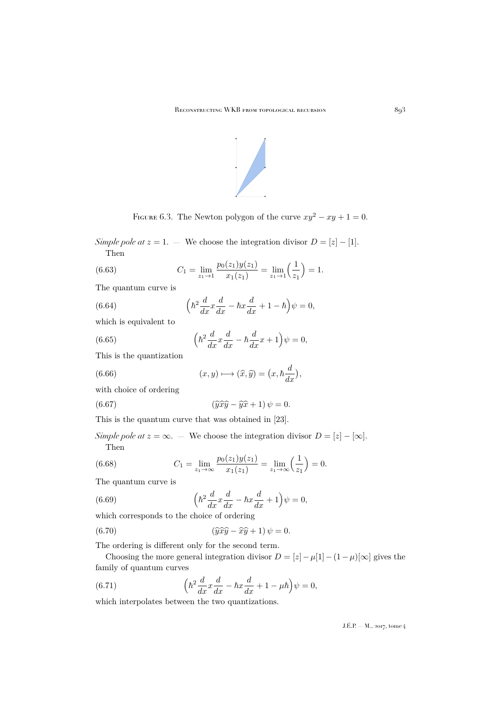

<span id="page-49-0"></span>FIGURE 6.3. The Newton polygon of the curve  $xy^2 - xy + 1 = 0$ .

*Simple pole at*  $z = 1$ . — We choose the integration divisor  $D = |z| - |1|$ . Then

(6.63) 
$$
C_1 = \lim_{z_1 \to 1} \frac{p_0(z_1)y(z_1)}{x_1(z_1)} = \lim_{z_1 \to 1} \left(\frac{1}{z_1}\right) = 1.
$$

The quantum curve is

(6.64) 
$$
\left(\hbar^2 \frac{d}{dx} x \frac{d}{dx} - \hbar x \frac{d}{dx} + 1 - \hbar\right) \psi = 0,
$$

which is equivalent to

(6.65) 
$$
\left(\hbar^2 \frac{d}{dx} x \frac{d}{dx} - \hbar \frac{d}{dx} x + 1\right) \psi = 0,
$$

This is the quantization

(6.66) 
$$
(x, y) \longmapsto (\widehat{x}, \widehat{y}) = (x, \hbar \frac{d}{dx}),
$$

with choice of ordering

(6.67) 
$$
(\widehat{y}\widehat{x}\widehat{y} - \widehat{y}\widehat{x} + 1)\psi = 0.
$$

This is the quantum curve that was obtained in [\[23\]](#page-62-12).

*Simple pole at*  $z = \infty$ . — We choose the integration divisor  $D = [z] - [\infty]$ . Then

(6.68) 
$$
C_1 = \lim_{z_1 \to \infty} \frac{p_0(z_1)y(z_1)}{x_1(z_1)} = \lim_{z_1 \to \infty} \left(\frac{1}{z_1}\right) = 0.
$$

The quantum curve is

(6.69) 
$$
\left(\hbar^2 \frac{d}{dx} x \frac{d}{dx} - \hbar x \frac{d}{dx} + 1\right) \psi = 0,
$$

which corresponds to the choice of ordering

(6.70) 
$$
(\widehat{y}\widehat{x}\widehat{y} - \widehat{x}\widehat{y} + 1)\psi = 0.
$$

The ordering is different only for the second term.

Choosing the more general integration divisor  $D = [z] - \mu[1] - (1 - \mu)[\infty]$  gives the family of quantum curves

(6.71) 
$$
\left(\hbar^2 \frac{d}{dx} x \frac{d}{dx} - \hbar x \frac{d}{dx} + 1 - \mu \hbar\right) \psi = 0,
$$

which interpolates between the two quantizations.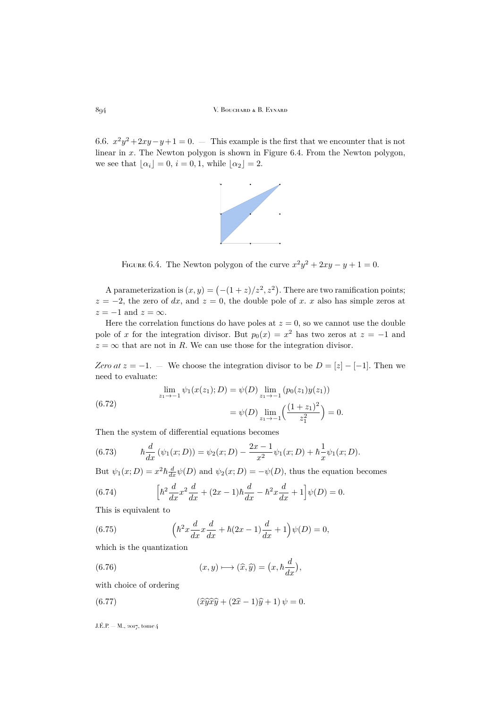6.6.  $x^2y^2 + 2xy - y + 1 = 0$ . — This example is the first that we encounter that is not linear in x. The Newton polygon is shown in Figure [6.4.](#page-50-0) From the Newton polygon, we see that  $\lfloor \alpha_i \rfloor = 0$ ,  $i = 0, 1$ , while  $\lfloor \alpha_2 \rfloor = 2$ .



<span id="page-50-0"></span>FIGURE 6.4. The Newton polygon of the curve  $x^2y^2 + 2xy - y + 1 = 0$ .

A parameterization is  $(x, y) = \left(-\frac{1 + z}{z^2}, z^2\right)$ . There are two ramification points;  $z = -2$ , the zero of dx, and  $z = 0$ , the double pole of x. x also has simple zeros at  $z = -1$  and  $z = \infty$ .

Here the correlation functions do have poles at  $z = 0$ , so we cannot use the double pole of x for the integration divisor. But  $p_0(x) = x^2$  has two zeros at  $z = -1$  and  $z = \infty$  that are not in R. We can use those for the integration divisor.

*Zero at*  $z = -1$ . — We choose the integration divisor to be  $D = [z] - [-1]$ . Then we need to evaluate:

(6.72) 
$$
\lim_{z_1 \to -1} \psi_1(x(z_1); D) = \psi(D) \lim_{z_1 \to -1} (p_0(z_1)y(z_1))
$$

$$
= \psi(D) \lim_{z_1 \to -1} \left( \frac{(1+z_1)^2}{z_1^2} \right) = 0.
$$

Then the system of differential equations becomes

(6.73) 
$$
\hbar \frac{d}{dx} (\psi_1(x;D)) = \psi_2(x;D) - \frac{2x-1}{x^2} \psi_1(x;D) + \hbar \frac{1}{x} \psi_1(x;D).
$$

But  $\psi_1(x; D) = x^2 \hbar \frac{d}{dx} \psi(D)$  and  $\psi_2(x; D) = -\psi(D)$ , thus the equation becomes

(6.74) 
$$
\left[\hbar^2 \frac{d}{dx} x^2 \frac{d}{dx} + (2x - 1)\hbar \frac{d}{dx} - \hbar^2 x \frac{d}{dx} + 1\right] \psi(D) = 0.
$$

This is equivalent to

(6.75) 
$$
\left(\hbar^2 x \frac{d}{dx} x \frac{d}{dx} + \hbar (2x - 1) \frac{d}{dx} + 1\right) \psi(D) = 0,
$$

which is the quantization

(6.76) 
$$
(x, y) \longmapsto (\widehat{x}, \widehat{y}) = (x, \hbar \frac{d}{dx}),
$$

with choice of ordering

(6.77) 
$$
(\widehat{x}\widehat{y}\widehat{x}\widehat{y} + (2\widehat{x} - 1)\widehat{y} + 1)\psi = 0.
$$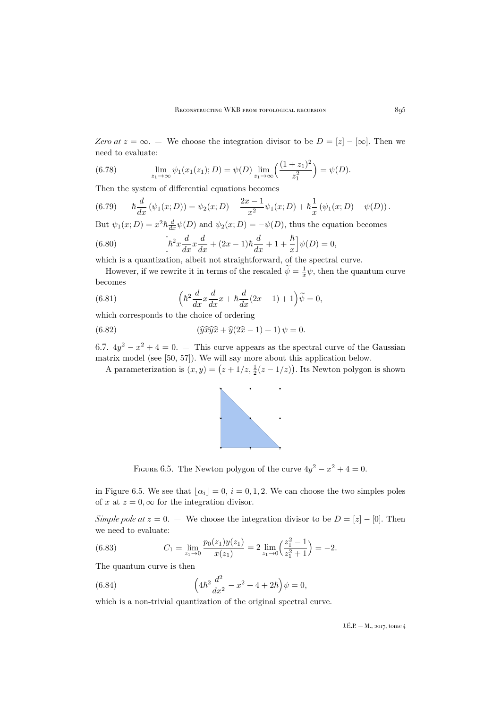*Zero at*  $z = \infty$ . — We choose the integration divisor to be  $D = [z] - [\infty]$ . Then we need to evaluate:

(6.78) 
$$
\lim_{z_1 \to \infty} \psi_1(x_1(z_1); D) = \psi(D) \lim_{z_1 \to \infty} \left( \frac{(1+z_1)^2}{z_1^2} \right) = \psi(D).
$$

Then the system of differential equations becomes

(6.79) 
$$
\hbar \frac{d}{dx} (\psi_1(x;D)) = \psi_2(x;D) - \frac{2x-1}{x^2} \psi_1(x;D) + \hbar \frac{1}{x} (\psi_1(x;D) - \psi(D)).
$$

But  $\psi_1(x; D) = x^2 \hbar \frac{d}{dx} \psi(D)$  and  $\psi_2(x; D) = -\psi(D)$ , thus the equation becomes

(6.80) 
$$
\left[\hbar^2 x \frac{d}{dx} x \frac{d}{dx} + (2x - 1)\hbar \frac{d}{dx} + 1 + \frac{\hbar}{x}\right] \psi(D) = 0,
$$

which is a quantization, albeit not straightforward, of the spectral curve.

However, if we rewrite it in terms of the rescaled  $\tilde{\psi} = \frac{1}{x}\psi$ , then the quantum curve becomes

(6.81) 
$$
\left(\hbar^2 \frac{d}{dx} x \frac{d}{dx} x + \hbar \frac{d}{dx} (2x - 1) + 1\right) \widetilde{\psi} = 0,
$$

which corresponds to the choice of ordering

(6.82) 
$$
(\widehat{y}\widehat{x}\widehat{y}\widehat{x} + \widehat{y}(2\widehat{x} - 1) + 1)\psi = 0.
$$

6.7.  $4y^2 - x^2 + 4 = 0$ . — This curve appears as the spectral curve of the Gaussian matrix model (see [\[50,](#page-63-21) [57\]](#page-63-23)). We will say more about this application below.

A parameterization is  $(x, y) = (z + 1/z, \frac{1}{2}(z - 1/z))$ . Its Newton polygon is shown



<span id="page-51-0"></span>FIGURE 6.5. The Newton polygon of the curve  $4y^2 - x^2 + 4 = 0$ .

in Figure [6.5.](#page-51-0) We see that  $|\alpha_i| = 0$ ,  $i = 0, 1, 2$ . We can choose the two simples poles of x at  $z = 0$ ,  $\infty$  for the integration divisor.

*Simple pole at*  $z = 0$ . — We choose the integration divisor to be  $D = [z] - [0]$ . Then we need to evaluate:

(6.83) 
$$
C_1 = \lim_{z_1 \to 0} \frac{p_0(z_1)y(z_1)}{x(z_1)} = 2 \lim_{z_1 \to 0} \left(\frac{z_1^2 - 1}{z_1^2 + 1}\right) = -2.
$$

The quantum curve is then

(6.84) 
$$
\left(4\hbar^2 \frac{d^2}{dx^2} - x^2 + 4 + 2\hbar\right)\psi = 0,
$$

which is a non-trivial quantization of the original spectral curve.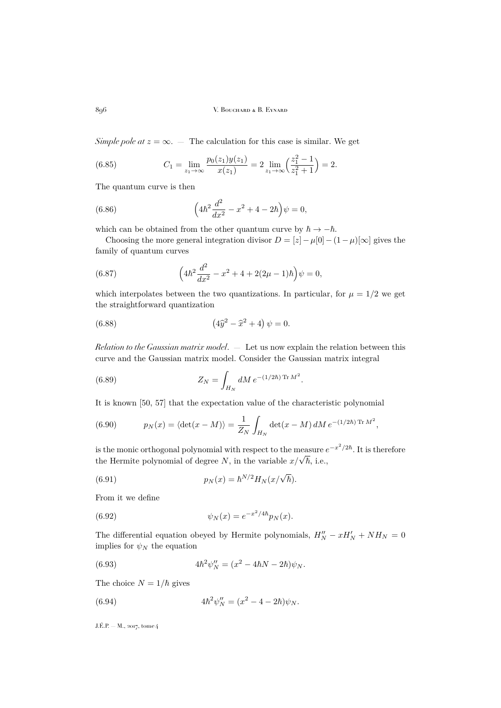*Simple pole at*  $z = \infty$ . — The calculation for this case is similar. We get

(6.85) 
$$
C_1 = \lim_{z_1 \to \infty} \frac{p_0(z_1)y(z_1)}{x(z_1)} = 2 \lim_{z_1 \to \infty} \left(\frac{z_1^2 - 1}{z_1^2 + 1}\right) = 2.
$$

The quantum curve is then

(6.86) 
$$
\left(4\hbar^2 \frac{d^2}{dx^2} - x^2 + 4 - 2\hbar\right)\psi = 0,
$$

which can be obtained from the other quantum curve by  $\hbar \to -\hbar$ .

Choosing the more general integration divisor  $D = [z] - \mu[0] - (1 - \mu)[\infty]$  gives the family of quantum curves

(6.87) 
$$
\left(4\hbar^2 \frac{d^2}{dx^2} - x^2 + 4 + 2(2\mu - 1)\hbar\right)\psi = 0,
$$

which interpolates between the two quantizations. In particular, for  $\mu = 1/2$  we get the straightforward quantization

(6.88) 
$$
(4\hat{y}^2 - \hat{x}^2 + 4) \psi = 0.
$$

*Relation to the Gaussian matrix model*. — Let us now explain the relation between this curve and the Gaussian matrix model. Consider the Gaussian matrix integral

(6.89) 
$$
Z_N = \int_{H_N} dM \, e^{-(1/2\hbar) \operatorname{Tr} M^2}.
$$

It is known [\[50,](#page-63-21) [57\]](#page-63-23) that the expectation value of the characteristic polynomial

(6.90) 
$$
p_N(x) = \langle \det(x - M) \rangle = \frac{1}{Z_N} \int_{H_N} \det(x - M) dM e^{-(1/2\hbar) \operatorname{Tr} M^2},
$$

is the monic orthogonal polynomial with respect to the measure  $e^{-x^2/2\hbar}$ . It is therefore the Hermite polynomial of degree N, in the variable  $x/\sqrt{\hbar}$ , i.e.,

(6.91) 
$$
p_N(x) = \hbar^{N/2} H_N(x/\sqrt{\hbar}).
$$

From it we define

(6.92) 
$$
\psi_N(x) = e^{-x^2/4\hbar} p_N(x).
$$

The differential equation obeyed by Hermite polynomials,  $H''_N - xH'_N + NH_N = 0$ implies for  $\psi_N$  the equation

(6.93) 
$$
4\hbar^2 \psi_N'' = (x^2 - 4\hbar N - 2\hbar)\psi_N.
$$

The choice  $N = 1/\hbar$  gives

(6.94) 
$$
4\hbar^2\psi_N'' = (x^2 - 4 - 2\hbar)\psi_N.
$$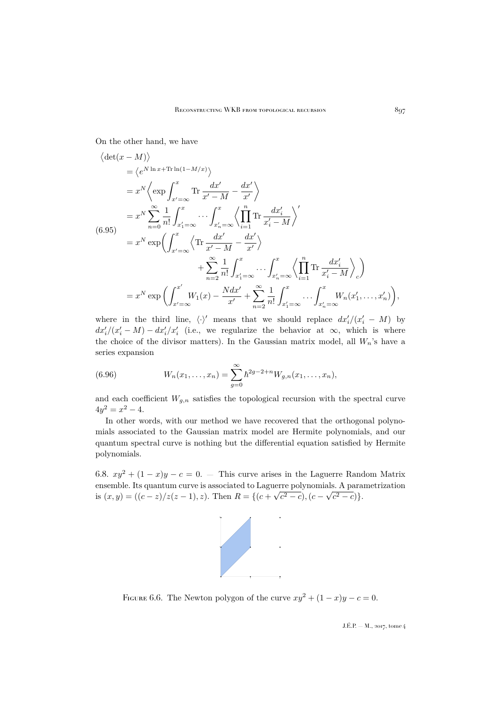On the other hand, we have

$$
\langle \det(x - M) \rangle
$$
  
\n
$$
= \langle e^{N \ln x + \text{Tr}\ln(1 - M/x)} \rangle
$$
  
\n
$$
= x^N \langle \exp \int_{x' = \infty}^x \text{Tr} \frac{dx'}{x' - M} - \frac{dx'}{x'} \rangle
$$
  
\n
$$
= x^N \sum_{n=0}^{\infty} \frac{1}{n!} \int_{x'_1 = \infty}^x \cdots \int_{x'_n = \infty}^x \langle \prod_{i=1}^n \text{Tr} \frac{dx'_i}{x'_i - M} \rangle'
$$
  
\n(6.95)  
\n
$$
= x^N \exp \left( \int_{x' = \infty}^x \langle \text{Tr} \frac{dx'}{x' - M} - \frac{dx'}{x'} \rangle + \sum_{n=2}^{\infty} \frac{1}{n!} \int_{x'_1 = \infty}^x \cdots \int_{x'_n = \infty}^x \langle \prod_{i=1}^n \text{Tr} \frac{dx'_i}{x'_i - M} \rangle_c \right)
$$
  
\n
$$
= x^N \exp \left( \int_{x' = \infty}^{x'} W_1(x) - \frac{N dx'}{x'} + \sum_{n=2}^{\infty} \frac{1}{n!} \int_{x'_1 = \infty}^x \cdots \int_{x'_n = \infty}^x W_n(x'_1, \dots, x'_n) \right),
$$

where in the third line,  $\langle \cdot \rangle'$  means that we should replace  $dx'_i/(x'_i - M)$  by  $dx'_i/(x'_i-M) - dx'_i/x'_i$  (i.e., we regularize the behavior at  $\infty$ , which is where the choice of the divisor matters). In the Gaussian matrix model, all  $W_n$ 's have a series expansion

(6.96) 
$$
W_n(x_1,...,x_n) = \sum_{g=0}^{\infty} \hbar^{2g-2+n} W_{g,n}(x_1,...,x_n),
$$

and each coefficient  $W_{g,n}$  satisfies the topological recursion with the spectral curve  $4y^2 = x^2 - 4.$ 

In other words, with our method we have recovered that the orthogonal polynomials associated to the Gaussian matrix model are Hermite polynomials, and our quantum spectral curve is nothing but the differential equation satisfied by Hermite polynomials.

6.8.  $xy^2 + (1-x)y - c = 0$ . — This curve arises in the Laguerre Random Matrix ensemble. Its quantum curve is associated to Laguerre polynomials. A parametrization is  $(x, y) = ((c - z)/z(z - 1), z)$ . Then  $R = \{(c + \sqrt{c^2 - c}), (c - \sqrt{c^2 - c})\}.$ 



<span id="page-53-0"></span>FIGURE 6.6. The Newton polygon of the curve  $xy^2 + (1 - x)y - c = 0$ .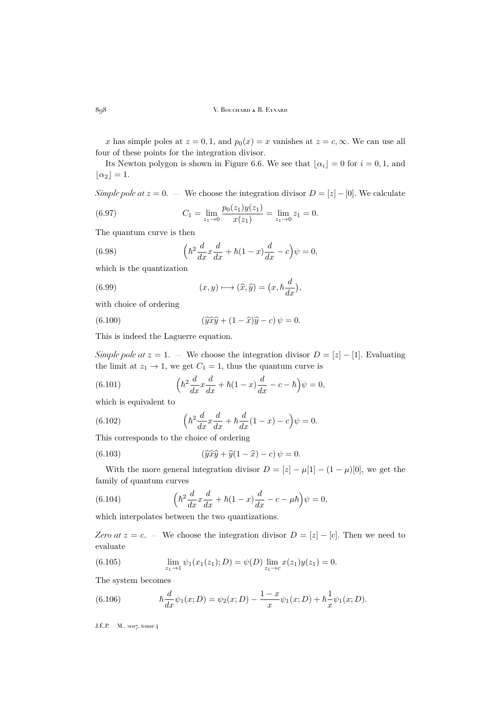x has simple poles at  $z = 0, 1$ , and  $p_0(x) = x$  vanishes at  $z = c, \infty$ . We can use all four of these points for the integration divisor.

Its Newton polygon is shown in Figure [6.6.](#page-53-0) We see that  $\lfloor \alpha_i \rfloor = 0$  for  $i = 0, 1$ , and  $\lfloor \alpha_2 \rfloor = 1.$ 

*Simple pole at*  $z = 0$ . — We choose the integration divisor  $D = [z] - [0]$ . We calculate

(6.97) 
$$
C_1 = \lim_{z_1 \to 0} \frac{p_0(z_1)y(z_1)}{x(z_1)} = \lim_{z_1 \to 0} z_1 = 0.
$$

The quantum curve is then

(6.98) 
$$
\left(\hbar^2 \frac{d}{dx} x \frac{d}{dx} + \hbar (1-x) \frac{d}{dx} - c\right) \psi = 0,
$$

which is the quantization

(6.99) 
$$
(x, y) \longmapsto (\widehat{x}, \widehat{y}) = (x, \hbar \frac{d}{dx}),
$$

with choice of ordering

(6.100) 
$$
(\widehat{y} \widehat{x} \widehat{y} + (1 - \widehat{x}) \widehat{y} - c) \psi = 0.
$$

This is indeed the Laguerre equation.

*Simple pole at*  $z = 1$ . — We choose the integration divisor  $D = \lfloor z \rfloor - \lfloor 1 \rfloor$ . Evaluating the limit at  $z_1 \rightarrow 1$ , we get  $C_1 = 1$ , thus the quantum curve is

(6.101) 
$$
\left(\hbar^2 \frac{d}{dx} x \frac{d}{dx} + \hbar (1-x) \frac{d}{dx} - c - \hbar\right) \psi = 0,
$$

which is equivalent to

(6.102) 
$$
\left(\hbar^2 \frac{d}{dx} x \frac{d}{dx} + \hbar \frac{d}{dx} (1-x) - c\right) \psi = 0.
$$

This corresponds to the choice of ordering

(6.103) 
$$
(\widehat{y}\widehat{x}\widehat{y} + \widehat{y}(1-\widehat{x}) - c)\psi = 0.
$$

With the more general integration divisor  $D = [z] - \mu[1] - (1 - \mu)[0]$ , we get the family of quantum curves

(6.104) 
$$
\left(\hbar^2 \frac{d}{dx} x \frac{d}{dx} + \hbar (1-x) \frac{d}{dx} - c - \mu \hbar\right) \psi = 0,
$$

which interpolates between the two quantizations.

*Zero at*  $z = c$ . — We choose the integration divisor  $D = [z] - [c]$ . Then we need to evaluate

(6.105) 
$$
\lim_{z_1 \to 1} \psi_1(x_1(z_1); D) = \psi(D) \lim_{z_1 \to c} x(z_1) y(z_1) = 0.
$$

The system becomes

(6.106) 
$$
\hbar \frac{d}{dx} \psi_1(x;D) = \psi_2(x;D) - \frac{1-x}{x} \psi_1(x;D) + \hbar \frac{1}{x} \psi_1(x;D).
$$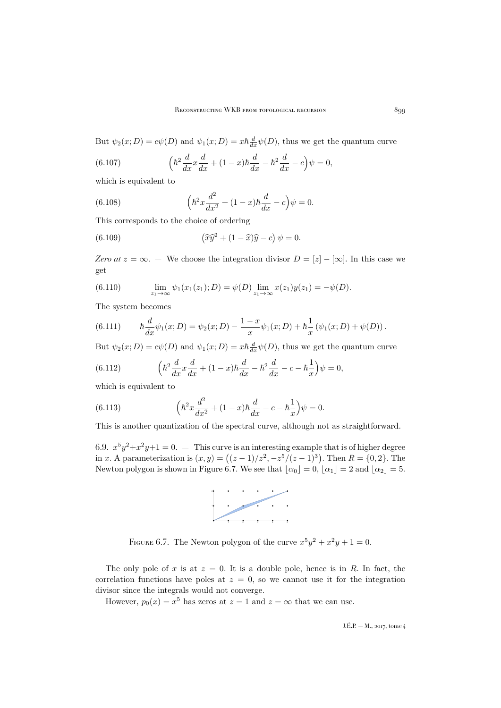But  $\psi_2(x; D) = c\psi(D)$  and  $\psi_1(x; D) = x\hbar \frac{d}{dx}\psi(D)$ , thus we get the quantum curve

(6.107) 
$$
\left(\hbar^2 \frac{d}{dx} x \frac{d}{dx} + (1-x)\hbar \frac{d}{dx} - \hbar^2 \frac{d}{dx} - c\right) \psi = 0,
$$

which is equivalent to

(6.108) 
$$
\left(\hbar^2 x \frac{d^2}{dx^2} + (1-x)\hbar \frac{d}{dx} - c\right) \psi = 0.
$$

This corresponds to the choice of ordering

(6.109) 
$$
\left(\widehat{x}\widehat{y}^2 + (1-\widehat{x})\widehat{y} - c\right)\psi = 0.
$$

*Zero at*  $z = \infty$ . — We choose the integration divisor  $D = [z] - [\infty]$ . In this case we get

(6.110) 
$$
\lim_{z_1 \to \infty} \psi_1(x_1(z_1); D) = \psi(D) \lim_{z_1 \to \infty} x(z_1)y(z_1) = -\psi(D).
$$

The system becomes

(6.111) 
$$
\hbar \frac{d}{dx} \psi_1(x;D) = \psi_2(x;D) - \frac{1-x}{x} \psi_1(x;D) + \hbar \frac{1}{x} (\psi_1(x;D) + \psi(D)).
$$

But  $\psi_2(x; D) = c\psi(D)$  and  $\psi_1(x; D) = x\hbar \frac{d}{dx}\psi(D)$ , thus we get the quantum curve

(6.112) 
$$
\left(\hbar^2 \frac{d}{dx} x \frac{d}{dx} + (1-x)\hbar \frac{d}{dx} - \hbar^2 \frac{d}{dx} - c - \hbar \frac{1}{x}\right) \psi = 0,
$$

which is equivalent to

(6.113) 
$$
\left(\hbar^2 x \frac{d^2}{dx^2} + (1-x)\hbar \frac{d}{dx} - c - \hbar \frac{1}{x}\right)\psi = 0.
$$

This is another quantization of the spectral curve, although not as straightforward.

6.9.  $x^5y^2+x^2y+1=0$ .  $-$  This curve is an interesting example that is of higher degree in x. A parameterization is  $(x, y) = ((z - 1)/z^2, -z^5/(z - 1)^3)$ . Then  $R = \{0, 2\}$ . The Newton polygon is shown in Figure [6.7.](#page-55-0) We see that  $\lfloor \alpha_0 \rfloor = 0$ ,  $\lfloor \alpha_1 \rfloor = 2$  and  $\lfloor \alpha_2 \rfloor = 5$ .



<span id="page-55-0"></span>FIGURE 6.7. The Newton polygon of the curve  $x^5y^2 + x^2y + 1 = 0$ .

The only pole of x is at  $z = 0$ . It is a double pole, hence is in R. In fact, the correlation functions have poles at  $z = 0$ , so we cannot use it for the integration divisor since the integrals would not converge.

However,  $p_0(x) = x^5$  has zeros at  $z = 1$  and  $z = \infty$  that we can use.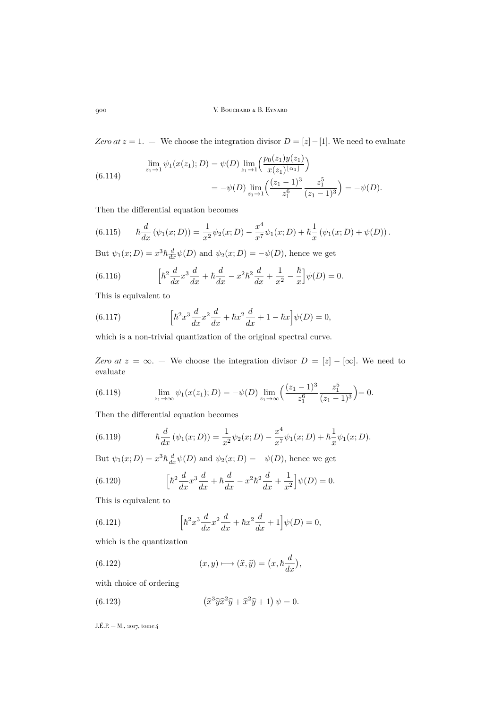*Zero at*  $z = 1$ . — We choose the integration divisor  $D = [z] - [1]$ . We need to evaluate

(6.114) 
$$
\lim_{z_1 \to 1} \psi_1(x(z_1); D) = \psi(D) \lim_{z_1 \to 1} \left( \frac{p_0(z_1)y(z_1)}{x(z_1)^{\lfloor \alpha_1 \rfloor}} \right)
$$

$$
= -\psi(D) \lim_{z_1 \to 1} \left( \frac{(z_1 - 1)^3}{z_1^6} \frac{z_1^5}{(z_1 - 1)^3} \right) = -\psi(D).
$$

Then the differential equation becomes

(6.115) 
$$
\hbar \frac{d}{dx} (\psi_1(x;D)) = \frac{1}{x^2} \psi_2(x;D) - \frac{x^4}{x^7} \psi_1(x;D) + \hbar \frac{1}{x} (\psi_1(x;D) + \psi(D)).
$$

But  $\psi_1(x; D) = x^3 \hbar \frac{d}{dx} \psi(D)$  and  $\psi_2(x; D) = -\psi(D)$ , hence we get

(6.116) 
$$
\left[\hbar^2 \frac{d}{dx} x^3 \frac{d}{dx} + \hbar \frac{d}{dx} - x^2 \hbar^2 \frac{d}{dx} + \frac{1}{x^2} - \frac{\hbar}{x}\right] \psi(D) = 0.
$$

This is equivalent to

(6.117) 
$$
\left[\hbar^2 x^3 \frac{d}{dx} x^2 \frac{d}{dx} + \hbar x^2 \frac{d}{dx} + 1 - \hbar x\right] \psi(D) = 0,
$$

which is a non-trivial quantization of the original spectral curve.

*Zero at*  $z = \infty$ . — We choose the integration divisor  $D = [z] - [\infty]$ . We need to evaluate

(6.118) 
$$
\lim_{z_1 \to \infty} \psi_1(x(z_1); D) = -\psi(D) \lim_{z_1 \to \infty} \left( \frac{(z_1 - 1)^3}{z_1^6} \frac{z_1^5}{(z_1 - 1)^3} \right) = 0.
$$

Then the differential equation becomes

(6.119) 
$$
\hbar \frac{d}{dx} (\psi_1(x;D)) = \frac{1}{x^2} \psi_2(x;D) - \frac{x^4}{x^7} \psi_1(x;D) + \hbar \frac{1}{x} \psi_1(x;D).
$$

But  $\psi_1(x; D) = x^3 \hbar \frac{d}{dx} \psi(D)$  and  $\psi_2(x; D) = -\psi(D)$ , hence we get

(6.120) 
$$
\left[\hbar^2 \frac{d}{dx} x^3 \frac{d}{dx} + \hbar \frac{d}{dx} - x^2 \hbar^2 \frac{d}{dx} + \frac{1}{x^2}\right] \psi(D) = 0.
$$

This is equivalent to

(6.121) 
$$
\left[\hbar^2 x^3 \frac{d}{dx} x^2 \frac{d}{dx} + \hbar x^2 \frac{d}{dx} + 1\right] \psi(D) = 0,
$$

which is the quantization

(6.122) 
$$
(x, y) \longmapsto (\widehat{x}, \widehat{y}) = (x, \hbar \frac{d}{dx}),
$$

with choice of ordering

(6.123) 
$$
\left(\widehat{x}^3 \widehat{y} \widehat{x}^2 \widehat{y} + \widehat{x}^2 \widehat{y} + 1\right) \psi = 0.
$$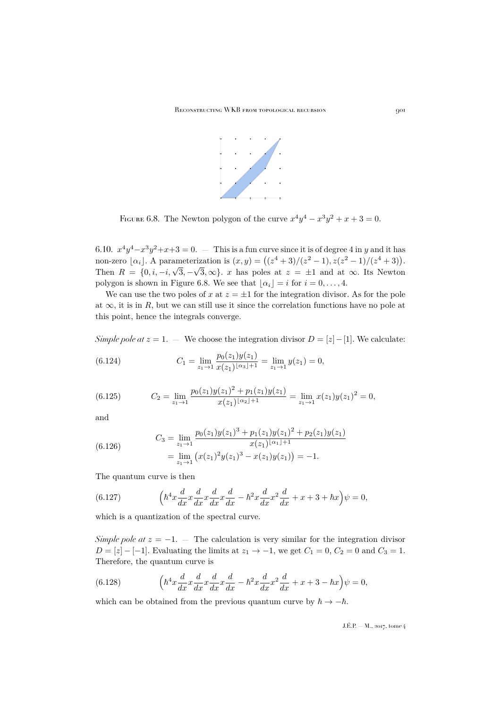

<span id="page-57-0"></span>FIGURE 6.8. The Newton polygon of the curve  $x^4y^4 - x^3y^2 + x + 3 = 0$ .

6.10.  $x^4y^4 - x^3y^2 + x + 3 = 0$ .  $-$  This is a fun curve since it is of degree 4 in y and it has non-zero  $[\alpha_i]$ . A parameterization is  $(x, y) = ((z^4 + 3)/(z^2 - 1), z(z^2 - 1)/(z^4 + 3))$ . Then  $R = \{0, i, -i, \sqrt{3}, -\sqrt{3}, \infty\}$ . x has poles at  $z = \pm 1$  and at  $\infty$ . Its Newton polygon is shown in Figure [6.8.](#page-57-0) We see that  $|\alpha_i| = i$  for  $i = 0, \ldots, 4$ .

We can use the two poles of x at  $z = \pm 1$  for the integration divisor. As for the pole at  $\infty$ , it is in R, but we can still use it since the correlation functions have no pole at this point, hence the integrals converge.

*Simple pole at*  $z = 1$ . — We choose the integration divisor  $D = [z] - [1]$ . We calculate:

(6.124) 
$$
C_1 = \lim_{z_1 \to 1} \frac{p_0(z_1)y(z_1)}{x(z_1)^{\lfloor \alpha_3 \rfloor + 1}} = \lim_{z_1 \to 1} y(z_1) = 0,
$$

(6.125) 
$$
C_2 = \lim_{z_1 \to 1} \frac{p_0(z_1)y(z_1)^2 + p_1(z_1)y(z_1)}{x(z_1)^{\lfloor \alpha_2 \rfloor + 1}} = \lim_{z_1 \to 1} x(z_1)y(z_1)^2 = 0,
$$

and

(6.126) 
$$
C_3 = \lim_{z_1 \to 1} \frac{p_0(z_1)y(z_1)^3 + p_1(z_1)y(z_1)^2 + p_2(z_1)y(z_1)}{x(z_1)^{\lfloor \alpha_1 \rfloor + 1}} = \lim_{z_1 \to 1} \left( x(z_1)^2 y(z_1)^3 - x(z_1)y(z_1) \right) = -1.
$$

The quantum curve is then

(6.127) 
$$
\left(\hbar^4 x \frac{d}{dx} x \frac{d}{dx} x \frac{d}{dx} x \frac{d}{dx} - \hbar^2 x \frac{d}{dx} x^2 \frac{d}{dx} + x + 3 + \hbar x\right)\psi = 0,
$$

which is a quantization of the spectral curve.

*Simple pole at*  $z = -1$ . — The calculation is very similar for the integration divisor  $D = [z] - [-1]$ . Evaluating the limits at  $z_1 \rightarrow -1$ , we get  $C_1 = 0$ ,  $C_2 = 0$  and  $C_3 = 1$ . Therefore, the quantum curve is

(6.128) 
$$
\left(\hbar^4 x \frac{d}{dx} x \frac{d}{dx} x \frac{d}{dx} x \frac{d}{dx} - \hbar^2 x \frac{d}{dx} x^2 \frac{d}{dx} + x + 3 - \hbar x\right)\psi = 0,
$$

which can be obtained from the previous quantum curve by  $\hbar \to -\hbar$ .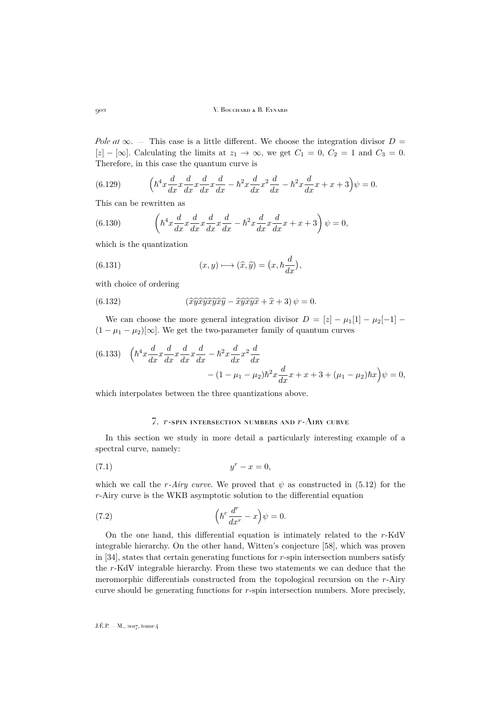*Pole at*  $\infty$ . — This case is a little different. We choose the integration divisor  $D =$  $[z] - [\infty]$ . Calculating the limits at  $z_1 \to \infty$ , we get  $C_1 = 0$ ,  $C_2 = 1$  and  $C_3 = 0$ . Therefore, in this case the quantum curve is

(6.129) 
$$
\left(\hbar^4 x \frac{d}{dx} x \frac{d}{dx} x \frac{d}{dx} x \frac{d}{dx} - \hbar^2 x \frac{d}{dx} x^2 \frac{d}{dx} - \hbar^2 x \frac{d}{dx} x + x + 3\right) \psi = 0.
$$

This can be rewritten as

(6.130) 
$$
\left(\hbar^4 x \frac{d}{dx} x \frac{d}{dx} x \frac{d}{dx} x \frac{d}{dx} - \hbar^2 x \frac{d}{dx} x \frac{d}{dx} x + x + 3\right) \psi = 0,
$$

which is the quantization

(6.131) 
$$
(x, y) \longmapsto (\widehat{x}, \widehat{y}) = (x, \hbar \frac{d}{dx}),
$$

with choice of ordering

(6.132) 
$$
(\widehat{x}\widehat{y}\widehat{x}\widehat{y}\widehat{x}\widehat{y}\widehat{x}\widehat{y} - \widehat{x}\widehat{y}\widehat{x}\widehat{y}\widehat{x} + \widehat{x} + 3)\psi = 0.
$$

We can choose the more general integration divisor  $D = |z| - \mu_1[1] - \mu_2[-1]$  $(1 - \mu_1 - \mu_2)[\infty]$ . We get the two-parameter family of quantum curves

(6.133) 
$$
\left(\hbar^4 x \frac{d}{dx} x \frac{d}{dx} x \frac{d}{dx} x \frac{d}{dx} - \hbar^2 x \frac{d}{dx} x^2 \frac{d}{dx} - (1 - \mu_1 - \mu_2) \hbar^2 x \frac{d}{dx} x + x + 3 + (\mu_1 - \mu_2) \hbar x\right) \psi = 0,
$$

which interpolates between the three quantizations above.

## 7. r-spin intersection numbers and r-Airy curve

<span id="page-58-0"></span>In this section we study in more detail a particularly interesting example of a spectral curve, namely:

$$
(7.1) \t\t yr - x = 0,
$$

which we call the r-Airy curve. We proved that  $\psi$  as constructed in [\(5.12\)](#page-34-1) for the r-Airy curve is the WKB asymptotic solution to the differential equation

(7.2) 
$$
\left(\hbar^r \frac{d^r}{dx^r} - x\right) \psi = 0.
$$

On the one hand, this differential equation is intimately related to the r-KdV integrable hierarchy. On the other hand, Witten's conjecture [\[58\]](#page-63-24), which was proven in [\[34\]](#page-63-25), states that certain generating functions for r-spin intersection numbers satisfy the r-KdV integrable hierarchy. From these two statements we can deduce that the meromorphic differentials constructed from the topological recursion on the r-Airy curve should be generating functions for r-spin intersection numbers. More precisely,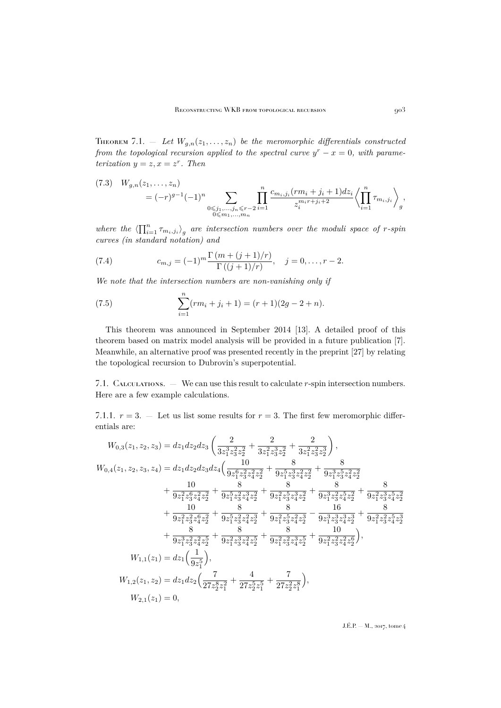THEOREM 7.1. – Let  $W_{g,n}(z_1,\ldots,z_n)$  be the meromorphic differentials constructed *from the topological recursion applied to the spectral curve*  $y^r - x = 0$ , with parame*terization*  $y = z, x = z^r$ . *Then* 

$$
(7.3) \quad W_{g,n}(z_1,\ldots,z_n) = (-r)^{g-1}(-1)^n \sum_{\substack{0 \leq j_1,\ldots,j_n \leq r-2 \\ 0 \leq m_1,\ldots,m_n}} \prod_{i=1}^n \frac{c_{m_i,j_i}(rm_i+j_i+1)dz_i}{z_i^{m_ir+j_i+2}} \left\langle \prod_{i=1}^n \tau_{m_i,j_i} \right\rangle_g,
$$

where the  $\langle \prod_{i=1}^n \tau_{m_i,j_i} \rangle_g$  are intersection numbers over the moduli space of r-spin *curves (in standard notation) and*

(7.4) 
$$
c_{m,j} = (-1)^m \frac{\Gamma(m + (j+1)/r)}{\Gamma((j+1)/r)}, \quad j = 0, \dots, r-2.
$$

*We note that the intersection numbers are non-vanishing only if*

(7.5) 
$$
\sum_{i=1}^{n} (rm_i + j_i + 1) = (r + 1)(2g - 2 + n).
$$

This theorem was announced in September 2014 [\[13\]](#page-62-24). A detailed proof of this theorem based on matrix model analysis will be provided in a future publication [\[7\]](#page-62-23). Meanwhile, an alternative proof was presented recently in the preprint [\[27\]](#page-62-5) by relating the topological recursion to Dubrovin's superpotential.

7.1. Calculations. — We can use this result to calculate r-spin intersection numbers. Here are a few example calculations.

7.1.1.  $r = 3$ . – Let us list some results for  $r = 3$ . The first few meromorphic differentials are:

$$
W_{0,3}(z_1, z_2, z_3) = dz_1 dz_2 dz_3 \left( \frac{2}{3z_1^3 z_3^2 z_2^2} + \frac{2}{3z_1^2 z_3^3 z_2^2} + \frac{2}{3z_1^2 z_3^2 z_2^3} \right),
$$
  
\n
$$
W_{0,4}(z_1, z_2, z_3, z_4) = dz_1 dz_2 dz_3 dz_4 \left( \frac{10}{9z_1^6 z_3^2 z_4^2 z_2^2} + \frac{8}{9z_1^5 z_3^3 z_4^2 z_2^2} + \frac{8}{9z_1^5 z_3^3 z_4^2 z_2^2} + \frac{8}{9z_1^2 z_3^5 z_4^2 z_2^2} + \frac{8}{9z_1^2 z_3^5 z_4^2 z_2^2} + \frac{8}{9z_1^2 z_3^5 z_4^2 z_2^2} + \frac{8}{9z_1^2 z_3^2 z_4^2 z_2^2} + \frac{8}{9z_1^2 z_3^2 z_4^2 z_2^2} + \frac{8}{9z_1^2 z_3^2 z_4^2 z_2^2} + \frac{8}{9z_1^2 z_3^2 z_4^2 z_2^2} + \frac{8}{9z_1^2 z_3^2 z_4^2 z_2^2} + \frac{8}{9z_1^2 z_3^2 z_4^2 z_2^2} + \frac{8}{9z_1^2 z_3^2 z_4^2 z_2^2} - \frac{16}{9z_1^3 z_3^3 z_4^3 z_2^3} + \frac{8}{9z_1^2 z_3^2 z_4^2 z_2^5} + \frac{8}{9z_1^2 z_3^2 z_4^2 z_2^6} + \frac{10}{9z_1^2 z_3^2 z_4^2 z_2^6} \right),
$$
  
\n
$$
W_{1,1}(z_1) = dz_1 \left( \frac{1}{9z_1^5} \right),
$$
  
\n
$$
W_{1,2}(z_1, z_2) = dz_1 dz_2 \left( \frac{7}{27z_2^8 z_1^2} + \frac{4}{27z_2^5 z_1^5} + \frac{7}{27z
$$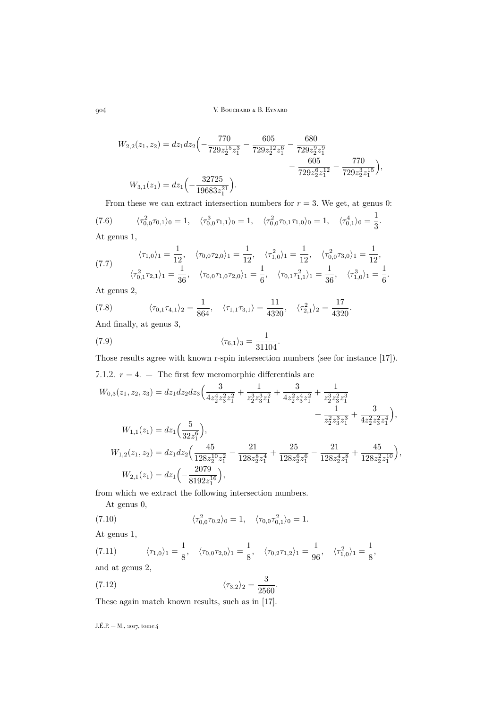$$
W_{2,2}(z_1, z_2) = dz_1 dz_2 \left( -\frac{770}{729 z_2^{15} z_1^3} - \frac{605}{729 z_2^{12} z_1^6} - \frac{680}{729 z_2^{9} z_1^{9}} - \frac{605}{729 z_2^{9} z_1^{12}} - \frac{605}{729 z_2^{9} z_1^{12}} - \frac{770}{729 z_2^{3} z_1^{15}} \right),
$$
  

$$
W_{3,1}(z_1) = dz_1 \left( -\frac{32725}{19683 z_1^{21}} \right).
$$

From these we can extract intersection numbers for  $r = 3$ . We get, at genus 0:  $\langle \tau_{0,0}^2 \tau_{0,1} \rangle_0 = 1, \quad \langle \tau_{0,0}^3 \tau_{1,1} \rangle_0 = 1, \quad \langle \tau_{0,0}^2 \tau_{0,1} \tau_{1,0} \rangle_0 = 1, \quad \langle \tau_{0,1}^4 \rangle_0 = \frac{1}{2}$ (7.6)  $\langle \tau_{0,0}^2 \tau_{0,1} \rangle_0 = 1, \quad \langle \tau_{0,0}^3 \tau_{1,1} \rangle_0 = 1, \quad \langle \tau_{0,0}^2 \tau_{0,1} \tau_{1,0} \rangle_0 = 1, \quad \langle \tau_{0,1}^4 \rangle_0 = \frac{1}{3}.$ At genus 1,

(7.7) 
$$
\langle \tau_{1,0} \rangle_1 = \frac{1}{12}, \quad \langle \tau_{0,0} \tau_{2,0} \rangle_1 = \frac{1}{12}, \quad \langle \tau_{1,0}^2 \rangle_1 = \frac{1}{12}, \quad \langle \tau_{0,0}^2 \tau_{3,0} \rangle_1 = \frac{1}{12}, \n\langle \tau_{0,1}^2 \tau_{2,1} \rangle_1 = \frac{1}{36}, \quad \langle \tau_{0,0} \tau_{1,0} \tau_{2,0} \rangle_1 = \frac{1}{6}, \quad \langle \tau_{0,1} \tau_{1,1}^2 \rangle_1 = \frac{1}{36}, \quad \langle \tau_{1,0}^3 \rangle_1 = \frac{1}{6}.
$$

At genus 2,

(7.8) 
$$
\langle \tau_{0,1} \tau_{4,1} \rangle_2 = \frac{1}{864}, \quad \langle \tau_{1,1} \tau_{3,1} \rangle = \frac{11}{4320}, \quad \langle \tau_{2,1}^2 \rangle_2 = \frac{17}{4320}.
$$

And finally, at genus 3,

(7.9) 
$$
\langle \tau_{6,1} \rangle_3 = \frac{1}{31104}.
$$

Those results agree with known r-spin intersection numbers (see for instance [\[17\]](#page-62-25)).

7.1.2. 
$$
r = 4
$$
. – The first few meromorphic differentials are  
\n
$$
W_{0,3}(z_1, z_2, z_3) = dz_1 dz_2 dz_3 \left( \frac{3}{4z_2^4 z_3^2 z_1^2} + \frac{1}{z_2^3 z_3^3 z_1^2} + \frac{3}{4z_2^2 z_3^4 z_1^2} + \frac{1}{z_2^3 z_3^2 z_1^3} + \frac{1}{z_2^2 z_3^3 z_1^3} + \frac{3}{4z_2^2 z_3^2 z_1^4} \right),
$$
\n
$$
W_{1,1}(z_1) = dz_1 \left( \frac{5}{32z_1^6} \right),
$$
\n
$$
W_{1,2}(z_1, z_2) = dz_1 dz_2 \left( \frac{45}{128z_2^{10} z_1^2} - \frac{21}{128z_2^8 z_1^4} + \frac{25}{128z_2^6 z_1^6} - \frac{21}{128z_2^4 z_1^8} + \frac{45}{128z_2^2 z_1^{10}} \right),
$$
\n
$$
W_{2,1}(z_1) = dz_1 \left( -\frac{2079}{8192z_1^{16}} \right),
$$

from which we extract the following intersection numbers.

At genus 0,

(7.10) 
$$
\langle \tau_{0,0}^2 \tau_{0,2} \rangle_0 = 1, \quad \langle \tau_{0,0} \tau_{0,1}^2 \rangle_0 = 1.
$$

At genus 1,

(7.11) 
$$
\langle \tau_{1,0} \rangle_1 = \frac{1}{8}, \quad \langle \tau_{0,0} \tau_{2,0} \rangle_1 = \frac{1}{8}, \quad \langle \tau_{0,2} \tau_{1,2} \rangle_1 = \frac{1}{96}, \quad \langle \tau_{1,0}^2 \rangle_1 = \frac{1}{8},
$$

and at genus 2,

(7.12) 
$$
\langle \tau_{3,2} \rangle_2 = \frac{3}{2560}.
$$

These again match known results, such as in [\[17\]](#page-62-25).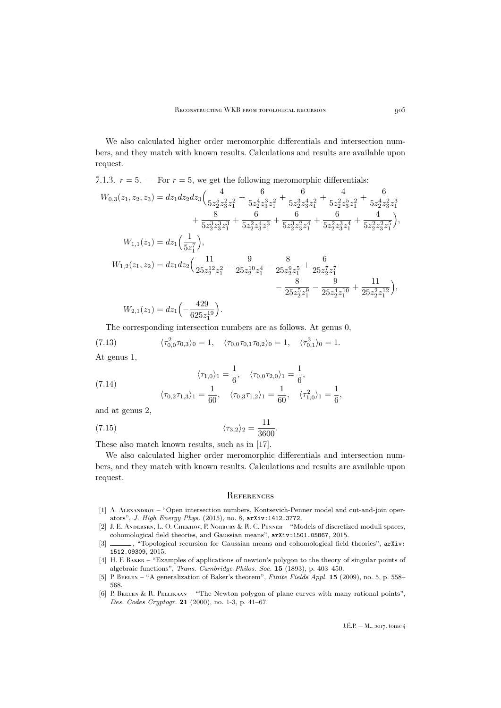We also calculated higher order meromorphic differentials and intersection numbers, and they match with known results. Calculations and results are available upon request.

7.1.3. 
$$
r = 5
$$
. - For  $r = 5$ , we get the following meromorphic differentials:

$$
W_{0,3}(z_1, z_2, z_3) = dz_1 dz_2 dz_3 \left( \frac{4}{5z_2^5 z_3^2 z_1^2} + \frac{6}{5z_2^4 z_3^3 z_1^2} + \frac{6}{5z_2^3 z_3^4 z_1^2} + \frac{4}{5z_2^2 z_3^5 z_1^2} + \frac{6}{5z_2^4 z_3^2 z_1^3} + \frac{8}{5z_2^3 z_3^3 z_1^3} + \frac{6}{5z_2^2 z_3^4 z_1^3} + \frac{6}{5z_2^3 z_3^2 z_1^4} + \frac{6}{5z_2^2 z_3^3 z_1^4} + \frac{4}{5z_2^2 z_3^2 z_1^5} \right),
$$
  
\n
$$
W_{1,1}(z_1) = dz_1 \left( \frac{1}{5z_1^7} \right),
$$
  
\n
$$
W_{1,2}(z_1, z_2) = dz_1 dz_2 \left( \frac{11}{25z_2^{12} z_1^2} - \frac{9}{25z_2^{10} z_1^4} - \frac{8}{25z_2^9 z_1^5} + \frac{6}{25z_2^7 z_1^7} - \frac{8}{25z_2^5 z_1^9} - \frac{9}{25z_2^4 z_1^{10}} + \frac{11}{25z_2^2 z_1^{12}} \right),
$$
  
\n
$$
W_{2,1}(z_1) = dz_1 \left( -\frac{429}{625z_1^{19}} \right).
$$

The corresponding intersection numbers are as follows. At genus 0,

(7.13) 
$$
\langle \tau_{0,0}^2 \tau_{0,3} \rangle_0 = 1, \quad \langle \tau_{0,0} \tau_{0,1} \tau_{0,2} \rangle_0 = 1, \quad \langle \tau_{0,1}^3 \rangle_0 = 1.
$$

At genus 1,

(7.14) 
$$
\langle \tau_{1,0} \rangle_1 = \frac{1}{6}, \quad \langle \tau_{0,0} \tau_{2,0} \rangle_1 = \frac{1}{6}, \n\langle \tau_{0,2} \tau_{1,3} \rangle_1 = \frac{1}{60}, \quad \langle \tau_{0,3} \tau_{1,2} \rangle_1 = \frac{1}{60}, \quad \langle \tau_{1,0}^2 \rangle_1 = \frac{1}{6},
$$

and at genus 2,

(7.15) 
$$
\langle \tau_{3,2} \rangle_2 = \frac{11}{3600}.
$$

These also match known results, such as in [\[17\]](#page-62-25).

We also calculated higher order meromorphic differentials and intersection numbers, and they match with known results. Calculations and results are available upon request.

#### <span id="page-61-0"></span>**REFERENCES**

- <span id="page-61-3"></span>[1] A. ALEXANDROV – "Open intersection numbers, Kontsevich-Penner model and cut-and-join operators", *J. High Energy Phys.* (2015), no. 8, [arXiv:1412.3772](http://arxiv.org/abs/1412.3772).
- <span id="page-61-1"></span>[2] J. E. Andersen, L. O. Chekhov, P. Norbury & R. C. Penner – "Models of discretized moduli spaces,
- <span id="page-61-2"></span>cohomological field theories, and Gaussian means",  $arXiv:1501.05867, 2015.$  $arXiv:1501.05867, 2015.$ <br>[3] \_\_\_\_\_\_\_, "Topological recursion for Gaussian means and cohomological field ..., "Topological recursion for Gaussian means and cohomological field theories", [arXiv:](http://arxiv.org/abs/1512.09309) [1512.09309](http://arxiv.org/abs/1512.09309), 2015.
- <span id="page-61-4"></span>[4] H. F. BAKER – "Examples of applications of newton's polygon to the theory of singular points of algebraic functions", *Trans. Cambridge Philos. Soc.* **15** (1893), p. 403–450.
- <span id="page-61-5"></span>[5] P. Beelen – "A generalization of Baker's theorem", *Finite Fields Appl.* **15** (2009), no. 5, p. 558– 568.
- <span id="page-61-6"></span>[6] P. BEELEN & R. PELLIKAAN – "The Newton polygon of plane curves with many rational points", *Des. Codes Cryptogr.* **21** (2000), no. 1-3, p. 41–67.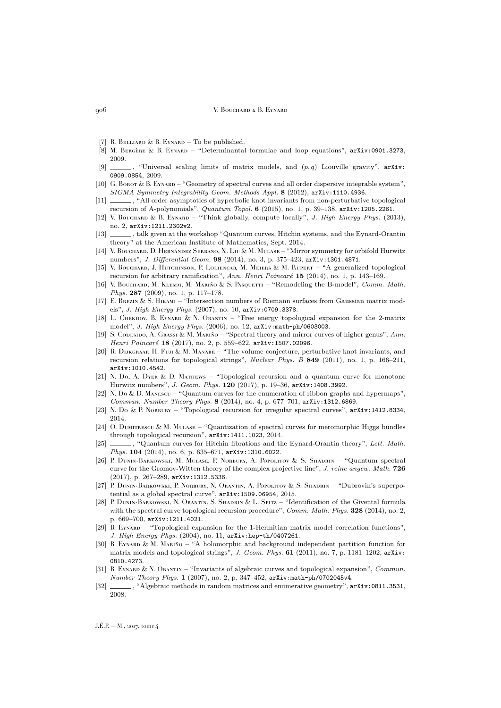- <span id="page-62-23"></span>[7] R. BELLIARD & B. EYNARD – To be published.
- <span id="page-62-6"></span>[8] M. BERGÈRE & B. EYNARD – "Determinantal formulae and loop equations", [arXiv:0901.3273](http://arxiv.org/abs/0901.3273), 2009.
- <span id="page-62-7"></span>[9]  $\qquad \qquad$ , "Universal scaling limits of matrix models, and  $(p, q)$  Liouville gravity", [arXiv:](http://arxiv.org/abs/0909.0854) [0909.0854](http://arxiv.org/abs/0909.0854), 2009.
- <span id="page-62-8"></span>[10] G. Borot & B. EYNARD – "Geometry of spectral curves and all order dispersive integrable system", *SIGMA Symmetry Integrability Geom. Methods Appl.* **8** (2012), [arXiv:1110.4936](http://arxiv.org/abs/1110.4936).
- <span id="page-62-17"></span>[11]  $\_\_\_\$ , "All order asymptotics of hyperbolic knot invariants from non-perturbative topological recursion of A-polynomials", *Quantum Topol.* **6** (2015), no. 1, p. 39–138, [arXiv:1205.2261](http://arxiv.org/abs/1205.2261).
- <span id="page-62-22"></span>[12] V. Bouchard & B. Eynard – "Think globally, compute locally", *J. High Energy Phys.* (2013), no. 2, [arXiv:1211.2302v2](http://arxiv.org/abs/1211.2302v2).
- <span id="page-62-24"></span>[13] \_\_\_\_\_, talk given at the workshop "Quantum curves, Hitchin systems, and the Eynard-Orantin theory" at the American Institute of Mathematics, Sept. 2014.
- <span id="page-62-9"></span>[14] V. Bouchard, D. Hernández Serrano, X. Liu & M. Mulase – "Mirror symmetry for orbifold Hurwitz numbers", *J. Differential Geom.* **98** (2014), no. 3, p. 375–423, [arXiv:1301.4871](http://arxiv.org/abs/1301.4871).
- <span id="page-62-21"></span>[15] V. Bouchard, J. Hutchinson, P. Loliencar, M. Meiers & M. Rupert – "A generalized topological recursion for arbitrary ramification", *Ann. Henri Poincaré* **15** (2014), no. 1, p. 143–169.
- <span id="page-62-18"></span>[16] V. Bouchard, M. Klemm, M. Mariño & S. Pasquetti – "Remodeling the B-model", *Comm. Math. Phys.* **287** (2009), no. 1, p. 117–178.
- <span id="page-62-25"></span>[17] E. BREZIN & S. HIKAMI – "Intersection numbers of Riemann surfaces from Gaussian matrix models", *J. High Energy Phys.* (2007), no. 10, [arXiv:0709.3378](http://arxiv.org/abs/0709.3378).
- <span id="page-62-1"></span>[18] L. CHEKHOV, B. EYNARD & N. ORANTIN – "Free energy topological expansion for the 2-matrix model", *J. High Energy Phys.* (2006), no. 12, [arXiv:math-ph/0603003](http://arxiv.org/abs/math-ph/0603003).
- <span id="page-62-19"></span>[19] S. Codesido, A. Grassi & M. Mariño – "Spectral theory and mirror curves of higher genus", *Ann. Henri Poincaré* **18** (2017), no. 2, p. 559–622, [arXiv:1507.02096](http://arxiv.org/abs/1507.02096).
- <span id="page-62-16"></span>[20] R. DIJKGRAAF, H. FUJI & M. MANABE – "The volume conjecture, perturbative knot invariants, and recursion relations for topological strings", *Nuclear Phys. B* **849** (2011), no. 1, p. 166–211, [arXiv:1010.4542](http://arxiv.org/abs/1010.4542).
- <span id="page-62-10"></span>[21] N. Do, A. Dyer & D. Mathews – "Topological recursion and a quantum curve for monotone Hurwitz numbers", *J. Geom. Phys.* **120** (2017), p. 19–36, [arXiv:1408.3992](http://arxiv.org/abs/1408.3992).
- <span id="page-62-11"></span>[22] N. Do & D. MANESCU – "Quantum curves for the enumeration of ribbon graphs and hypermaps", *Commun. Number Theory Phys.* **8** (2014), no. 4, p. 677–701, [arXiv:1312.6869](http://arxiv.org/abs/1312.6869).
- <span id="page-62-12"></span>[23] N. Do & P. Norbury – "Topological recursion for irregular spectral curves", [arXiv:1412.8334](http://arxiv.org/abs/1412.8334), 2014.
- <span id="page-62-14"></span>[24] O. DUMITRESCU & M. MULASE – "Quantization of spectral curves for meromorphic Higgs bundles through topological recursion", [arXiv:1411.1023](http://arxiv.org/abs/1411.1023), 2014.
- <span id="page-62-13"></span>[25] , "Quantum curves for Hitchin fibrations and the Eynard-Orantin theory", *Lett. Math. Phys.* **104** (2014), no. 6, p. 635–671, [arXiv:1310.6022](http://arxiv.org/abs/1310.6022).
- <span id="page-62-15"></span>[26] P. Dunin-Barkowski, M. Mulase, P. Norbury, A. Popolitov & S. Shadrin – "Quantum spectral curve for the Gromov-Witten theory of the complex projective line", *J. reine angew. Math.* **726** (2017), p. 267–289, [arXiv:1312.5336](http://arxiv.org/abs/1312.5336).
- <span id="page-62-5"></span>[27] P. Dunin-Barkowski, P. Norbury, N. Orantin, A. Popolitov & S. Shadrin – "Dubrovin's superpotential as a global spectral curve", [arXiv:1509.06954](http://arxiv.org/abs/1509.06954), 2015.
- <span id="page-62-4"></span>[28] P. DUNIN-BARKOWSKI, N. ORANTIN, S. SHADRIN & L. SPITZ – "Identification of the Givental formula with the spectral curve topological recursion procedure", *Comm. Math. Phys.* **328** (2014), no. 2, p. 669–700, [arXiv:1211.4021](http://arxiv.org/abs/1211.4021).
- <span id="page-62-0"></span>[29] B. EYNARD – "Topological expansion for the 1-Hermitian matrix model correlation functions", *J. High Energy Phys.* (2004), no. 11, [arXiv:hep-th/0407261](http://arxiv.org/abs/hep-th/0407261).
- <span id="page-62-20"></span>[30] B. Eynard & M. Mariño – "A holomorphic and background independent partition function for matrix models and topological strings", *J. Geom. Phys.* **61** (2011), no. 7, p. 1181–1202, [arXiv:](http://arxiv.org/abs/0810.4273) [0810.4273](http://arxiv.org/abs/0810.4273).
- <span id="page-62-2"></span>[31] B. Eynard & N. Orantin – "Invariants of algebraic curves and topological expansion", *Commun. Number Theory Phys.* **1** (2007), no. 2, p. 347–452, [arXiv:math-ph/0702045v4](http://arxiv.org/abs/math-ph/0702045v4).
- <span id="page-62-3"></span>[32] , "Algebraic methods in random matrices and enumerative geometry",  $arXiv:0811.3531$ , 2008.

 $J.E.P. = M$ , 2017, tome 4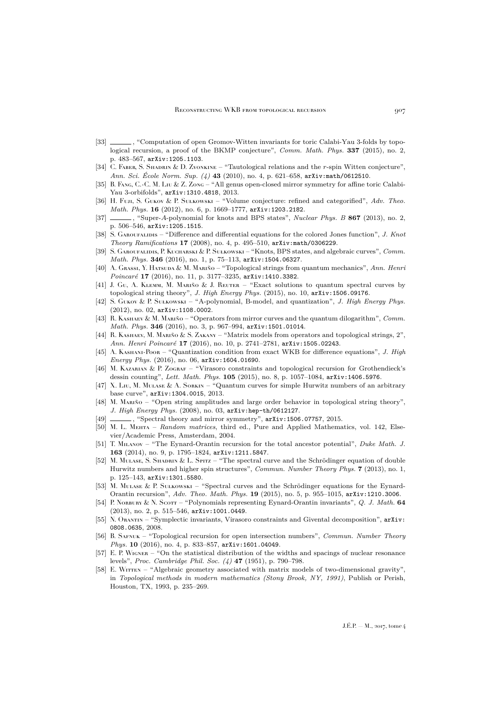- <span id="page-63-12"></span>[33] , "Computation of open Gromov-Witten invariants for toric Calabi-Yau 3-folds by topological recursion, a proof of the BKMP conjecture", *Comm. Math. Phys.* **337** (2015), no. 2, p. 483–567, [arXiv:1205.1103](http://arxiv.org/abs/1205.1103).
- <span id="page-63-25"></span>[34] C. FABER, S. SHADRIN & D. ZVONKINE – "Tautological relations and the r-spin Witten conjecture", *Ann. Sci. École Norm. Sup. (4)* **43** (2010), no. 4, p. 621–658, [arXiv:math/0612510](http://arxiv.org/abs/math/0612510).
- <span id="page-63-13"></span>[35] B. Fang, C.-C. M. Liu & Z. Zong – "All genus open-closed mirror symmetry for affine toric Calabi-Yau 3-orbifolds", [arXiv:1310.4818](http://arxiv.org/abs/1310.4818), 2013.
- <span id="page-63-8"></span>[36] H. Fuji, S. Gukov & P. Sułkowski – "Volume conjecture: refined and categorified", *Adv. Theo. Math. Phys.* **16** (2012), no. 6, p. 1669–1777, [arXiv:1203.2182](http://arxiv.org/abs/1203.2182).
- <span id="page-63-9"></span>[37] , "Super-A-polynomial for knots and BPS states", *Nuclear Phys. B* **867** (2013), no. 2, p. 506–546, [arXiv:1205.1515](http://arxiv.org/abs/1205.1515).
- <span id="page-63-7"></span>[38] S. Garoufalidis – "Difference and differential equations for the colored Jones function", *J. Knot Theory Ramifications* **17** (2008), no. 4, p. 495–510, [arXiv:math/0306229](http://arxiv.org/abs/math/0306229).
- <span id="page-63-10"></span>[39] S. Garoufalidis, P. Kucharski & P. Sułkowski – "Knots, BPS states, and algebraic curves", *Comm. Math. Phys.* **346** (2016), no. 1, p. 75–113, [arXiv:1504.06327](http://arxiv.org/abs/1504.06327).
- <span id="page-63-15"></span>[40] A. Grassi, Y. Hatsuda & M. Mariño – "Topological strings from quantum mechanics", *Ann. Henri Poincaré* **17** (2016), no. 11, p. 3177–3235, [arXiv:1410.3382](http://arxiv.org/abs/1410.3382).
- <span id="page-63-16"></span>[41] J. Gu, A. KLEMM, M. MARIÑO & J. REUTER – "Exact solutions to quantum spectral curves by topological string theory", *J. High Energy Phys.* (2015), no. 10, [arXiv:1506.09176](http://arxiv.org/abs/1506.09176).
- <span id="page-63-11"></span>[42] S. Gukov & P. Sułkowski – "A-polynomial, B-model, and quantization", *J. High Energy Phys.* (2012), no. 02, [arXiv:1108.0002](http://arxiv.org/abs/1108.0002).
- <span id="page-63-17"></span>[43] R. Kashaev & M. Mariño – "Operators from mirror curves and the quantum dilogarithm", *Comm. Math. Phys.* **346** (2016), no. 3, p. 967–994, [arXiv:1501.01014](http://arxiv.org/abs/1501.01014).
- <span id="page-63-18"></span>[44] R. KASHAEV, M. MARIÑO & S. ZAKANY – "Matrix models from operators and topological strings, 2", *Ann. Henri Poincaré* **17** (2016), no. 10, p. 2741–2781, [arXiv:1505.02243](http://arxiv.org/abs/1505.02243).
- <span id="page-63-19"></span>[45] A. Kashani-Poor – "Quantization condition from exact WKB for difference equations", *J. High Energy Phys.* (2016), no. 06, [arXiv:1604.01690](http://arxiv.org/abs/1604.01690).
- <span id="page-63-2"></span>[46] M. Kazarian & P. Zograf – "Virasoro constraints and topological recursion for Grothendieck's dessin counting", *Lett. Math. Phys.* **105** (2015), no. 8, p. 1057–1084, [arXiv:1406.5976](http://arxiv.org/abs/1406.5976).
- <span id="page-63-3"></span>[47] X. Liu, M. Mulase & A. Sorkin – "Quantum curves for simple Hurwitz numbers of an arbitrary base curve", [arXiv:1304.0015](http://arxiv.org/abs/1304.0015), 2013.
- <span id="page-63-14"></span>[48] M. MARIÑO – "Open string amplitudes and large order behavior in topological string theory", *J. High Energy Phys.* (2008), no. 03, [arXiv:hep-th/0612127](http://arxiv.org/abs/hep-th/0612127).
- <span id="page-63-20"></span>[49] , "Spectral theory and mirror symmetry", [arXiv:1506.07757](http://arxiv.org/abs/1506.07757), 2015.
- <span id="page-63-21"></span>[50] M. L. MEHTA – *Random matrices*, third ed., Pure and Applied Mathematics, vol. 142, Elsevier/Academic Press, Amsterdam, 2004.
- <span id="page-63-0"></span>[51] T. Milanov – "The Eynard-Orantin recursion for the total ancestor potential", *Duke Math. J.* **163** (2014), no. 9, p. 1795–1824, [arXiv:1211.5847](http://arxiv.org/abs/1211.5847).
- <span id="page-63-4"></span>[52] M. Mulase, S. Shadrin & L. Spitz – "The spectral curve and the Schrödinger equation of double Hurwitz numbers and higher spin structures", *Commun. Number Theory Phys.* **7** (2013), no. 1, p. 125–143, [arXiv:1301.5580](http://arxiv.org/abs/1301.5580).
- <span id="page-63-5"></span>[53] M. MULASE & P. SUŁKOWSKI – "Spectral curves and the Schrödinger equations for the Eynard-Orantin recursion", *Adv. Theo. Math. Phys.* **19** (2015), no. 5, p. 955–1015, [arXiv:1210.3006](http://arxiv.org/abs/1210.3006).
- <span id="page-63-22"></span>[54] P. Norbury & N. Scott – "Polynomials representing Eynard-Orantin invariants", *Q. J. Math.* **64** (2013), no. 2, p. 515–546, [arXiv:1001.0449](http://arxiv.org/abs/1001.0449).
- <span id="page-63-1"></span>[55] N. Orantin – "Symplectic invariants, Virasoro constraints and Givental decomposition", [arXiv:](http://arxiv.org/abs/0808.0635) [0808.0635](http://arxiv.org/abs/0808.0635), 2008.
- <span id="page-63-6"></span>[56] B. Safnuk – "Topological recursion for open intersection numbers", *Commun. Number Theory Phys.* **10** (2016), no. 4, p. 833–857, [arXiv:1601.04049](http://arxiv.org/abs/1601.04049).
- <span id="page-63-23"></span>[57] E. P. WIGNER – "On the statistical distribution of the widths and spacings of nuclear resonance levels", *Proc. Cambridge Phil. Soc. (4)* **47** (1951), p. 790–798.
- <span id="page-63-24"></span>[58] E. WITTEN – "Algebraic geometry associated with matrix models of two-dimensional gravity", in *Topological methods in modern mathematics (Stony Brook, NY, 1991)*, Publish or Perish, Houston, TX, 1993, p. 235–269.